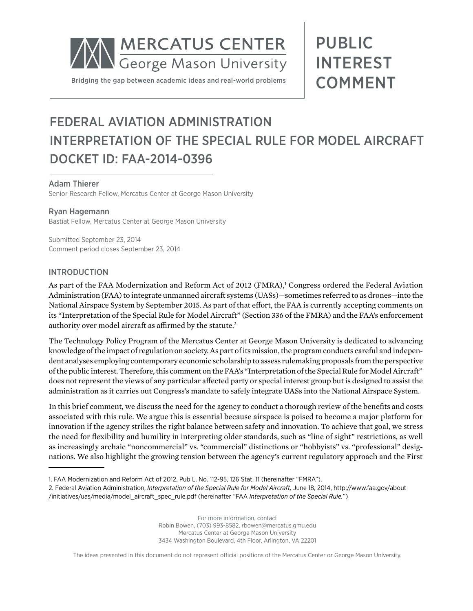

## PUBLIC INTEREST COMMENT

### FEDERAL AVIATION ADMINISTRATION INTERPRETATION OF THE SPECIAL RULE FOR MODEL AIRCRAFT DOCKET ID: FAA-2014-0396

### Adam Thierer

Senior Research Fellow, Mercatus Center at George Mason University

### Ryan Hagemann

Bastiat Fellow, Mercatus Center at George Mason University

Submitted September 23, 2014 Comment period closes September 23, 2014

### INTRODUCTION

As part of the FAA Modernization and Reform Act of 2012 (FMRA),<sup>1</sup> Congress ordered the Federal Aviation Administration (FAA) to integrate unmanned aircraft systems (UASs)—sometimes referred to as drones—into the National Airspace System by September 2015. As part of that effort, the FAA is currently accepting comments on its "Interpretation of the Special Rule for Model Aircraft" (Section 336 of the FMRA) and the FAA's enforcement authority over model aircraft as affirmed by the statute.<sup>2</sup>

The Technology Policy Program of the Mercatus Center at George Mason University is dedicated to advancing knowledge of the impact of regulation on society. As part of its mission, the program conducts careful and independent analyses employing contemporary economic scholarship to assess rulemaking proposals from the perspective of the public interest. Therefore, this comment on the FAA's "Interpretation of the Special Rule for Model Aircraft" does not represent the views of any particular affected party or special interest group but is designed to assist the administration as it carries out Congress's mandate to safely integrate UASs into the National Airspace System.

In this brief comment, we discuss the need for the agency to conduct a thorough review of the benefits and costs associated with this rule. We argue this is essential because airspace is poised to become a major platform for innovation if the agency strikes the right balance between safety and innovation. To achieve that goal, we stress the need for flexibility and humility in interpreting older standards, such as "line of sight" restrictions, as well as increasingly archaic "noncommercial" vs. "commercial" distinctions or "hobbyists" vs. "professional" designations. We also highlight the growing tension between the agency's current regulatory approach and the First

For more information, contact Robin Bowen, (703) 993-8582, rbowen@mercatus.gmu.edu Mercatus Center at George Mason University 3434 Washington Boulevard, 4th Floor, Arlington, VA 22201

The ideas presented in this document do not represent official positions of the Mercatus Center or George Mason University.

<sup>1.</sup> FAA Modernization and Reform Act of 2012, Pub L. No. 112-95, 126 Stat. 11 (hereinafter "FMRA").

<sup>2.</sup> Federal Aviation Administration, *Interpretation of the Special Rule for Model Aircraft,* June 18, 2014, http://www.faa.gov/about /initiatives/uas/media/model\_aircraft\_spec\_rule.pdf (hereinafter "FAA *Interpretation of the Special Rule.*")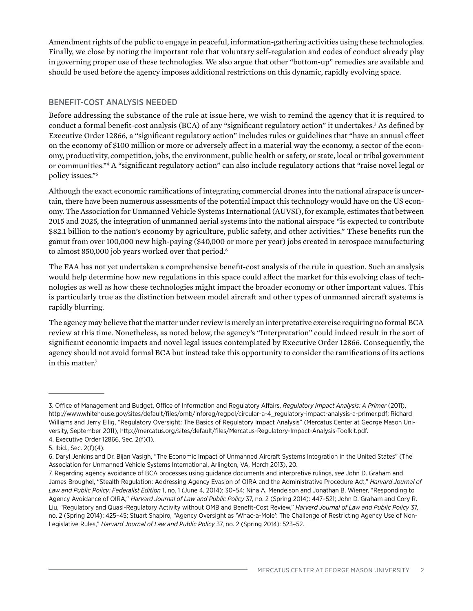Amendment rights of the public to engage in peaceful, information-gathering activities using these technologies. Finally, we close by noting the important role that voluntary self-regulation and codes of conduct already play in governing proper use of these technologies. We also argue that other "bottom-up" remedies are available and should be used before the agency imposes additional restrictions on this dynamic, rapidly evolving space.

### BENEFIT-COST ANALYSIS NEEDED

Before addressing the substance of the rule at issue here, we wish to remind the agency that it is required to conduct a formal benefit-cost analysis (BCA) of any "significant regulatory action" it undertakes.<sup>3</sup> As defined by Executive Order 12866, a "significant regulatory action" includes rules or guidelines that "have an annual effect on the economy of \$100 million or more or adversely affect in a material way the economy, a sector of the economy, productivity, competition, jobs, the environment, public health or safety, or state, local or tribal government or communities."4 A "significant regulatory action" can also include regulatory actions that "raise novel legal or policy issues."5

Although the exact economic ramifications of integrating commercial drones into the national airspace is uncertain, there have been numerous assessments of the potential impact this technology would have on the US economy. The Association for Unmanned Vehicle Systems International (AUVSI), for example, estimates that between 2015 and 2025, the integration of unmanned aerial systems into the national airspace "is expected to contribute \$82.1 billion to the nation's economy by agriculture, public safety, and other activities." These benefits run the gamut from over 100,000 new high-paying (\$40,000 or more per year) jobs created in aerospace manufacturing to almost 850,000 job years worked over that period.<sup>6</sup>

The FAA has not yet undertaken a comprehensive benefit-cost analysis of the rule in question. Such an analysis would help determine how new regulations in this space could affect the market for this evolving class of technologies as well as how these technologies might impact the broader economy or other important values. This is particularly true as the distinction between model aircraft and other types of unmanned aircraft systems is rapidly blurring.

The agency may believe that the matter under review is merely an interpretative exercise requiring no formal BCA review at this time. Nonetheless, as noted below, the agency's "Interpretation" could indeed result in the sort of significant economic impacts and novel legal issues contemplated by Executive Order 12866. Consequently, the agency should not avoid formal BCA but instead take this opportunity to consider the ramifications of its actions in this matter.<sup>7</sup>

<sup>3.</sup> Office of Management and Budget, Office of Information and Regulatory Affairs, *Regulatory Impact Analysis: A Primer* (2011), [http://www.whitehouse.gov/sites/default/files/omb/inforeg/regpol/circular-a-4\\_regulatory-impact-analysis-a-primer.pdf;](http://www.whitehouse.gov/sites/default/files/omb/inforeg/regpol/circular-a-4_regulatory-impact-analysis-a-primer.pdf) Richard Williams and Jerry Ellig, "Regulatory Oversight: The Basics of Regulatory Impact Analysis" (Mercatus Center at George Mason University, September 2011), [http://mercatus.org/sites/default/files/Mercatus-Regulatory-Impact-Analysis-Toolkit.pdf.](http://mercatus.org/sites/default/files/Mercatus-Regulatory-Impact-Analysis-Toolkit.pdf) 4. Executive Order 12866, Sec. 2(f)(1).

<sup>5.</sup> Ibid., Sec. 2(f)(4).

<sup>6.</sup> Daryl Jenkins and Dr. Bijan Vasigh, "The Economic Impact of Unmanned Aircraft Systems Integration in the United States" (The Association for Unmanned Vehicle Systems International, Arlington, VA, March 2013), 20.

<sup>7.</sup> Regarding agency avoidance of BCA processes using guidance documents and interpretive rulings, *see* John D. Graham and James Broughel, "Stealth Regulation: Addressing Agency Evasion of OIRA and the Administrative Procedure Act," *Harvard Journal of Law and Public Policy: Federalist Edition* 1, no. 1 (June 4, 2014): 30–54; Nina A. Mendelson and Jonathan B. Wiener, "Responding to Agency Avoidance of OIRA," *Harvard Journal of Law and Public Policy* 37, no. 2 (Spring 2014): 447–521; John D. Graham and Cory R. Liu, "Regulatory and Quasi-Regulatory Activity without OMB and Benefit-Cost Review," *Harvard Journal of Law and Public Policy* 37, no. 2 (Spring 2014): 425–45; Stuart Shapiro, "Agency Oversight as 'Whac-a-Mole': The Challenge of Restricting Agency Use of Non-Legislative Rules," *Harvard Journal of Law and Public Policy* 37, no. 2 (Spring 2014): 523–52.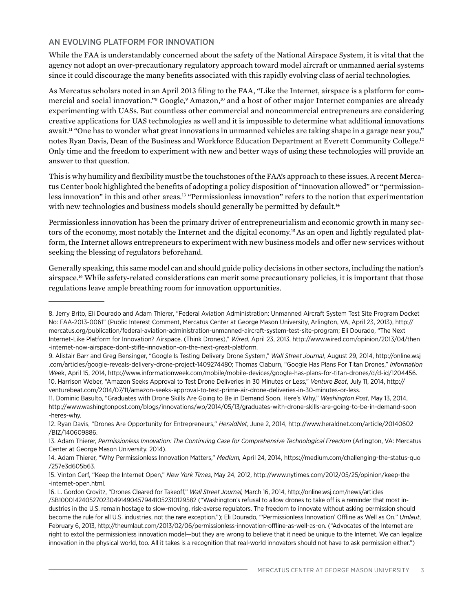### AN EVOLVING PLATFORM FOR INNOVATION

While the FAA is understandably concerned about the safety of the National Airspace System, it is vital that the agency not adopt an over-precautionary regulatory approach toward model aircraft or unmanned aerial systems since it could discourage the many benefits associated with this rapidly evolving class of aerial technologies.

As Mercatus scholars noted in an April 2013 filing to the FAA, "Like the Internet, airspace is a platform for commercial and social innovation."<sup>8</sup> Google,<sup>9</sup> Amazon,<sup>10</sup> and a host of other major Internet companies are already experimenting with UASs. But countless other commercial and noncommercial entrepreneurs are considering creative applications for UAS technologies as well and it is impossible to determine what additional innovations await.11 "One has to wonder what great innovations in unmanned vehicles are taking shape in a garage near you," notes Ryan Davis, Dean of the Business and Workforce Education Department at Everett Community College.12 Only time and the freedom to experiment with new and better ways of using these technologies will provide an answer to that question.

This is why humility and flexibility must be the touchstones of the FAA's approach to these issues. A recent Mercatus Center book highlighted the benefits of adopting a policy disposition of "innovation allowed" or "permissionless innovation" in this and other areas.13 "Permissionless innovation" refers to the notion that experimentation with new technologies and business models should generally be permitted by default.<sup>14</sup>

Permissionless innovation has been the primary driver of entrepreneurialism and economic growth in many sectors of the economy, most notably the Internet and the digital economy.15 As an open and lightly regulated platform, the Internet allows entrepreneurs to experiment with new business models and offer new services without seeking the blessing of regulators beforehand.

Generally speaking, this same model can and should guide policy decisions in other sectors, including the nation's airspace.<sup>16</sup> While safety-related considerations can merit some precautionary policies, it is important that those regulations leave ample breathing room for innovation opportunities.

16. L. Gordon Crovitz, "Drones Cleared for Takeoff," *Wall Street Journal,* March 16, 2014, http://online.wsj.com/news/articles /SB10001424052702304914904579441052310129582 ("Washington's refusal to allow drones to take off is a reminder that most industries in the U.S. remain hostage to slow-moving, risk-averse regulators. The freedom to innovate without asking permission should become the rule for all U.S. industries, not the rare exception."); Eli Dourado, "'Permissionless Innovation' Offline as Well as On," *Umlaut*, February 6, 2013, http://theumlaut.com/2013/02/06/permissionless-innovation-offline-as-well-as-on. ("Advocates of the Internet are right to extol the permissionless innovation model—but they are wrong to believe that it need be unique to the Internet. We can legalize innovation in the physical world, too. All it takes is a recognition that real-world innovators should not have to ask permission either.")

<sup>8.</sup> Jerry Brito, Eli Dourado and Adam Thierer, "Federal Aviation Administration: Unmanned Aircraft System Test Site Program Docket No: FAA-2013-0061" (Public Interest Comment, Mercatus Center at George Mason University, Arlington, VA, April 23, 2013), http:// mercatus.org/publication/federal-aviation-administration-unmanned-aircraft-system-test-site-program; Eli Dourado, "The Next Internet-Like Platform for Innovation? Airspace. (Think Drones)," *Wired*, April 23, 2013, http://www.wired.com/opinion/2013/04/then -internet-now-airspace-dont-stifle-innovation-on-the-next-great-platform.

<sup>9.</sup> Alistair Barr and Greg Bensinger, "Google Is Testing Delivery Drone System," *Wall Street Journal*, August 29, 2014, http://online.wsj .com/articles/google-reveals-delivery-drone-project-1409274480; Thomas Claburn, "Google Has Plans For Titan Drones," *Information We*ek, April 15, 2014, http://www.informationweek.com/mobile/mobile-devices/google-has-plans-for-titan-drones/d/d-id/1204456. 10. Harrison Weber, "Amazon Seeks Approval to Test Drone Deliveries in 30 Minutes or Less," *Venture Beat*, July 11, 2014, http:// venturebeat.com/2014/07/11/amazon-seeks-approval-to-test-prime-air-drone-deliveries-in-30-minutes-or-less.

<sup>11.</sup> Dominic Basulto, "Graduates with Drone Skills Are Going to Be in Demand Soon. Here's Why," *Washington Post*, May 13, 2014, http://www.washingtonpost.com/blogs/innovations/wp/2014/05/13/graduates-with-drone-skills-are-going-to-be-in-demand-soon -heres-why.

<sup>12.</sup> Ryan Davis, "Drones Are Opportunity for Entrepreneurs," *HeraldNet*, June 2, 2014, http://www.heraldnet.com/article/20140602 /BIZ/140609886.

<sup>13.</sup> Adam Thierer, *Permissionless Innovation: The Continuing Case for Comprehensive Technological Freedom* (Arlington, VA: Mercatus Center at George Mason University, 2014).

<sup>14.</sup> Adam Thierer, "Why Permissionless Innovation Matters," *Medium,* April 24, 2014, https://medium.com/challenging-the-status-quo /257e3d605b63.

<sup>15.</sup> Vinton Cerf, "Keep the Internet Open," *New York Times*, May 24, 2012, http://www.nytimes.com/2012/05/25/opinion/keep-the -internet-open.html.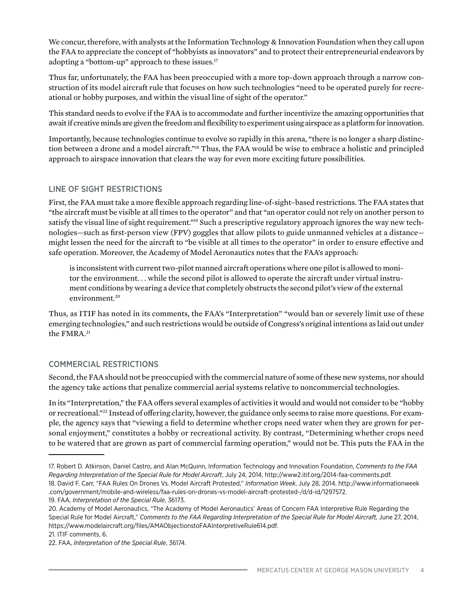We concur, therefore, with analysts at the Information Technology & Innovation Foundation when they call upon the FAA to appreciate the concept of "hobbyists as innovators" and to protect their entrepreneurial endeavors by adopting a "bottom-up" approach to these issues.<sup>17</sup>

Thus far, unfortunately, the FAA has been preoccupied with a more top-down approach through a narrow construction of its model aircraft rule that focuses on how such technologies "need to be operated purely for recreational or hobby purposes, and within the visual line of sight of the operator."

This standard needs to evolve if the FAA is to accommodate and further incentivize the amazing opportunities that await if creative minds are given the freedom and flexibility to experiment using airspace as a platform for innovation.

Importantly, because technologies continue to evolve so rapidly in this arena, "there is no longer a sharp distinction between a drone and a model aircraft."18 Thus, the FAA would be wise to embrace a holistic and principled approach to airspace innovation that clears the way for even more exciting future possibilities.

### LINE OF SIGHT RESTRICTIONS

First, the FAA must take a more flexible approach regarding line-of-sight–based restrictions. The FAA states that "the aircraft must be visible at all times to the operator" and that "an operator could not rely on another person to satisfy the visual line of sight requirement."<sup>19</sup> Such a prescriptive regulatory approach ignores the way new technologies—such as first-person view (FPV) goggles that allow pilots to guide unmanned vehicles at a distance might lessen the need for the aircraft to "be visible at all times to the operator" in order to ensure effective and safe operation. Moreover, the Academy of Model Aeronautics notes that the FAA's approach:

is inconsistent with current two-pilot manned aircraft operations where one pilot is allowed to monitor the environment. . . while the second pilot is allowed to operate the aircraft under virtual instrument conditions by wearing a device that completely obstructs the second pilot's view of the external environment.<sup>20</sup>

Thus, as ITIF has noted in its comments, the FAA's "Interpretation" "would ban or severely limit use of these emerging technologies," and such restrictions would be outside of Congress's original intentions as laid out under the FMRA.<sup>21</sup>

### COMMERCIAL RESTRICTIONS

Second, the FAA should not be preoccupied with the commercial nature of some of these new systems, nor should the agency take actions that penalize commercial aerial systems relative to noncommercial technologies.

In its "Interpretation," the FAA offers several examples of activities it would and would not consider to be "hobby or recreational."22 Instead of offering clarity, however, the guidance only seems to raise more questions. For example, the agency says that "viewing a field to determine whether crops need water when they are grown for personal enjoyment," constitutes a hobby or recreational activity. By contrast, "Determining whether crops need to be watered that are grown as part of commercial farming operation," would not be. This puts the FAA in the

19. FAA, *Interpretation of the Special Rule*, 36173.

<sup>17.</sup> Robert D. Atkinson, Daniel Castro, and Alan McQuinn, Information Technology and Innovation Foundation, *Comments to the FAA Regarding Interpretation of the Special Rule for Model Aircraft*, July 24, 2014, http://www2.itif.org/2014-faa-comments.pdf. 18. David F. Carr, "FAA Rules On Drones Vs. Model Aircraft Protested," *Information Week*, July 28, 2014, http://www.informationweek .com/government/mobile-and-wireless/faa-rules-on-drones-vs-model-aircraft-protested-/d/d-id/1297572.

<sup>20.</sup> Academy of Model Aeronautics, "The Academy of Model Aeronautics' Areas of Concern FAA Interpretive Rule Regarding the Special Rule for Model Aircraft," Comments to the FAA Regarding Interpretation of the Special Rule for Model Aircraft, June 27, 2014, https://www.modelaircraft.org/files/AMAObjectionstoFAAInterpretiveRule614.pdf.

<sup>21.</sup> ITIF comments, 6.

<sup>22.</sup> FAA, *Interpretation of the Special Rule*, 36174.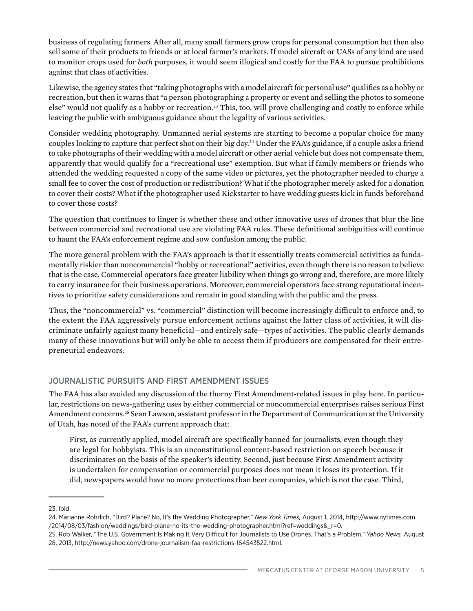business of regulating farmers. After all, many small farmers grow crops for personal consumption but then also sell some of their products to friends or at local farmer's markets. If model aircraft or UASs of any kind are used to monitor crops used for *both* purposes, it would seem illogical and costly for the FAA to pursue prohibitions against that class of activities.

Likewise, the agency states that "taking photographs with a model aircraft for personal use" qualifies as a hobby or recreation, but then it warns that "a person photographing a property or event and selling the photos to someone else" would not qualify as a hobby or recreation.<sup>23</sup> This, too, will prove challenging and costly to enforce while leaving the public with ambiguous guidance about the legality of various activities.

Consider wedding photography. Unmanned aerial systems are starting to become a popular choice for many couples looking to capture that perfect shot on their big day.24 Under the FAA's guidance, if a couple asks a friend to take photographs of their wedding with a model aircraft or other aerial vehicle but does not compensate them, apparently that would qualify for a "recreational use" exemption. But what if family members or friends who attended the wedding requested a copy of the same video or pictures, yet the photographer needed to charge a small fee to cover the cost of production or redistribution? What if the photographer merely asked for a donation to cover their costs? What if the photographer used Kickstarter to have wedding guests kick in funds beforehand to cover those costs?

The question that continues to linger is whether these and other innovative uses of drones that blur the line between commercial and recreational use are violating FAA rules. These definitional ambiguities will continue to haunt the FAA's enforcement regime and sow confusion among the public.

The more general problem with the FAA's approach is that it essentially treats commercial activities as fundamentally riskier than noncommercial "hobby or recreational" activities, even though there is no reason to believe that is the case. Commercial operators face greater liability when things go wrong and, therefore, are more likely to carry insurance for their business operations. Moreover, commercial operators face strong reputational incentives to prioritize safety considerations and remain in good standing with the public and the press.

Thus, the "noncommercial" vs. "commercial" distinction will become increasingly difficult to enforce and, to the extent the FAA aggressively pursue enforcement actions against the latter class of activities, it will discriminate unfairly against many beneficial—and entirely safe—types of activities. The public clearly demands many of these innovations but will only be able to access them if producers are compensated for their entrepreneurial endeavors.

### JOURNALISTIC PURSUITS AND FIRST AMENDMENT ISSUES

The FAA has also avoided any discussion of the thorny First Amendment-related issues in play here. In particular, restrictions on news-gathering uses by either commercial or noncommercial enterprises raises serious First Amendment concerns.<sup>25</sup> Sean Lawson, assistant professor in the Department of Communication at the University of Utah, has noted of the FAA's current approach that:

First, as currently applied, model aircraft are specifically banned for journalists, even though they are legal for hobbyists. This is an unconstitutional content-based restriction on speech because it discriminates on the basis of the speaker's identity. Second, just because First Amendment activity is undertaken for compensation or commercial purposes does not mean it loses its protection. If it did, newspapers would have no more protections than beer companies, which is not the case. Third,

<sup>23.</sup> Ibid.

<sup>24.</sup> Marianne Rohrlich, "Bird? Plane? No, It's the Wedding Photographer," *New York Times,* August 1, 2014, http://www.nytimes.com /2014/08/03/fashion/weddings/bird-plane-no-its-the-wedding-photographer.html?ref=weddings&\_r=0.

<sup>25.</sup> Rob Walker, "The U.S. Government Is Making It Very Difficult for Journalists to Use Drones. That's a Problem," *Yahoo News,* August 28, 2013, http://news.yahoo.com/drone-journalism-faa-restrictions-164543522.html.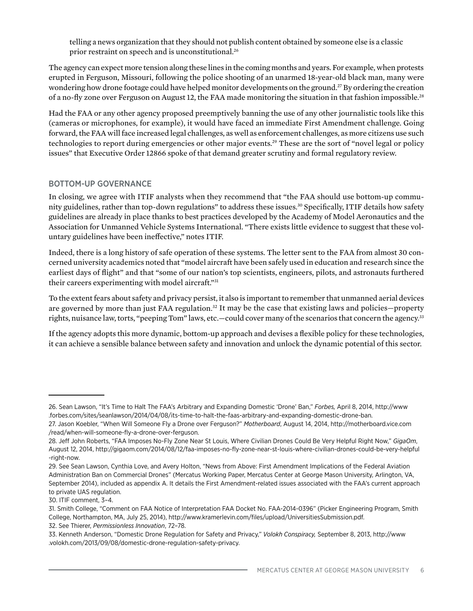telling a news organization that they should not publish content obtained by someone else is a classic prior restraint on speech and is unconstitutional.<sup>26</sup>

The agency can expect more tension along these lines in the coming months and years. For example, when protests erupted in Ferguson, Missouri, following the police shooting of an unarmed 18-year-old black man, many were wondering how drone footage could have helped monitor developments on the ground.<sup>27</sup> By ordering the creation of a no-fly zone over Ferguson on August 12, the FAA made monitoring the situation in that fashion impossible.<sup>28</sup>

Had the FAA or any other agency proposed preemptively banning the use of any other journalistic tools like this (cameras or microphones, for example), it would have faced an immediate First Amendment challenge. Going forward, the FAA will face increased legal challenges, as well as enforcement challenges, as more citizens use such technologies to report during emergencies or other major events.29 These are the sort of "novel legal or policy issues" that Executive Order 12866 spoke of that demand greater scrutiny and formal regulatory review.

### BOTTOM-UP GOVERNANCE

In closing, we agree with ITIF analysts when they recommend that "the FAA should use bottom-up community guidelines, rather than top-down regulations" to address these issues.<sup>30</sup> Specifically, ITIF details how safety guidelines are already in place thanks to best practices developed by the Academy of Model Aeronautics and the Association for Unmanned Vehicle Systems International. "There exists little evidence to suggest that these voluntary guidelines have been ineffective," notes ITIF.

Indeed, there is a long history of safe operation of these systems. The letter sent to the FAA from almost 30 concerned university academics noted that "model aircraft have been safely used in education and research since the earliest days of flight" and that "some of our nation's top scientists, engineers, pilots, and astronauts furthered their careers experimenting with model aircraft."31

To the extent fears about safety and privacy persist, it also is important to remember that unmanned aerial devices are governed by more than just FAA regulation.<sup>32</sup> It may be the case that existing laws and policies—property rights, nuisance law, torts, "peeping Tom" laws, etc.-could cover many of the scenarios that concern the agency.<sup>33</sup>

If the agency adopts this more dynamic, bottom-up approach and devises a flexible policy for these technologies, it can achieve a sensible balance between safety and innovation and unlock the dynamic potential of this sector.

<sup>26.</sup> Sean Lawson, "It's Time to Halt The FAA's Arbitrary and Expanding Domestic 'Drone' Ban," *Forbes,* April 8, 2014, http://www .forbes.com/sites/seanlawson/2014/04/08/its-time-to-halt-the-faas-arbitrary-and-expanding-domestic-drone-ban.

<sup>27.</sup> Jason Koebler, "When Will Someone Fly a Drone over Ferguson?" *Motherboard*, August 14, 2014, http://motherboard.vice.com /read/when-will-someone-fly-a-drone-over-ferguson.

<sup>28.</sup> Jeff John Roberts, "FAA Imposes No-Fly Zone Near St Louis, Where Civilian Drones Could Be Very Helpful Right Now," *GigaOm*, August 12, 2014, http://gigaom.com/2014/08/12/faa-imposes-no-fly-zone-near-st-louis-where-civilian-drones-could-be-very-helpful -right-now.

<sup>29.</sup> See Sean Lawson, Cynthia Love, and Avery Holton, "News from Above: First Amendment Implications of the Federal Aviation Administration Ban on Commercial Drones" (Mercatus Working Paper, Mercatus Center at George Mason University, Arlington, VA, September 2014), included as appendix A. It details the First Amendment-related issues associated with the FAA's current approach to private UAS regulation.

<sup>30.</sup> ITIF comment, 3–4.

<sup>31.</sup> Smith College, "Comment on FAA Notice of Interpretation FAA Docket No. FAA-2014-0396" (Picker Engineering Program, Smith College, Northampton, MA, July 25, 2014), http://www.kramerlevin.com/files/upload/UniversitiesSubmission.pdf. 32. See Thierer, *Permissionless Innovation*, 72–78.

<sup>33.</sup> Kenneth Anderson, "Domestic Drone Regulation for Safety and Privacy," *Volokh Conspiracy,* September 8, 2013, http://www .volokh.com/2013/09/08/domestic-drone-regulation-safety-privacy.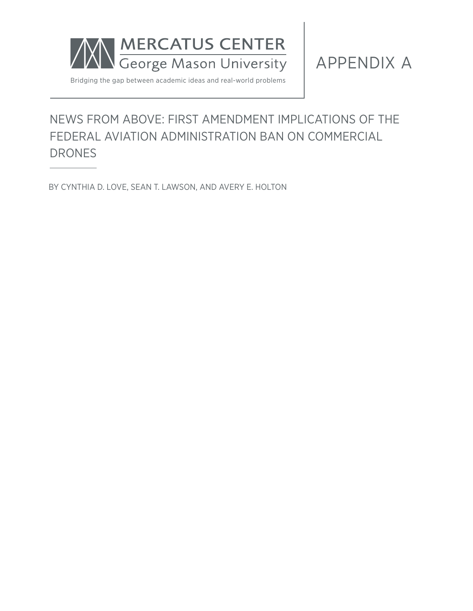

APPENDIX A

Bridging the gap between academic ideas and real-world problems

### NEWS FROM ABOVE: FIRST AMENDMENT IMPLICATIONS OF THE FEDERAL AVIATION ADMINISTRATION BAN ON COMMERCIAL DRONES

BY CYNTHIA D. LOVE, SEAN T. LAWSON, AND AVERY E. HOLTON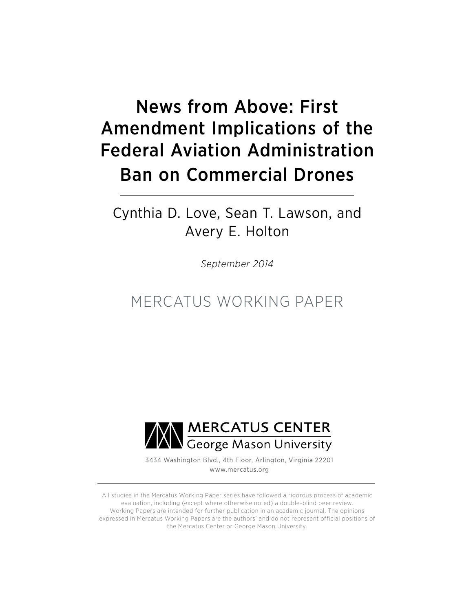# News from Above: First Amendment Implications of the Federal Aviation Administration Ban on Commercial Drones

Cynthia D. Love, Sean T. Lawson, and Avery E. Holton

*September 2014*

MERCATUS WORKING PAPER



3434 Washington Blvd., 4th Floor, Arlington, Virginia 22201 www.mercatus.org

All studies in the Mercatus Working Paper series have followed a rigorous process of academic evaluation, including (except where otherwise noted) a double-blind peer review. Working Papers are intended for further publication in an academic journal. The opinions expressed in Mercatus Working Papers are the authors' and do not represent official positions of the Mercatus Center or George Mason University.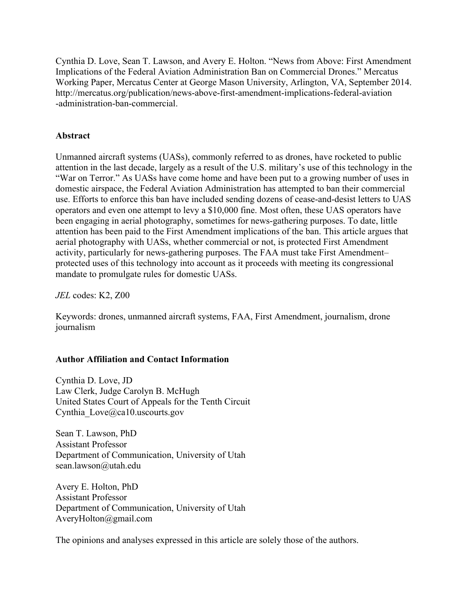Cynthia D. Love, Sean T. Lawson, and Avery E. Holton. "News from Above: First Amendment Implications of the Federal Aviation Administration Ban on Commercial Drones." Mercatus Working Paper, Mercatus Center at George Mason University, Arlington, VA, September 2014. [http://mercatus.org/publication/news-above-first-amendment-implications-federal-aviation](http://mercatus.org/publication/news-above-first-amendment-implications-federal-aviation-administration-ban-commercial) [-administration-ban-commercial](http://mercatus.org/publication/news-above-first-amendment-implications-federal-aviation-administration-ban-commercial).

### **Abstract**

Unmanned aircraft systems (UASs), commonly referred to as drones, have rocketed to public attention in the last decade, largely as a result of the U.S. military's use of this technology in the "War on Terror." As UASs have come home and have been put to a growing number of uses in domestic airspace, the Federal Aviation Administration has attempted to ban their commercial use. Efforts to enforce this ban have included sending dozens of cease-and-desist letters to UAS operators and even one attempt to levy a \$10,000 fine. Most often, these UAS operators have been engaging in aerial photography, sometimes for news-gathering purposes. To date, little attention has been paid to the First Amendment implications of the ban. This article argues that aerial photography with UASs, whether commercial or not, is protected First Amendment activity, particularly for news-gathering purposes. The FAA must take First Amendment– protected uses of this technology into account as it proceeds with meeting its congressional mandate to promulgate rules for domestic UASs.

*JEL* codes: K2, Z00

Keywords: drones, unmanned aircraft systems, FAA, First Amendment, journalism, drone journalism

### **Author Affiliation and Contact Information**

Cynthia D. Love, JD Law Clerk, Judge Carolyn B. McHugh United States Court of Appeals for the Tenth Circuit Cynthia Love@ca10.uscourts.gov

Sean T. Lawson, PhD Assistant Professor Department of Communication, University of Utah [sean.lawson@utah.edu](mailto:sean.lawson@utah.edu)

Avery E. Holton, PhD Assistant Professor Department of Communication, University of Utah [AveryHolton@gmail.com](mailto:AveryHolton@gmail.com)

The opinions and analyses expressed in this article are solely those of the authors.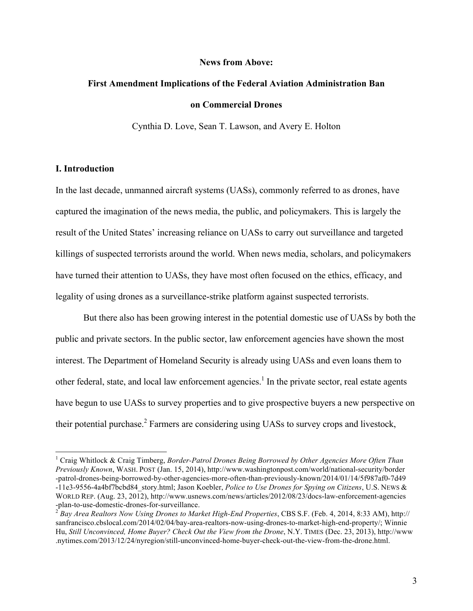### **News from Above:**

### **First Amendment Implications of the Federal Aviation Administration Ban on Commercial Drones**

Cynthia D. Love, Sean T. Lawson, and Avery E. Holton

### **I. Introduction**

In the last decade, unmanned aircraft systems (UASs), commonly referred to as drones, have captured the imagination of the news media, the public, and policymakers. This is largely the result of the United States' increasing reliance on UASs to carry out surveillance and targeted killings of suspected terrorists around the world. When news media, scholars, and policymakers have turned their attention to UASs, they have most often focused on the ethics, efficacy, and legality of using drones as a surveillance-strike platform against suspected terrorists.

But there also has been growing interest in the potential domestic use of UASs by both the public and private sectors. In the public sector, law enforcement agencies have shown the most interest. The Department of Homeland Security is already using UASs and even loans them to other federal, state, and local law enforcement agencies.<sup>1</sup> In the private sector, real estate agents have begun to use UASs to survey properties and to give prospective buyers a new perspective on their potential purchase.<sup>2</sup> Farmers are considering using UASs to survey crops and livestock,

 <sup>1</sup> Craig Whitlock & Craig Timberg, *Border-Patrol Drones Being Borrowed by Other Agencies More Often Than Previously Known*, WASH. POST (Jan. 15, 2014), [http://www.washingtonpost.com/world/national-security/border](http://www.washingtonpost.com/world/national-security/border-patrol-drones-being-borrowed-by-other-agencies-more-often-than-previously-known/2014/01/14/5f987af0-7d49-11e3-9556-4a4bf7bcbd84_story.html) [-patrol-drones-being-borrowed-by-other-agencies-more-often-than-previously-known/2014/01/14/5f987af0-7d49](http://www.washingtonpost.com/world/national-security/border-patrol-drones-being-borrowed-by-other-agencies-more-often-than-previously-known/2014/01/14/5f987af0-7d49-11e3-9556-4a4bf7bcbd84_story.html) [-11e3-9556-4a4bf7bcbd84\\_story.html;](http://www.washingtonpost.com/world/national-security/border-patrol-drones-being-borrowed-by-other-agencies-more-often-than-previously-known/2014/01/14/5f987af0-7d49-11e3-9556-4a4bf7bcbd84_story.html) Jason Koebler, *Police to Use Drones for Spying on Citizens*, U.S. NEWS & WORLD REP. (Aug. 23, 2012), [http://www.usnews.com/news/articles/2012/08/23/docs-law-enforcement-agencies](http://www.usnews.com/news/articles/2012/08/23/docs-law-enforcement-agencies-plan-to-use-domestic-drones-for-surveillance)<br>-plan-to-use-domestic-drones-for-surveillance.<br> $\frac{2 \text{ B}}{2}$ 

[<sup>-</sup>plan-to-use-domestic-drones-for-surveillance](http://www.usnews.com/news/articles/2012/08/23/docs-law-enforcement-agencies-plan-to-use-domestic-drones-for-surveillance). <sup>2</sup> *Bay Area Realtors Now Using Drones to Market High-End Properties*, CBS S.F. (Feb. 4, 2014, 8:33 AM), [http://](http://sanfrancisco.cbslocal.com/2014/02/04/bay-area-realtors-now-using-drones-to-market-high-end-property/) [sanfrancisco.cbslocal.com/2014/02/04/bay-area-realtors-now-using-drones-to-market-high-end-property/;](http://sanfrancisco.cbslocal.com/2014/02/04/bay-area-realtors-now-using-drones-to-market-high-end-property/) Winnie Hu, *Still Unconvinced, Home Buyer? Check Out the View from the Drone*, N.Y. TIMES (Dec. 23, 2013), [http://www](http://www.nytimes.com/2013/12/24/nyregion/still-unconvinced-home-buyer-check-out-the-view-from-the-drone.html) [.nytimes.com/2013/12/24/nyregion/still-unconvinced-home-buyer-check-out-the-view-from-the-drone.html.](http://www.nytimes.com/2013/12/24/nyregion/still-unconvinced-home-buyer-check-out-the-view-from-the-drone.html)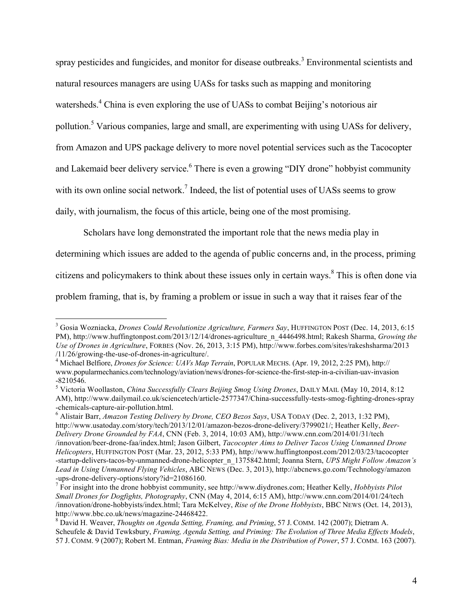spray pesticides and fungicides, and monitor for disease outbreaks.<sup>3</sup> Environmental scientists and natural resources managers are using UASs for tasks such as mapping and monitoring watersheds.<sup>4</sup> China is even exploring the use of UASs to combat Beijing's notorious air pollution.<sup>5</sup> Various companies, large and small, are experimenting with using UASs for delivery, from Amazon and UPS package delivery to more novel potential services such as the Tacocopter and Lakemaid beer delivery service.<sup>6</sup> There is even a growing "DIY drone" hobbyist community with its own online social network.<sup>7</sup> Indeed, the list of potential uses of UASs seems to grow daily, with journalism, the focus of this article, being one of the most promising.

Scholars have long demonstrated the important role that the news media play in determining which issues are added to the agenda of public concerns and, in the process, priming citizens and policymakers to think about these issues only in certain ways.<sup>8</sup> This is often done via problem framing, that is, by framing a problem or issue in such a way that it raises fear of the

 <sup>3</sup> Gosia Wozniacka, *Drones Could Revolutionize Agriculture, Farmers Say*, HUFFINGTON POST (Dec. 14, 2013, 6:15 PM), [http://www.huffingtonpost.com/2013/12/14/drones-agriculture\\_n\\_4446498.html;](http://www.huffingtonpost.com/2013/12/14/drones-agriculture_n_4446498.html) Rakesh Sharma, *Growing the Use of Drones in Agriculture*, FORBES (Nov. 26, 2013, 3:15 PM), [http://www.forbes.com/sites/rakeshsharma/2013](http://www.forbes.com/sites/rakeshsharma/2013/11/26/growing-the-use-of-drones-in-agriculture/) [/11/26/growing-the-use-of-drones-in-agriculture/](http://www.forbes.com/sites/rakeshsharma/2013/11/26/growing-the-use-of-drones-in-agriculture/). <sup>4</sup> Michael Belfiore, *Drones for Science: UAVs Map Terrain*, POPULAR MECHS. (Apr. 19, 2012, 2:25 PM), [http://](http://www.popularmechanics.com/technology/aviation/news/drones-for-science-the-first-step-in-a-civilian-uav-invasion-8210546)

[www.popularmechanics.com/technology/aviation/news/drones-for-science-the-first-step-in-a-civilian-uav-invasion](http://www.popularmechanics.com/technology/aviation/news/drones-for-science-the-first-step-in-a-civilian-uav-invasion-8210546) [-8210546](http://www.popularmechanics.com/technology/aviation/news/drones-for-science-the-first-step-in-a-civilian-uav-invasion-8210546).

<sup>5</sup> Victoria Woollaston, *China Successfully Clears Beijing Smog Using Drones*, DAILY MAIL (May 10, 2014, 8:12 AM), [http://www.dailymail.co.uk/sciencetech/article-2577347/China-successfully-tests-smog-fighting-drones-spray](http://www.dailymail.co.uk/sciencetech/article-2577347/China-successfully-tests-smog-fighting-drones-spray-chemicals-capture-air-pollution.html) [-chemicals-capture-air-pollution.html](http://www.dailymail.co.uk/sciencetech/article-2577347/China-successfully-tests-smog-fighting-drones-spray-chemicals-capture-air-pollution.html). <sup>6</sup> Alistair Barr, *Amazon Testing Delivery by Drone, CEO Bezos Says*, USA TODAY (Dec. 2, 2013, 1:32 PM),

[http://www.usatoday.com/story/tech/2013/12/01/amazon-bezos-drone-delivery/3799021/;](http://www.usatoday.com/story/tech/2013/12/01/amazon-bezos-drone-delivery/3799021/) Heather Kelly, *Beer-Delivery Drone Grounded by FAA*, CNN (Feb. 3, 2014, 10:03 AM), [http://www.cnn.com/2014/01/31/tech](http://www.cnn.com/2014/01/31/tech/innovation/beer-drone-faa/index.html) [/innovation/beer-drone-faa/index.html;](http://www.cnn.com/2014/01/31/tech/innovation/beer-drone-faa/index.html) Jason Gilbert, *Tacocopter Aims to Deliver Tacos Using Unmanned Drone Helicopters*, HUFFINGTON POST (Mar. 23, 2012, 5:33 PM), [http://www.huffingtonpost.com/2012/03/23/tacocopter](http://www.huffingtonpost.com/2012/03/23/tacocopter-startup-delivers-tacos-by-unmanned-drone-helicopter_n_1375842.html) [-startup-delivers-tacos-by-unmanned-drone-helicopter\\_n\\_1375842.html;](http://www.huffingtonpost.com/2012/03/23/tacocopter-startup-delivers-tacos-by-unmanned-drone-helicopter_n_1375842.html) Joanna Stern, *UPS Might Follow Amazon's Lead in Using Unmanned Flying Vehicles*, ABC NEWS (Dec. 3, 2013), [http://abcnews.go.com/Technology/amazon](http://abcnews.go.com/Technology/amazon-ups-drone-delivery-options/story?id=21086160) [-ups-drone-delivery-options/story?id=21086160.](http://abcnews.go.com/Technology/amazon-ups-drone-delivery-options/story?id=21086160) <sup>7</sup> For insight into the drone hobbyist community, see [http://www.diydrones.com;](http://www.diydrones.com) Heather Kelly, *Hobbyists Pilot* 

*Small Drones for Dogfights, Photography*, CNN (May 4, 2014, 6:15 AM), [http://www.cnn.com/2014/01/24/tech](http://www.cnn.com/2014/01/24/tech/innovation/drone-hobbyists/index.html) [/innovation/drone-hobbyists/index.html;](http://www.cnn.com/2014/01/24/tech/innovation/drone-hobbyists/index.html) Tara McKelvey, *Rise of the Drone Hobbyists*, BBC NEWS (Oct. 14, 2013), [http://www.bbc.co.uk/news/magazine-24468422.](http://www.bbc.co.uk/news/magazine-24468422)<br><sup>8</sup> David H. Weaver, *Thoughts on Agenda Setting, Framing, and Priming*, 57 J. COMM. 142 (2007); Dietram A.

Scheufele & David Tewksbury, *Framing, Agenda Setting, and Priming: The Evolution of Three Media Effects Models*, 57 J. COMM. 9 (2007); Robert M. Entman, *Framing Bias: Media in the Distribution of Power*, 57 J. COMM. 163 (2007).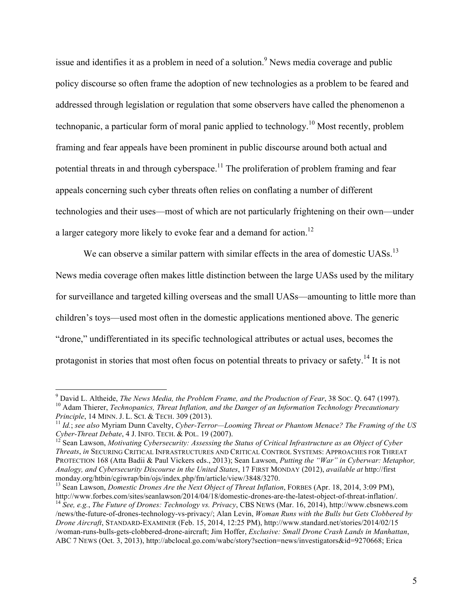issue and identifies it as a problem in need of a solution.<sup>9</sup> News media coverage and public policy discourse so often frame the adoption of new technologies as a problem to be feared and addressed through legislation or regulation that some observers have called the phenomenon a technopanic, a particular form of moral panic applied to technology.10 Most recently, problem framing and fear appeals have been prominent in public discourse around both actual and potential threats in and through cyberspace.<sup>11</sup> The proliferation of problem framing and fear appeals concerning such cyber threats often relies on conflating a number of different technologies and their uses—most of which are not particularly frightening on their own—under a larger category more likely to evoke fear and a demand for action.<sup>12</sup>

We can observe a similar pattern with similar effects in the area of domestic UASs.<sup>13</sup> News media coverage often makes little distinction between the large UASs used by the military for surveillance and targeted killing overseas and the small UASs—amounting to little more than children's toys—used most often in the domestic applications mentioned above. The generic "drone," undifferentiated in its specific technological attributes or actual uses, becomes the protagonist in stories that most often focus on potential threats to privacy or safety.<sup>14</sup> It is not

<sup>&</sup>lt;sup>9</sup> David L. Altheide, *The News Media, the Problem Frame, and the Production of Fear*, 38 Soc. Q. 647 (1997).<br><sup>10</sup> Adam Thierer, *Technopanics, Threat Inflation, and the Danger of an Information Technology Precautionary<br>* 

<sup>&</sup>lt;sup>11</sup> Id.; see also Myriam Dunn Cavelty, *Cyber-Terror—Looming Threat or Phantom Menace? The Framing of the US Cyber-Threat Debate*, 4 J. INFO. TECH. & POL. 19 (2007).<br><sup>12</sup> Sean Lawson, *Motivating Cybersecurity: Assessing the Status of Critical Infrastructure as an Object of Cyber* 

*Threats*, *in* SECURING CRITICAL INFRASTRUCTURES AND CRITICAL CONTROL SYSTEMS: APPROACHES FOR THREAT PROTECTION 168 (Atta Badii & Paul Vickers eds., 2013); Sean Lawson, *Putting the "War" in Cyberwar: Metaphor, Analogy, and Cybersecurity Discourse in the United States*, 17 FIRST MONDAY (2012), *available at* [http://first](http://firstmonday.org/htbin/cgiwrap/bin/ojs/index.php/fm/article/view/3848/3270) [monday.org/htbin/cgiwrap/bin/ojs/index.php/fm/article/view/3848/3270](http://firstmonday.org/htbin/cgiwrap/bin/ojs/index.php/fm/article/view/3848/3270). <sup>13</sup> Sean Lawson, *Domestic Drones Are the Next Object of Threat Inflation*, FORBES (Apr. 18, 2014, 3:09 PM),

[http://www.forbes.com/sites/seanlawson/2014/04/18/domestic-drones-are-the-latest-object-of-threat-inflation/.](http://www.forbes.com/sites/seanlawson/2014/04/18/domestic-drones-are-the-latest-object-of-threat-inflation/)<br><sup>14</sup> See, e.g., The Future of Drones: Technology vs. Privacy, CBS NEWS (Mar. 16, 2014), [http://www.cbsnews.com](http://www.cbsnews.com/news/the-future-of-drones-technology-vs-privacy/)

[<sup>/</sup>news/the-future-of-drones-technology-vs-privacy/](http://www.cbsnews.com/news/the-future-of-drones-technology-vs-privacy/); Alan Levin, *Woman Runs with the Bulls but Gets Clobbered by Drone Aircraft*, STANDARD-EXAMINER (Feb. 15, 2014, 12:25 PM), [http://www.standard.net/stories/2014/02/15](http://www.standard.net/stories/2014/02/15/woman-runs-bulls-gets-clobbered-drone-aircraft) [/woman-runs-bulls-gets-clobbered-drone-aircraft;](http://www.standard.net/stories/2014/02/15/woman-runs-bulls-gets-clobbered-drone-aircraft) Jim Hoffer, *Exclusive: Small Drone Crash Lands in Manhattan*, ABC 7 NEWS (Oct. 3, 2013),<http://abclocal.go.com/wabc/story?section=news/investigators&id=9270668>; Erica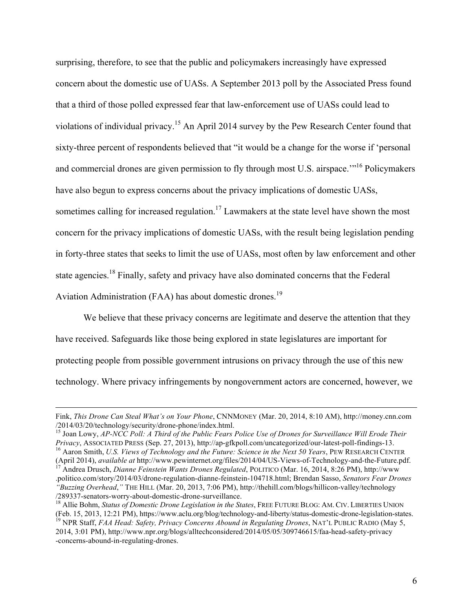surprising, therefore, to see that the public and policymakers increasingly have expressed concern about the domestic use of UASs. A September 2013 poll by the Associated Press found that a third of those polled expressed fear that law-enforcement use of UASs could lead to violations of individual privacy.<sup>15</sup> An April 2014 survey by the Pew Research Center found that sixty-three percent of respondents believed that "it would be a change for the worse if 'personal and commercial drones are given permission to fly through most U.S. airspace.<sup>"16</sup> Policymakers" have also begun to express concerns about the privacy implications of domestic UASs, sometimes calling for increased regulation.<sup>17</sup> Lawmakers at the state level have shown the most concern for the privacy implications of domestic UASs, with the result being legislation pending in forty-three states that seeks to limit the use of UASs, most often by law enforcement and other state agencies.<sup>18</sup> Finally, safety and privacy have also dominated concerns that the Federal Aviation Administration (FAA) has about domestic drones.<sup>19</sup>

We believe that these privacy concerns are legitimate and deserve the attention that they have received. Safeguards like those being explored in state legislatures are important for protecting people from possible government intrusions on privacy through the use of this new technology. Where privacy infringements by nongovernment actors are concerned, however, we

Fink, *This Drone Can Steal What's on Your Phone*, CNNMONEY (Mar. 20, 2014, 8:10 AM), [http://money.cnn.com](http://money.cnn.com/2014/03/20/technology/security/drone-phone/index.html)

<sup>&</sup>lt;sup>15</sup> Joan Lowy, *AP-NCC Poll: A Third of the Public Fears Police Use of Drones for Surveillance Will Erode Their Privacy, Associated Press (Sep. 27, 2013), http://ap-gfkpoll.com/uncategorized/our-latest-poll-findings-13.*  $16$  Aaron Smith, U.S. Views of Technology and the Future: Science in the Next 50 Years, PEW RESEARCH CENTER

<sup>(</sup>April 2014), available at [http://www.pewinternet.org/files/2014/04/US-Views-of-Technology-and-the-Future.pdf.](http://www.pewinternet.org/files/2014/04/US-Views-of-Technology-and-the-Future.pdf)<br><sup>17</sup> Andrea Drusch, *Dianne Feinstein Wants Drones Regulated*, POLITICO (Mar. 16, 2014, 8:26 PM), [http://www](http://www.politico.com/story/2014/03/drone-regulation-dianne-feinstein-104718.html)

[<sup>.</sup>politico.com/story/2014/03/drone-regulation-dianne-feinstein-104718.html](http://www.politico.com/story/2014/03/drone-regulation-dianne-feinstein-104718.html); Brendan Sasso, *Senators Fear Drones "Buzzing Overhead*,*"* THE HILL (Mar. 20, 2013, 7:06 PM), [http://thehill.com/blogs/hillicon-valley/technology](http://thehill.com/blogs/hillicon-valley/technology/289337-senators-worry-about-domestic-drone-surveillance)

[<sup>/289337-</sup>senators-worry-about-domestic-drone-surveillance.](http://thehill.com/blogs/hillicon-valley/technology/289337-senators-worry-about-domestic-drone-surveillance) <sup>18</sup> Allie Bohm, *Status of Domestic Drone Legislation in the States*, FREE FUTURE BLOG: AM. CIV. LIBERTIES UNION

<sup>&</sup>lt;sup>19</sup> NPR Staff, FAA Head: Safety, Privacy Concerns Abound in Regulating Drones, NAT'L PUBLIC RADIO (May 5, 2014, 3:01 PM), [http://www.npr.org/blogs/alltechconsidered/2014/05/05/309746615/faa-head-safety-privacy](http://www.npr.org/blogs/alltechconsidered/2014/05/05/309746615/faa-head-safety-privacy-concerns-abound-in-regulating-drones) [-concerns-abound-in-regulating-drones.](http://www.npr.org/blogs/alltechconsidered/2014/05/05/309746615/faa-head-safety-privacy-concerns-abound-in-regulating-drones)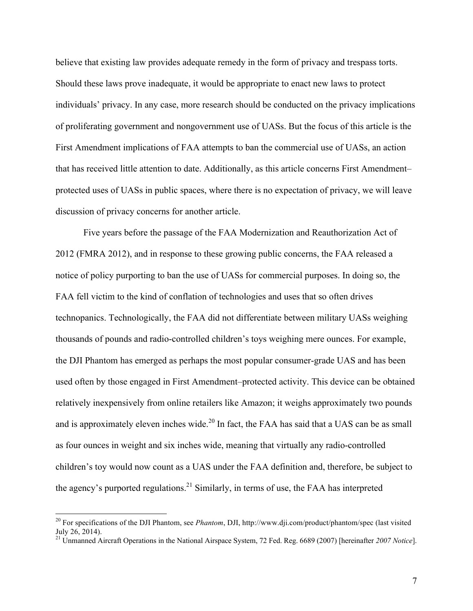believe that existing law provides adequate remedy in the form of privacy and trespass torts. Should these laws prove inadequate, it would be appropriate to enact new laws to protect individuals' privacy. In any case, more research should be conducted on the privacy implications of proliferating government and nongovernment use of UASs. But the focus of this article is the First Amendment implications of FAA attempts to ban the commercial use of UASs, an action that has received little attention to date. Additionally, as this article concerns First Amendment– protected uses of UASs in public spaces, where there is no expectation of privacy, we will leave discussion of privacy concerns for another article.

Five years before the passage of the FAA Modernization and Reauthorization Act of 2012 (FMRA 2012), and in response to these growing public concerns, the FAA released a notice of policy purporting to ban the use of UASs for commercial purposes. In doing so, the FAA fell victim to the kind of conflation of technologies and uses that so often drives technopanics. Technologically, the FAA did not differentiate between military UASs weighing thousands of pounds and radio-controlled children's toys weighing mere ounces. For example, the DJI Phantom has emerged as perhaps the most popular consumer-grade UAS and has been used often by those engaged in First Amendment–protected activity. This device can be obtained relatively inexpensively from online retailers like Amazon; it weighs approximately two pounds and is approximately eleven inches wide.<sup>20</sup> In fact, the FAA has said that a UAS can be as small as four ounces in weight and six inches wide, meaning that virtually any radio-controlled children's toy would now count as a UAS under the FAA definition and, therefore, be subject to the agency's purported regulations.<sup>21</sup> Similarly, in terms of use, the FAA has interpreted

 <sup>20</sup> For specifications of the DJI Phantom, see *Phantom*, DJI,<http://www.dji.com/product/phantom/spec>(last visited July 26, 2014).

<sup>21</sup> Unmanned Aircraft Operations in the National Airspace System, 72 Fed. Reg. 6689 (2007) [hereinafter *2007 Notice*].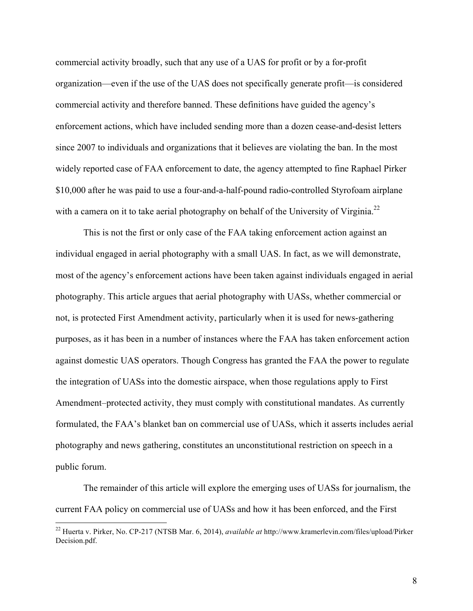commercial activity broadly, such that any use of a UAS for profit or by a for-profit organization—even if the use of the UAS does not specifically generate profit—is considered commercial activity and therefore banned. These definitions have guided the agency's enforcement actions, which have included sending more than a dozen cease-and-desist letters since 2007 to individuals and organizations that it believes are violating the ban. In the most widely reported case of FAA enforcement to date, the agency attempted to fine Raphael Pirker \$10,000 after he was paid to use a four-and-a-half-pound radio-controlled Styrofoam airplane with a camera on it to take aerial photography on behalf of the University of Virginia.<sup>22</sup>

This is not the first or only case of the FAA taking enforcement action against an individual engaged in aerial photography with a small UAS. In fact, as we will demonstrate, most of the agency's enforcement actions have been taken against individuals engaged in aerial photography. This article argues that aerial photography with UASs, whether commercial or not, is protected First Amendment activity, particularly when it is used for news-gathering purposes, as it has been in a number of instances where the FAA has taken enforcement action against domestic UAS operators. Though Congress has granted the FAA the power to regulate the integration of UASs into the domestic airspace, when those regulations apply to First Amendment–protected activity, they must comply with constitutional mandates. As currently formulated, the FAA's blanket ban on commercial use of UASs, which it asserts includes aerial photography and news gathering, constitutes an unconstitutional restriction on speech in a public forum.

The remainder of this article will explore the emerging uses of UASs for journalism, the current FAA policy on commercial use of UASs and how it has been enforced, and the First

 <sup>22</sup> Huerta v. Pirker, No. CP-217 (NTSB Mar. 6, 2014), *available at* [http://www.kramerlevin.com/files/upload/Pirker](http://www.kramerlevin.com/files/upload/PirkerDecision.pdf) [Decision.pdf.](http://www.kramerlevin.com/files/upload/PirkerDecision.pdf)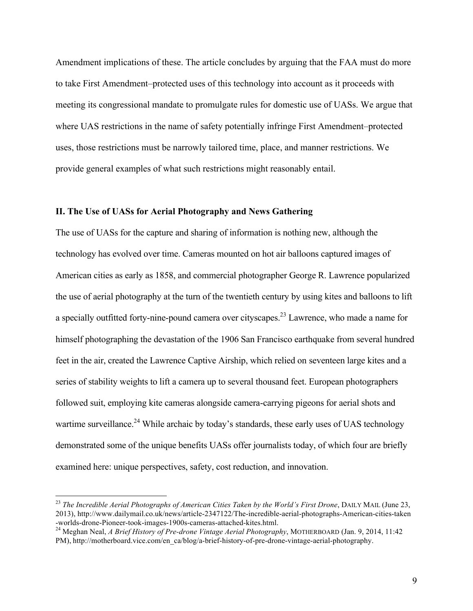Amendment implications of these. The article concludes by arguing that the FAA must do more to take First Amendment–protected uses of this technology into account as it proceeds with meeting its congressional mandate to promulgate rules for domestic use of UASs. We argue that where UAS restrictions in the name of safety potentially infringe First Amendment–protected uses, those restrictions must be narrowly tailored time, place, and manner restrictions. We provide general examples of what such restrictions might reasonably entail.

### **II. The Use of UASs for Aerial Photography and News Gathering**

The use of UASs for the capture and sharing of information is nothing new, although the technology has evolved over time. Cameras mounted on hot air balloons captured images of American cities as early as 1858, and commercial photographer George R. Lawrence popularized the use of aerial photography at the turn of the twentieth century by using kites and balloons to lift a specially outfitted forty-nine-pound camera over cityscapes.<sup>23</sup> Lawrence, who made a name for himself photographing the devastation of the 1906 San Francisco earthquake from several hundred feet in the air, created the Lawrence Captive Airship, which relied on seventeen large kites and a series of stability weights to lift a camera up to several thousand feet. European photographers followed suit, employing kite cameras alongside camera-carrying pigeons for aerial shots and wartime surveillance.<sup>24</sup> While archaic by today's standards, these early uses of UAS technology demonstrated some of the unique benefits UASs offer journalists today, of which four are briefly examined here: unique perspectives, safety, cost reduction, and innovation.

<sup>&</sup>lt;sup>23</sup> The Incredible Aerial Photographs of American Cities Taken by the World's First Drone, DAILY MAIL (June 23, 2013), [http://www.dailymail.co.uk/news/article-2347122/The-incredible-aerial-photographs-American-cities-taken](http://www.dailymail.co.uk/news/article-2347122/The-incredible-aerial-photographs-American-cities-taken-worlds-drone-Pioneer-took-images-1900s-cameras-attached-kites.html)

<sup>&</sup>lt;sup>24</sup> Meghan Neal, *A Brief History of Pre-drone Vintage Aerial Photography*, MOTHERBOARD (Jan. 9, 2014, 11:42 PM), [http://motherboard.vice.com/en\\_ca/blog/a-brief-history-of-pre-drone-vintage-aerial-photography.](http://motherboard.vice.com/en_ca/blog/a-brief-history-of-pre-drone-vintage-aerial-photography)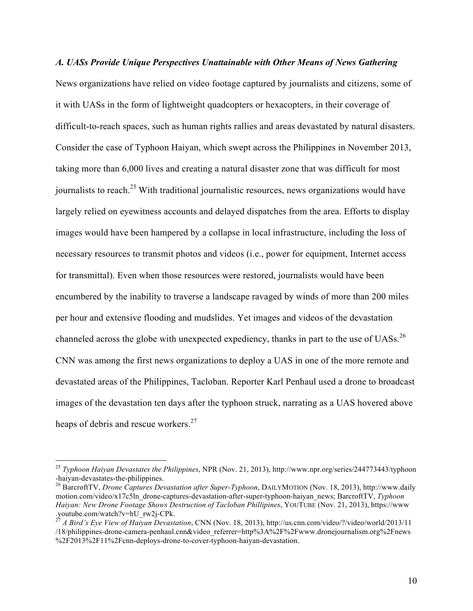*A. UASs Provide Unique Perspectives Unattainable with Other Means of News Gathering* News organizations have relied on video footage captured by journalists and citizens, some of it with UASs in the form of lightweight quadcopters or hexacopters, in their coverage of difficult-to-reach spaces, such as human rights rallies and areas devastated by natural disasters. Consider the case of Typhoon Haiyan, which swept across the Philippines in November 2013, taking more than 6,000 lives and creating a natural disaster zone that was difficult for most journalists to reach.<sup>25</sup> With traditional journalistic resources, news organizations would have largely relied on eyewitness accounts and delayed dispatches from the area. Efforts to display images would have been hampered by a collapse in local infrastructure, including the loss of necessary resources to transmit photos and videos (i.e., power for equipment, Internet access for transmittal). Even when those resources were restored, journalists would have been encumbered by the inability to traverse a landscape ravaged by winds of more than 200 miles per hour and extensive flooding and mudslides. Yet images and videos of the devastation channeled across the globe with unexpected expediency, thanks in part to the use of UASs.<sup>26</sup> CNN was among the first news organizations to deploy a UAS in one of the more remote and devastated areas of the Philippines, Tacloban. Reporter Karl Penhaul used a drone to broadcast images of the devastation ten days after the typhoon struck, narrating as a UAS hovered above heaps of debris and rescue workers.<sup>27</sup>

 <sup>25</sup> *Typhoon Haiyan Devastates the Philippines*, NPR (Nov. 21, 2013), [http://www.npr.org/series/244773443/typhoon](http://www.npr.org/series/244773443/typhoon-haiyan-devastates-the-philippines) [-haiyan-devastates-the-philippines](http://www.npr.org/series/244773443/typhoon-haiyan-devastates-the-philippines). <sup>26</sup> BarcroftTV, *Drone Captures Devastation after Super-Typhoon*, DAILYMOTION (Nov. 18, 2013), [http://www.daily](http://www.dailymotion.com/video/x17c5ln_drone-captures-devastation-after-super-typhoon-haiyan_news)

[motion.com/video/x17c5ln\\_drone-captures-devastation-after-super-typhoon-haiyan\\_news;](http://www.dailymotion.com/video/x17c5ln_drone-captures-devastation-after-super-typhoon-haiyan_news) BarcroftTV, *Typhoon Haiyan: New Drone Footage Shows Destruction of Tacloban Phillipines*, YOUTUBE (Nov. 21, 2013), [https://www](https://www.youtube.com/watch?v=hU_rw2j-CPk) [.youtube.com/watch?v=hU\\_rw2j-CPk.](https://www.youtube.com/watch?v=hU_rw2j-CPk) <sup>27</sup> *A Bird's Eye View of Haiyan Devastation*, CNN (Nov. 18, 2013), [http://us.cnn.com/video/?/video/world/2013/11](http://us.cnn.com/video/?/video/world/2013/11/18/philippines-drone-camera-penhaul.cnn&video_referrer=http%3A%2F%2Fwww.dronejournalism.org%2Fnews%2F2013%2F11%2Fcnn-deploys-drone-to-cover-typhoon-haiyan-devastation)

[<sup>/18/</sup>philippines-drone-camera-penhaul.cnn&video\\_referrer=http%3A%2F%2Fwww.dronejournalism.org%2Fnews](http://us.cnn.com/video/?/video/world/2013/11/18/philippines-drone-camera-penhaul.cnn&video_referrer=http%3A%2F%2Fwww.dronejournalism.org%2Fnews%2F2013%2F11%2Fcnn-deploys-drone-to-cover-typhoon-haiyan-devastation) [%2F2013%2F11%2Fcnn-deploys-drone-to-cover-typhoon-haiyan-devastation](http://us.cnn.com/video/?/video/world/2013/11/18/philippines-drone-camera-penhaul.cnn&video_referrer=http%3A%2F%2Fwww.dronejournalism.org%2Fnews%2F2013%2F11%2Fcnn-deploys-drone-to-cover-typhoon-haiyan-devastation).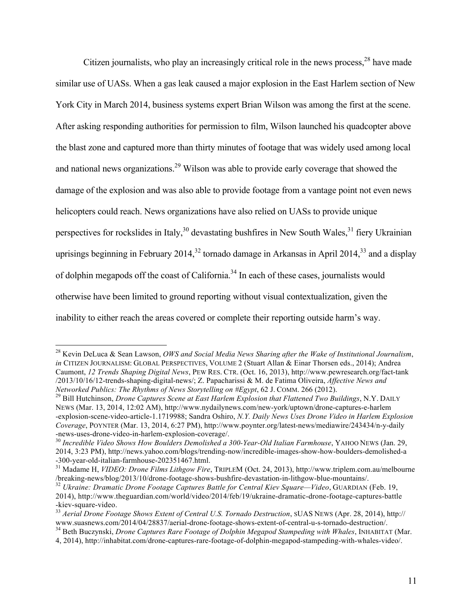Citizen journalists, who play an increasingly critical role in the news process,  $28$  have made similar use of UASs. When a gas leak caused a major explosion in the East Harlem section of New York City in March 2014, business systems expert Brian Wilson was among the first at the scene. After asking responding authorities for permission to film, Wilson launched his quadcopter above the blast zone and captured more than thirty minutes of footage that was widely used among local and national news organizations.<sup>29</sup> Wilson was able to provide early coverage that showed the damage of the explosion and was also able to provide footage from a vantage point not even news helicopters could reach. News organizations have also relied on UASs to provide unique perspectives for rockslides in Italy,<sup>30</sup> devastating bushfires in New South Wales,<sup>31</sup> fiery Ukrainian uprisings beginning in February 2014,<sup>32</sup> tornado damage in Arkansas in April 2014,<sup>33</sup> and a display of dolphin megapods off the coast of California.<sup>34</sup> In each of these cases, journalists would otherwise have been limited to ground reporting without visual contextualization, given the inability to either reach the areas covered or complete their reporting outside harm's way.

 <sup>28</sup> Kevin DeLuca & Sean Lawson, *OWS and Social Media News Sharing after the Wake of Institutional Journalism*, *in* CITIZEN JOURNALISM: GLOBAL PERSPECTIVES, VOLUME 2 (Stuart Allan & Einar Thorsen eds., 2014); Andrea Caumont, *12 Trends Shaping Digital News*, PEW RES. CTR. (Oct. 16, 2013), [http://www.pewresearch.org/fact-tank](http://www.pewresearch.org/fact-tank/2013/10/16/12-trends-shaping-digital-news/) [/2013/10/16/12-trends-shaping-digital-news/;](http://www.pewresearch.org/fact-tank/2013/10/16/12-trends-shaping-digital-news/) Z. Papacharissi & M. de Fatima Oliveira, *Affective News and* 

<sup>&</sup>lt;sup>29</sup> Bill Hutchinson, *Drone Captures Scene at East Harlem Explosion that Flattened Two Buildings*, N.Y. DAILY NEWS (Mar. 13, 2014, 12:02 AM), [http://www.nydailynews.com/new-york/uptown/drone-captures-e-harlem](http://www.nydailynews.com/new-york/uptown/drone-captures-e-harlem-explosion-scene-video-article-1.1719988) [-explosion-scene-video-article-1.1719988;](http://www.nydailynews.com/new-york/uptown/drone-captures-e-harlem-explosion-scene-video-article-1.1719988) Sandra Oshiro, *N.Y. Daily News Uses Drone Video in Harlem Explosion Coverage*, POYNTER (Mar. 13, 2014, 6:27 PM), [http://www.poynter.org/latest-news/mediawire/243434/n-y-daily](http://www.poynter.org/latest-news/mediawire/243434/n-y-daily-news-uses-drone-video-in-harlem-explosion-coverage/) [-news-uses-drone-video-in-harlem-explosion-coverage/.](http://www.poynter.org/latest-news/mediawire/243434/n-y-daily-news-uses-drone-video-in-harlem-explosion-coverage/) <sup>30</sup> *Incredible Video Shows How Boulders Demolished a 300-Year-Old Italian Farmhouse*, YAHOO NEWS (Jan. 29,

<sup>2014, 3:23</sup> PM), [http://news.yahoo.com/blogs/trending-now/incredible-images-show-how-boulders-demolished-a](http://news.yahoo.com/blogs/trending-now/incredible-images-show-how-boulders-demolished-a-300-year-old-italian-farmhouse-202351467.html) [-300-year-old-italian-farmhouse-202351467.html.](http://news.yahoo.com/blogs/trending-now/incredible-images-show-how-boulders-demolished-a-300-year-old-italian-farmhouse-202351467.html) <sup>31</sup> Madame H, *VIDEO: Drone Films Lithgow Fire*, TRIPLEM (Oct. 24, 2013), [http://www.triplem.com.au/melbourne](http://www.triplem.com.au/melbourne/breaking-news/blog/2013/10/drone-footage-shows-bushfire-devastation-in-lithgow-blue-mountains/)

[<sup>/</sup>breaking-news/blog/2013/10/drone-footage-shows-bushfire-devastation-in-lithgow-blue-mountains/.](http://www.triplem.com.au/melbourne/breaking-news/blog/2013/10/drone-footage-shows-bushfire-devastation-in-lithgow-blue-mountains/) <sup>32</sup> *Ukraine: Dramatic Drone Footage Captures Battle for Central Kiev Square—Video*, GUARDIAN (Feb. 19,

<sup>2014),</sup> [http://www.theguardian.com/world/video/2014/feb/19/ukraine-dramatic-drone-footage-captures-battle](http://www.theguardian.com/world/video/2014/feb/19/ukraine-dramatic-drone-footage-captures-battle-kiev-square-video)

[<sup>-</sup>kiev-square-video](http://www.theguardian.com/world/video/2014/feb/19/ukraine-dramatic-drone-footage-captures-battle-kiev-square-video).<br><sup>33</sup> *Aerial Drone Footage Shows Extent of Central U.S. Tornado Destruction*, SUAS NEWS (Apr. 28, 2014), [http://](http://www.suasnews.com/2014/04/28837/aerial-drone-footage-shows-extent-of-central-u-s-tornado-destruction/)<br>www.suasnews.com/2014/04/28837/aerial-drone-footage-shows-extent-of-central-u-s-tornado-d

<sup>&</sup>lt;sup>34</sup> Beth Buczynski, *Drone Captures Rare Footage of Dolphin Megapod Stampeding with Whales*, INHABITAT (Mar.

<sup>4, 2014),</sup> [http://inhabitat.com/drone-captures-rare-footage-of-dolphin-megapod-stampeding-with-whales-video/.](http://inhabitat.com/drone-captures-rare-footage-of-dolphin-megapod-stampeding-with-whales-video/)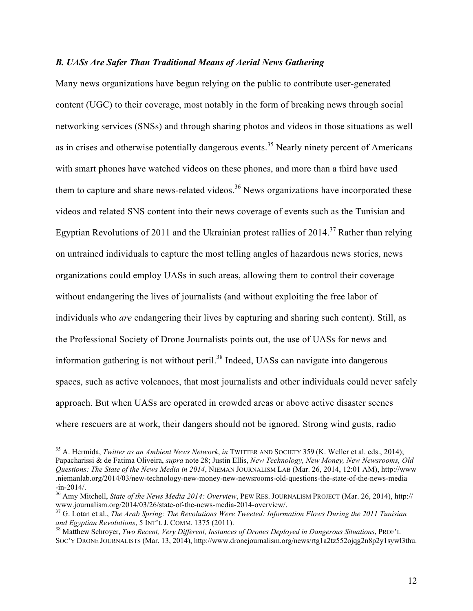### *B. UASs Are Safer Than Traditional Means of Aerial News Gathering*

Many news organizations have begun relying on the public to contribute user-generated content (UGC) to their coverage, most notably in the form of breaking news through social networking services (SNSs) and through sharing photos and videos in those situations as well as in crises and otherwise potentially dangerous events.<sup>35</sup> Nearly ninety percent of Americans with smart phones have watched videos on these phones, and more than a third have used them to capture and share news-related videos.<sup>36</sup> News organizations have incorporated these videos and related SNS content into their news coverage of events such as the Tunisian and Egyptian Revolutions of 2011 and the Ukrainian protest rallies of 2014.<sup>37</sup> Rather than relying on untrained individuals to capture the most telling angles of hazardous news stories, news organizations could employ UASs in such areas, allowing them to control their coverage without endangering the lives of journalists (and without exploiting the free labor of individuals who *are* endangering their lives by capturing and sharing such content). Still, as the Professional Society of Drone Journalists points out, the use of UASs for news and information gathering is not without peril.<sup>38</sup> Indeed, UASs can navigate into dangerous spaces, such as active volcanoes, that most journalists and other individuals could never safely approach. But when UASs are operated in crowded areas or above active disaster scenes where rescuers are at work, their dangers should not be ignored. Strong wind gusts, radio

 <sup>35</sup> A. Hermida, *Twitter as an Ambient News Network*, *in* TWITTER AND SOCIETY 359 (K. Weller et al. eds., 2014); Papacharissi & de Fatima Oliveira, *supra* note 28; Justin Ellis, *New Technology, New Money, New Newsrooms, Old Questions: The State of the News Media in 2014*, NIEMAN JOURNALISM LAB (Mar. 26, 2014, 12:01 AM), [http://www](http://www.niemanlab.org/2014/03/new-technology-new-money-new-newsrooms-old-questions-the-state-of-the-news-media-in-2014/) [.niemanlab.org/2014/03/new-technology-new-money-new-newsrooms-old-questions-the-state-of-the-news-media](http://www.niemanlab.org/2014/03/new-technology-new-money-new-newsrooms-old-questions-the-state-of-the-news-media-in-2014/)

[<sup>-</sup>in-2014/](http://www.niemanlab.org/2014/03/new-technology-new-money-new-newsrooms-old-questions-the-state-of-the-news-media-in-2014/). <sup>36</sup> Amy Mitchell, *State of the News Media 2014: Overview*, PEW RES. JOURNALISM PROJECT (Mar. 26, 2014), [http://](http://www.journalism.org/2014/03/26/state-of-the-news-media-2014-overview/)

<sup>&</sup>lt;sup>37</sup> G. Lotan et al., *The Arab Spring: The Revolutions Were Tweeted: Information Flows During the 2011 Tunisian and Egyptian Revolutions, 5 INT'L J. COMM. 1375 (2011).* 

<sup>&</sup>lt;sup>38</sup> Matthew Schroyer, *Two Recent, Very Different, Instances of Drones Deployed in Dangerous Situations*, PROF'L SOC'Y DRONE JOURNALISTS (Mar. 13, 2014), [http://www.dronejournalism.org/news/rtg1a2tz552ojqg2n8p2y1sywl3thu.](http://www.dronejournalism.org/news/rtg1a2tz552ojqg2n8p2y1sywl3thu)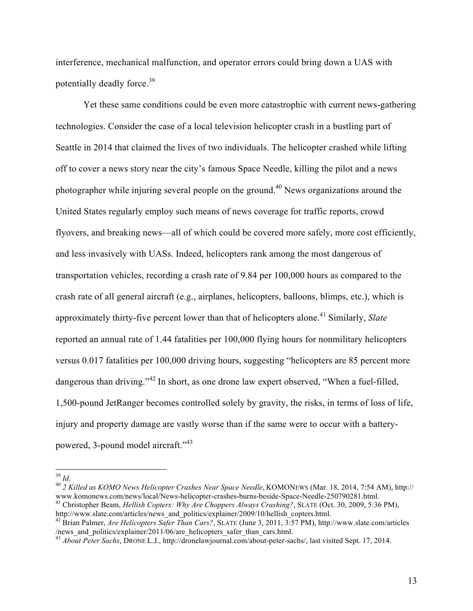interference, mechanical malfunction, and operator errors could bring down a UAS with potentially deadly force.<sup>39</sup>

Yet these same conditions could be even more catastrophic with current news-gathering technologies. Consider the case of a local television helicopter crash in a bustling part of Seattle in 2014 that claimed the lives of two individuals. The helicopter crashed while lifting off to cover a news story near the city's famous Space Needle, killing the pilot and a news photographer while injuring several people on the ground.<sup>40</sup> News organizations around the United States regularly employ such means of news coverage for traffic reports, crowd flyovers, and breaking news—all of which could be covered more safely, more cost efficiently, and less invasively with UASs. Indeed, helicopters rank among the most dangerous of transportation vehicles, recording a crash rate of 9.84 per 100,000 hours as compared to the crash rate of all general aircraft (e.g., airplanes, helicopters, balloons, blimps, etc.), which is approximately thirty-five percent lower than that of helicopters alone. <sup>41</sup> Similarly, *Slate* reported an annual rate of 1.44 fatalities per 100,000 flying hours for nonmilitary helicopters versus 0.017 fatalities per 100,000 driving hours, suggesting "helicopters are 85 percent more dangerous than driving."<sup>42</sup> In short, as one drone law expert observed, "When a fuel-filled, 1,500-pound JetRanger becomes controlled solely by gravity, the risks, in terms of loss of life, injury and property damage are vastly worse than if the same were to occur with a batterypowered, 3-pound model aircraft."<sup>43</sup>

<sup>39</sup> *Id.* <sup>40</sup> *2 Killed as KOMO News Helicopter Crashes Near Space Needle*, KOMONEWS (Mar. 18, 2014, 7:54 AM), [http://](http://www.komonews.com/news/local/News-helicopter-crashes-burns-beside-Space-Needle-250790281.html)

[www.komonews.com/news/local/News-helicopter-crashes-burns-beside-Space-Needle-250790281.html.](http://www.komonews.com/news/local/News-helicopter-crashes-burns-beside-Space-Needle-250790281.html)<br><sup>41</sup> Christopher Beam, *Hellish Copters: Why Are Choppers Always Crashing?*, SLATE (Oct. 30, 2009, 5:36 PM),<br>http://www.slate.co

<sup>&</sup>lt;sup>42</sup> Brian Palmer, *Are Helicopters Safer Than Cars?*, SLATE (June 3, 2011, 3:57 PM), [http://www.slate.com/articles](http://www.slate.com/articles/news_and_politics/explainer/2011/06/are_helicopters_safer_than_cars.html) [/news\\_and\\_politics/explainer/2011/06/are\\_helicopters\\_safer\\_than\\_cars.html](http://www.slate.com/articles/news_and_politics/explainer/2011/06/are_helicopters_safer_than_cars.html).

<sup>43</sup> *About Peter Sachs*, DRONE L.J., <http://dronelawjournal.com/about-peter-sachs/>, last visited Sept. 17, 2014.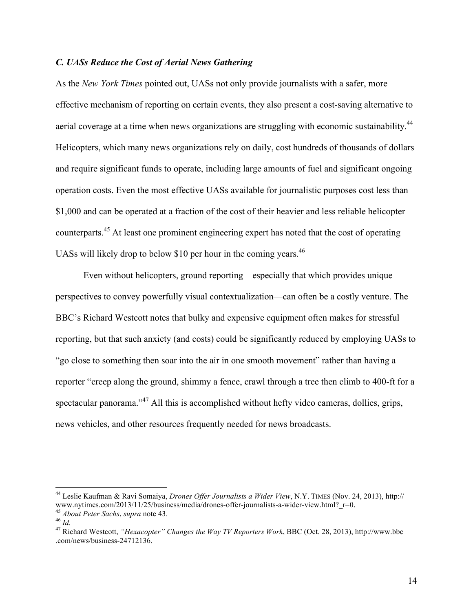### *C. UASs Reduce the Cost of Aerial News Gathering*

As the *New York Times* pointed out, UASs not only provide journalists with a safer, more effective mechanism of reporting on certain events, they also present a cost-saving alternative to aerial coverage at a time when news organizations are struggling with economic sustainability.<sup>44</sup> Helicopters, which many news organizations rely on daily, cost hundreds of thousands of dollars and require significant funds to operate, including large amounts of fuel and significant ongoing operation costs. Even the most effective UASs available for journalistic purposes cost less than \$1,000 and can be operated at a fraction of the cost of their heavier and less reliable helicopter counterparts.<sup>45</sup> At least one prominent engineering expert has noted that the cost of operating UASs will likely drop to below \$10 per hour in the coming years.<sup>46</sup>

Even without helicopters, ground reporting—especially that which provides unique perspectives to convey powerfully visual contextualization—can often be a costly venture. The BBC's Richard Westcott notes that bulky and expensive equipment often makes for stressful reporting, but that such anxiety (and costs) could be significantly reduced by employing UASs to "go close to something then soar into the air in one smooth movement" rather than having a reporter "creep along the ground, shimmy a fence, crawl through a tree then climb to 400-ft for a spectacular panorama."<sup>47</sup> All this is accomplished without hefty video cameras, dollies, grips, news vehicles, and other resources frequently needed for news broadcasts.

<sup>&</sup>lt;sup>44</sup> Leslie Kaufman & Ravi Somaiya, *Drones Offer Journalists a Wider View*, N.Y. TIMES (Nov. 24, 2013), [http://](http://www.nytimes.com/2013/11/25/business/media/drones-offer-journalists-a-wider-view.html?_r=0)<br>www.nytimes.com/2013/11/25/business/media/drones-offer-journalists-a-wider-view.html? r=0.

<sup>&</sup>lt;sup>45</sup> *About Peter Sachs, supra* note 43.<br><sup>46</sup> *Id.*<br><sup>47</sup> Richard Westcott, "Hexacopter" Changes the Way TV Reporters Work, BBC (Oct. 28, 2013), [http://www.bbc](http://www.bbc.com/news/business-24712136) [.com/news/business-24712136](http://www.bbc.com/news/business-24712136).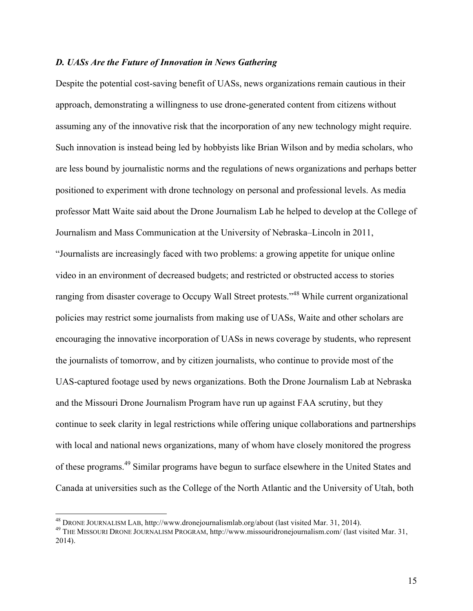### *D. UASs Are the Future of Innovation in News Gathering*

Despite the potential cost-saving benefit of UASs, news organizations remain cautious in their approach, demonstrating a willingness to use drone-generated content from citizens without assuming any of the innovative risk that the incorporation of any new technology might require. Such innovation is instead being led by hobbyists like Brian Wilson and by media scholars, who are less bound by journalistic norms and the regulations of news organizations and perhaps better positioned to experiment with drone technology on personal and professional levels. As media professor Matt Waite said about the Drone Journalism Lab he helped to develop at the College of Journalism and Mass Communication at the University of Nebraska–Lincoln in 2011, "Journalists are increasingly faced with two problems: a growing appetite for unique online video in an environment of decreased budgets; and restricted or obstructed access to stories ranging from disaster coverage to Occupy Wall Street protests."<sup>48</sup> While current organizational policies may restrict some journalists from making use of UASs, Waite and other scholars are encouraging the innovative incorporation of UASs in news coverage by students, who represent the journalists of tomorrow, and by citizen journalists, who continue to provide most of the UAS-captured footage used by news organizations. Both the Drone Journalism Lab at Nebraska and the Missouri Drone Journalism Program have run up against FAA scrutiny, but they continue to seek clarity in legal restrictions while offering unique collaborations and partnerships with local and national news organizations, many of whom have closely monitored the progress of these programs.<sup>49</sup> Similar programs have begun to surface elsewhere in the United States and Canada at universities such as the College of the North Atlantic and the University of Utah, both

<sup>&</sup>lt;sup>48</sup> DRONE JOURNALISM LAB, <http://www.dronejournalismlab.org/about> (last visited Mar. 31, 2014).<br><sup>49</sup> THE MISSOURI DRONE JOURNALISM PROGRAM, <http://www.missouridronejournalism.com/>(last visited Mar. 31, 2014).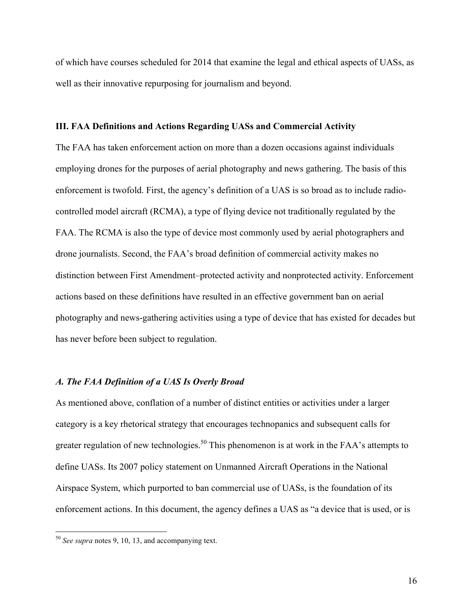of which have courses scheduled for 2014 that examine the legal and ethical aspects of UASs, as well as their innovative repurposing for journalism and beyond.

#### **III. FAA Definitions and Actions Regarding UASs and Commercial Activity**

The FAA has taken enforcement action on more than a dozen occasions against individuals employing drones for the purposes of aerial photography and news gathering. The basis of this enforcement is twofold. First, the agency's definition of a UAS is so broad as to include radiocontrolled model aircraft (RCMA), a type of flying device not traditionally regulated by the FAA. The RCMA is also the type of device most commonly used by aerial photographers and drone journalists. Second, the FAA's broad definition of commercial activity makes no distinction between First Amendment–protected activity and nonprotected activity. Enforcement actions based on these definitions have resulted in an effective government ban on aerial photography and news-gathering activities using a type of device that has existed for decades but has never before been subject to regulation.

### *A. The FAA Definition of a UAS Is Overly Broad*

As mentioned above, conflation of a number of distinct entities or activities under a larger category is a key rhetorical strategy that encourages technopanics and subsequent calls for greater regulation of new technologies.<sup>50</sup> This phenomenon is at work in the FAA's attempts to define UASs. Its 2007 policy statement on Unmanned Aircraft Operations in the National Airspace System, which purported to ban commercial use of UASs, is the foundation of its enforcement actions. In this document, the agency defines a UAS as "a device that is used, or is

 <sup>50</sup> *See supra* notes 9, 10, 13, and accompanying text.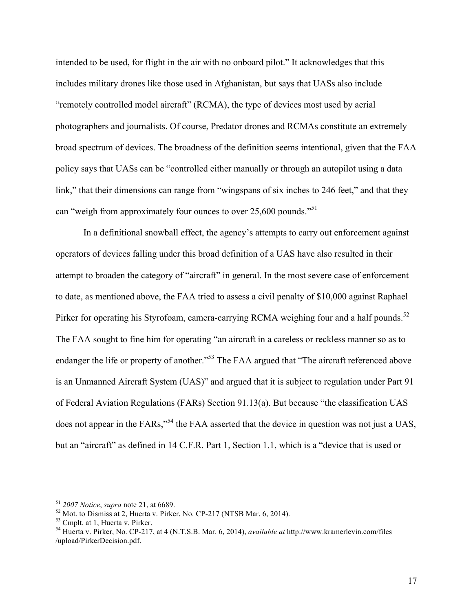intended to be used, for flight in the air with no onboard pilot." It acknowledges that this includes military drones like those used in Afghanistan, but says that UASs also include "remotely controlled model aircraft" (RCMA), the type of devices most used by aerial photographers and journalists. Of course, Predator drones and RCMAs constitute an extremely broad spectrum of devices. The broadness of the definition seems intentional, given that the FAA policy says that UASs can be "controlled either manually or through an autopilot using a data link," that their dimensions can range from "wingspans of six inches to 246 feet," and that they can "weigh from approximately four ounces to over 25,600 pounds."<sup>51</sup>

In a definitional snowball effect, the agency's attempts to carry out enforcement against operators of devices falling under this broad definition of a UAS have also resulted in their attempt to broaden the category of "aircraft" in general. In the most severe case of enforcement to date, as mentioned above, the FAA tried to assess a civil penalty of \$10,000 against Raphael Pirker for operating his Styrofoam, camera-carrying RCMA weighing four and a half pounds.<sup>52</sup> The FAA sought to fine him for operating "an aircraft in a careless or reckless manner so as to endanger the life or property of another."<sup>53</sup> The FAA argued that "The aircraft referenced above is an Unmanned Aircraft System (UAS)" and argued that it is subject to regulation under Part 91 of Federal Aviation Regulations (FARs) Section 91.13(a). But because "the classification UAS does not appear in the FARs,"<sup>54</sup> the FAA asserted that the device in question was not just a UAS, but an "aircraft" as defined in 14 C.F.R. Part 1, Section 1.1, which is a "device that is used or

<sup>&</sup>lt;sup>51</sup> 2007 Notice, supra note 21, at 6689.<br><sup>52</sup> Mot. to Dismiss at 2, Huerta v. Pirker, No. CP-217 (NTSB Mar. 6, 2014).<br><sup>53</sup> Cmplt. at 1, Huerta v. Pirker.<br><sup>54</sup> Huerta v. Pirker, No. CP-217, at 4 (N.T.S.B. Mar. 6, 2014), [/upload/PirkerDecision.pdf.](http://www.kramerlevin.com/files/upload/PirkerDecision.pdf)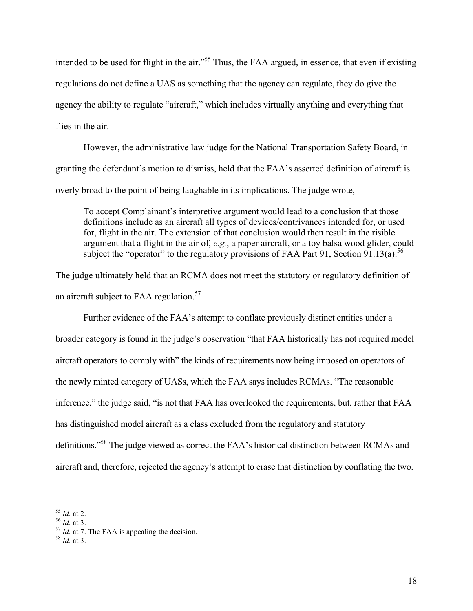intended to be used for flight in the air."<sup>55</sup> Thus, the FAA argued, in essence, that even if existing regulations do not define a UAS as something that the agency can regulate, they do give the agency the ability to regulate "aircraft," which includes virtually anything and everything that flies in the air.

However, the administrative law judge for the National Transportation Safety Board, in granting the defendant's motion to dismiss, held that the FAA's asserted definition of aircraft is overly broad to the point of being laughable in its implications. The judge wrote,

To accept Complainant's interpretive argument would lead to a conclusion that those definitions include as an aircraft all types of devices/contrivances intended for, or used for, flight in the air. The extension of that conclusion would then result in the risible argument that a flight in the air of, *e.g.*, a paper aircraft, or a toy balsa wood glider, could subject the "operator" to the regulatory provisions of FAA Part 91, Section 91.13(a).<sup>56</sup>

The judge ultimately held that an RCMA does not meet the statutory or regulatory definition of an aircraft subject to FAA regulation.<sup>57</sup>

Further evidence of the FAA's attempt to conflate previously distinct entities under a broader category is found in the judge's observation "that FAA historically has not required model aircraft operators to comply with" the kinds of requirements now being imposed on operators of the newly minted category of UASs, which the FAA says includes RCMAs. "The reasonable inference," the judge said, "is not that FAA has overlooked the requirements, but, rather that FAA has distinguished model aircraft as a class excluded from the regulatory and statutory definitions."58 The judge viewed as correct the FAA's historical distinction between RCMAs and aircraft and, therefore, rejected the agency's attempt to erase that distinction by conflating the two.

<sup>55</sup> *Id.* at 2. <sup>56</sup> *Id.* at 3. <sup>57</sup> *Id.* at 7. The FAA is appealing the decision. <sup>58</sup> *Id.* at 3.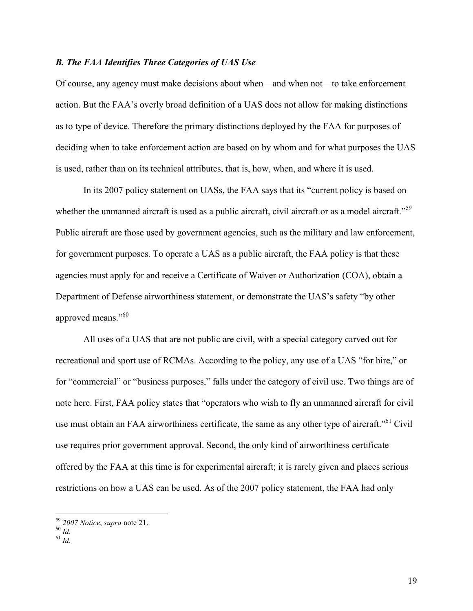### *B. The FAA Identifies Three Categories of UAS Use*

Of course, any agency must make decisions about when—and when not—to take enforcement action. But the FAA's overly broad definition of a UAS does not allow for making distinctions as to type of device. Therefore the primary distinctions deployed by the FAA for purposes of deciding when to take enforcement action are based on by whom and for what purposes the UAS is used, rather than on its technical attributes, that is, how, when, and where it is used.

In its 2007 policy statement on UASs, the FAA says that its "current policy is based on whether the unmanned aircraft is used as a public aircraft, civil aircraft or as a model aircraft."<sup>59</sup> Public aircraft are those used by government agencies, such as the military and law enforcement, for government purposes. To operate a UAS as a public aircraft, the FAA policy is that these agencies must apply for and receive a Certificate of Waiver or Authorization (COA), obtain a Department of Defense airworthiness statement, or demonstrate the UAS's safety "by other approved means."<sup>60</sup>

All uses of a UAS that are not public are civil, with a special category carved out for recreational and sport use of RCMAs. According to the policy, any use of a UAS "for hire," or for "commercial" or "business purposes," falls under the category of civil use. Two things are of note here. First, FAA policy states that "operators who wish to fly an unmanned aircraft for civil use must obtain an FAA airworthiness certificate, the same as any other type of aircraft."<sup>61</sup> Civil use requires prior government approval. Second, the only kind of airworthiness certificate offered by the FAA at this time is for experimental aircraft; it is rarely given and places serious restrictions on how a UAS can be used. As of the 2007 policy statement, the FAA had only

<sup>59</sup> *2007 Notice*, *supra* note 21. <sup>60</sup> *Id.* <sup>61</sup> *Id.*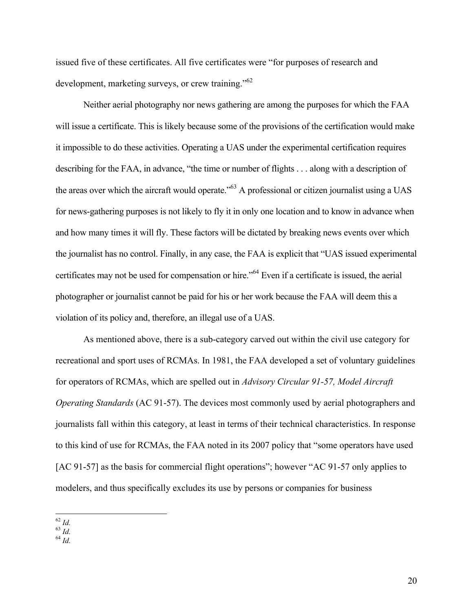issued five of these certificates. All five certificates were "for purposes of research and development, marketing surveys, or crew training."<sup>62</sup>

Neither aerial photography nor news gathering are among the purposes for which the FAA will issue a certificate. This is likely because some of the provisions of the certification would make it impossible to do these activities. Operating a UAS under the experimental certification requires describing for the FAA, in advance, "the time or number of flights . . . along with a description of the areas over which the aircraft would operate.<sup>563</sup> A professional or citizen journalist using a UAS for news-gathering purposes is not likely to fly it in only one location and to know in advance when and how many times it will fly. These factors will be dictated by breaking news events over which the journalist has no control. Finally, in any case, the FAA is explicit that "UAS issued experimental certificates may not be used for compensation or hire."64 Even if a certificate is issued, the aerial photographer or journalist cannot be paid for his or her work because the FAA will deem this a violation of its policy and, therefore, an illegal use of a UAS.

As mentioned above, there is a sub-category carved out within the civil use category for recreational and sport uses of RCMAs. In 1981, the FAA developed a set of voluntary guidelines for operators of RCMAs, which are spelled out in *Advisory Circular 91-57, Model Aircraft Operating Standards* (AC 91-57). The devices most commonly used by aerial photographers and journalists fall within this category, at least in terms of their technical characteristics. In response to this kind of use for RCMAs, the FAA noted in its 2007 policy that "some operators have used [AC 91-57] as the basis for commercial flight operations"; however "AC 91-57 only applies to modelers, and thus specifically excludes its use by persons or companies for business

- 62 *Id.* 63 *Id.* 64 *Id.*
-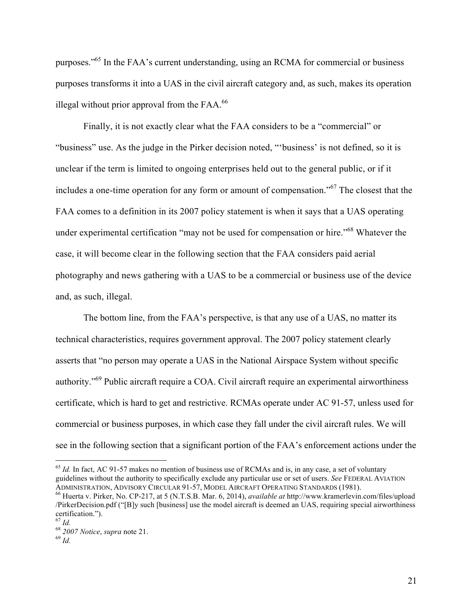purposes."65 In the FAA's current understanding, using an RCMA for commercial or business purposes transforms it into a UAS in the civil aircraft category and, as such, makes its operation illegal without prior approval from the  $FAA$ .<sup>66</sup>

Finally, it is not exactly clear what the FAA considers to be a "commercial" or "business" use. As the judge in the Pirker decision noted, "'business' is not defined, so it is unclear if the term is limited to ongoing enterprises held out to the general public, or if it includes a one-time operation for any form or amount of compensation."<sup>67</sup> The closest that the FAA comes to a definition in its 2007 policy statement is when it says that a UAS operating under experimental certification "may not be used for compensation or hire."<sup>68</sup> Whatever the case, it will become clear in the following section that the FAA considers paid aerial photography and news gathering with a UAS to be a commercial or business use of the device and, as such, illegal.

The bottom line, from the FAA's perspective, is that any use of a UAS, no matter its technical characteristics, requires government approval. The 2007 policy statement clearly asserts that "no person may operate a UAS in the National Airspace System without specific authority."69 Public aircraft require a COA. Civil aircraft require an experimental airworthiness certificate, which is hard to get and restrictive. RCMAs operate under AC 91-57, unless used for commercial or business purposes, in which case they fall under the civil aircraft rules. We will see in the following section that a significant portion of the FAA's enforcement actions under the

<sup>&</sup>lt;sup>65</sup> *Id.* In fact, AC 91-57 makes no mention of business use of RCMAs and is, in any case, a set of voluntary guidelines without the authority to specifically exclude any particular use or set of users. *See* FEDERAL AVIATION ADMINISTRATION, ADVISORY CIRCULAR 91-57, MODEL AIRCRAFT OPERATING STANDARDS (1981). <sup>66</sup> Huerta v. Pirker, No. CP-217, at 5 (N.T.S.B. Mar. 6, 2014), *available at* [http://www.kramerlevin.com/files/upload](http://www.kramerlevin.com/files/upload/PirkerDecision.pdf)

[<sup>/</sup>PirkerDecision.pdf](http://www.kramerlevin.com/files/upload/PirkerDecision.pdf) ("[B]y such [business] use the model aircraft is deemed an UAS, requiring special airworthiness certification.").<br> $67$  *Id.* 

<sup>67</sup> *Id.* <sup>68</sup> *2007 Notice*, *supra* note 21. <sup>69</sup> *Id.*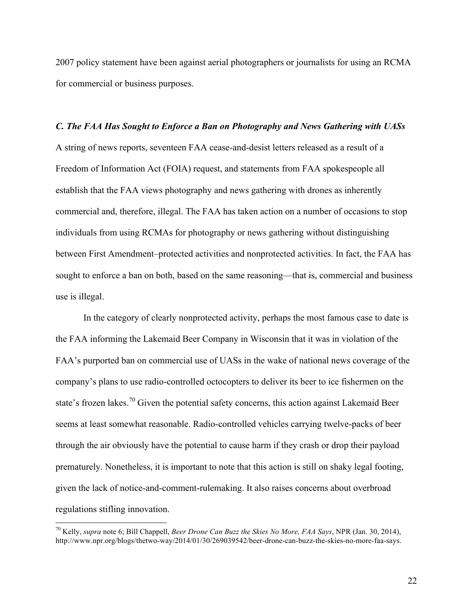2007 policy statement have been against aerial photographers or journalists for using an RCMA for commercial or business purposes.

# *C. The FAA Has Sought to Enforce a Ban on Photography and News Gathering with UASs* A string of news reports, seventeen FAA cease-and-desist letters released as a result of a Freedom of Information Act (FOIA) request, and statements from FAA spokespeople all establish that the FAA views photography and news gathering with drones as inherently commercial and, therefore, illegal. The FAA has taken action on a number of occasions to stop individuals from using RCMAs for photography or news gathering without distinguishing between First Amendment–protected activities and nonprotected activities. In fact, the FAA has sought to enforce a ban on both, based on the same reasoning—that is, commercial and business use is illegal.

In the category of clearly nonprotected activity, perhaps the most famous case to date is the FAA informing the Lakemaid Beer Company in Wisconsin that it was in violation of the FAA's purported ban on commercial use of UASs in the wake of national news coverage of the company's plans to use radio-controlled octocopters to deliver its beer to ice fishermen on the state's frozen lakes.<sup>70</sup> Given the potential safety concerns, this action against Lakemaid Beer seems at least somewhat reasonable. Radio-controlled vehicles carrying twelve-packs of beer through the air obviously have the potential to cause harm if they crash or drop their payload prematurely. Nonetheless, it is important to note that this action is still on shaky legal footing, given the lack of notice-and-comment-rulemaking. It also raises concerns about overbroad regulations stifling innovation.

 <sup>70</sup> Kelly, *supra* note 6; Bill Chappell, *Beer Drone Can Buzz the Skies No More, FAA Says*, NPR (Jan. 30, 2014), [http://www.npr.org/blogs/thetwo-way/2014/01/30/269039542/beer-drone-can-buzz-the-skies-no-more-faa-says.](http://www.npr.org/blogs/thetwo-way/2014/01/30/269039542/beer-drone-can-buzz-the-skies-no-more-faa-says)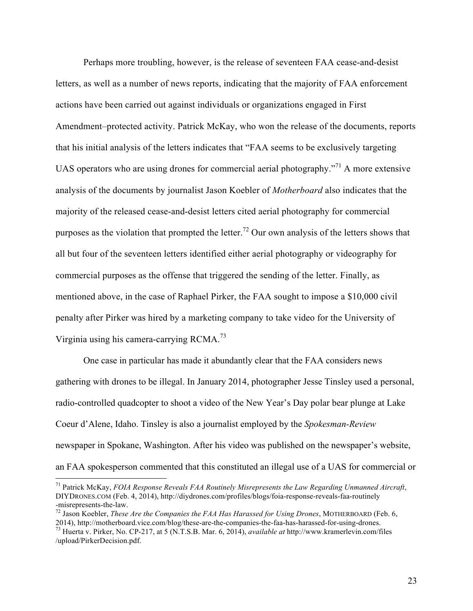Perhaps more troubling, however, is the release of seventeen FAA cease-and-desist letters, as well as a number of news reports, indicating that the majority of FAA enforcement actions have been carried out against individuals or organizations engaged in First Amendment–protected activity. Patrick McKay, who won the release of the documents, reports that his initial analysis of the letters indicates that "FAA seems to be exclusively targeting UAS operators who are using drones for commercial aerial photography.<sup> $271$ </sup> A more extensive analysis of the documents by journalist Jason Koebler of *Motherboard* also indicates that the majority of the released cease-and-desist letters cited aerial photography for commercial purposes as the violation that prompted the letter.<sup>72</sup> Our own analysis of the letters shows that all but four of the seventeen letters identified either aerial photography or videography for commercial purposes as the offense that triggered the sending of the letter. Finally, as mentioned above, in the case of Raphael Pirker, the FAA sought to impose a \$10,000 civil penalty after Pirker was hired by a marketing company to take video for the University of Virginia using his camera-carrying RCMA.<sup>73</sup>

One case in particular has made it abundantly clear that the FAA considers news gathering with drones to be illegal. In January 2014, photographer Jesse Tinsley used a personal, radio-controlled quadcopter to shoot a video of the New Year's Day polar bear plunge at Lake Coeur d'Alene, Idaho. Tinsley is also a journalist employed by the *Spokesman-Review* newspaper in Spokane, Washington. After his video was published on the newspaper's website, an FAA spokesperson commented that this constituted an illegal use of a UAS for commercial or

 <sup>71</sup> Patrick McKay, *FOIA Response Reveals FAA Routinely Misrepresents the Law Regarding Unmanned Aircraft*, DIYDRONES.COM (Feb. 4, 2014), [http://diydrones.com/profiles/blogs/foia-response-reveals-faa-routinely](http://diydrones.com/profiles/blogs/foia-response-reveals-faa-routinely-misrepresents-the-law)

<sup>&</sup>lt;sup>72</sup> Jason Koebler, *These Are the Companies the FAA Has Harassed for Using Drones*, MOTHERBOARD (Feb. 6, 2014), http://motherboard.vice.com/blog/these-are-the-companies-the-faa-has-harassed-for-using-drones.

<sup>&</sup>lt;sup>73</sup> Huerta v. Pirker, No. CP-217, at 5 (N.T.S.B. Mar. 6, 2014), *available at* [http://www.kramerlevin.com/files](http://www.kramerlevin.com/files/upload/PirkerDecision.pdf) [/upload/PirkerDecision.pdf.](http://www.kramerlevin.com/files/upload/PirkerDecision.pdf)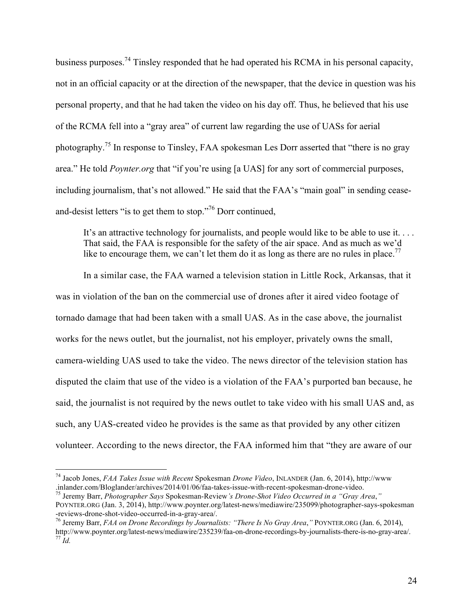business purposes.74 Tinsley responded that he had operated his RCMA in his personal capacity, not in an official capacity or at the direction of the newspaper, that the device in question was his personal property, and that he had taken the video on his day off. Thus, he believed that his use of the RCMA fell into a "gray area" of current law regarding the use of UASs for aerial photography.75 In response to Tinsley, FAA spokesman Les Dorr asserted that "there is no gray area." He told *Poynter.org* that "if you're using [a UAS] for any sort of commercial purposes, including journalism, that's not allowed." He said that the FAA's "main goal" in sending ceaseand-desist letters "is to get them to stop."<sup>76</sup> Dorr continued,

It's an attractive technology for journalists, and people would like to be able to use it. . . . That said, the FAA is responsible for the safety of the air space. And as much as we'd like to encourage them, we can't let them do it as long as there are no rules in place.<sup>77</sup>

In a similar case, the FAA warned a television station in Little Rock, Arkansas, that it was in violation of the ban on the commercial use of drones after it aired video footage of tornado damage that had been taken with a small UAS. As in the case above, the journalist works for the news outlet, but the journalist, not his employer, privately owns the small, camera-wielding UAS used to take the video. The news director of the television station has disputed the claim that use of the video is a violation of the FAA's purported ban because, he said, the journalist is not required by the news outlet to take video with his small UAS and, as such, any UAS-created video he provides is the same as that provided by any other citizen volunteer. According to the news director, the FAA informed him that "they are aware of our

 <sup>74</sup> Jacob Jones, *FAA Takes Issue with Recent* Spokesman *Drone Video*, INLANDER (Jan. 6, 2014), [http://www](http://www.inlander.com/Bloglander/archives/2014/01/06/faa-takes-issue-with-recent-spokesman-drone-video)

<sup>&</sup>lt;sup>75</sup> Jeremy Barr, *Photographer Says* Spokesman-Review's Drone-Shot Video Occurred in a "Gray Area," POYNTER.ORG (Jan. 3, 2014), [http://www.poynter.org/latest-news/mediawire/235099/photographer-says-spokesman](http://www.poynter.org/latest-news/mediawire/235099/photographer-says-spokesman-reviews-drone-shot-video-occurred-in-a-gray-area/) [-reviews-drone-shot-video-occurred-in-a-gray-area/](http://www.poynter.org/latest-news/mediawire/235099/photographer-says-spokesman-reviews-drone-shot-video-occurred-in-a-gray-area/).<br><sup>76</sup> Jeremy Barr, *FAA on Drone Recordings by Journalists: "There Is No Gray Area*," POYNTER.ORG (Jan. 6, 2014),

[http://www.poynter.org/latest-news/mediawire/235239/faa-on-drone-recordings-by-journalists-there-is-no-gray-area/.](http://www.poynter.org/latest-news/mediawire/235239/faa-on-drone-recordings-by-journalists-there-is-no-gray-area/) <sup>77</sup> *Id.*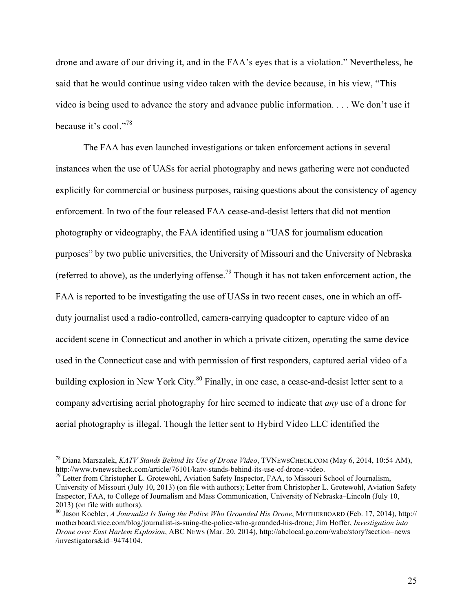drone and aware of our driving it, and in the FAA's eyes that is a violation." Nevertheless, he said that he would continue using video taken with the device because, in his view, "This video is being used to advance the story and advance public information. . . . We don't use it because it's cool."<sup>78</sup>

The FAA has even launched investigations or taken enforcement actions in several instances when the use of UASs for aerial photography and news gathering were not conducted explicitly for commercial or business purposes, raising questions about the consistency of agency enforcement. In two of the four released FAA cease-and-desist letters that did not mention photography or videography, the FAA identified using a "UAS for journalism education purposes" by two public universities, the University of Missouri and the University of Nebraska (referred to above), as the underlying offense.<sup>79</sup> Though it has not taken enforcement action, the FAA is reported to be investigating the use of UASs in two recent cases, one in which an offduty journalist used a radio-controlled, camera-carrying quadcopter to capture video of an accident scene in Connecticut and another in which a private citizen, operating the same device used in the Connecticut case and with permission of first responders, captured aerial video of a building explosion in New York City.<sup>80</sup> Finally, in one case, a cease-and-desist letter sent to a company advertising aerial photography for hire seemed to indicate that *any* use of a drone for aerial photography is illegal. Though the letter sent to Hybird Video LLC identified the

<sup>&</sup>lt;sup>78</sup> Diana Marszalek, *KATV Stands Behind Its Use of Drone Video*, TVNEWSCHECK.COM (May 6, 2014, 10:54 AM), http://www.tvnewscheck.com/article/76101/katv-stands-behind-its-use-of-drone-video.

 $heta^9$  Letter from Christopher L. Grotewohl, Aviation Safety Inspector, FAA, to Missouri School of Journalism, University of Missouri (July 10, 2013) (on file with authors); Letter from Christopher L. Grotewohl, Aviation Safety Inspector, FAA, to College of Journalism and Mass Communication, University of Nebraska–Lincoln (July 10, 2013) (on file with authors).

<sup>80</sup> Jason Koebler, *A Journalist Is Suing the Police Who Grounded His Drone*, MOTHERBOARD (Feb. 17, 2014), [http://](http://motherboard.vice.com/blog/journalist-is-suing-the-police-who-grounded-his-drone) [motherboard.vice.com/blog/journalist-is-suing-the-police-who-grounded-his-drone;](http://motherboard.vice.com/blog/journalist-is-suing-the-police-who-grounded-his-drone) Jim Hoffer, *Investigation into Drone over East Harlem Explosion*, ABC NEWS (Mar. 20, 2014), [http://abclocal.go.com/wabc/story?section=news](http://abclocal.go.com/wabc/story?section=news/investigators&id=9474104) [/investigators&id=9474104](http://abclocal.go.com/wabc/story?section=news/investigators&id=9474104).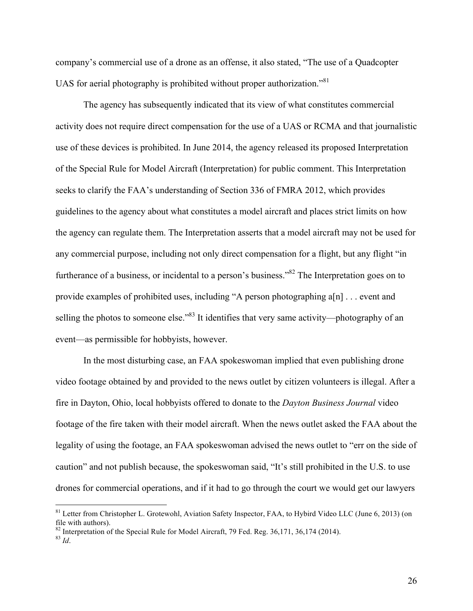company's commercial use of a drone as an offense, it also stated, "The use of a Quadcopter UAS for aerial photography is prohibited without proper authorization."<sup>81</sup>

The agency has subsequently indicated that its view of what constitutes commercial activity does not require direct compensation for the use of a UAS or RCMA and that journalistic use of these devices is prohibited. In June 2014, the agency released its proposed Interpretation of the Special Rule for Model Aircraft (Interpretation) for public comment. This Interpretation seeks to clarify the FAA's understanding of Section 336 of FMRA 2012, which provides guidelines to the agency about what constitutes a model aircraft and places strict limits on how the agency can regulate them. The Interpretation asserts that a model aircraft may not be used for any commercial purpose, including not only direct compensation for a flight, but any flight "in furtherance of a business, or incidental to a person's business."<sup>82</sup> The Interpretation goes on to provide examples of prohibited uses, including "A person photographing a[n] . . . event and selling the photos to someone else.<sup>83</sup> It identifies that very same activity—photography of an event—as permissible for hobbyists, however.

In the most disturbing case, an FAA spokeswoman implied that even publishing drone video footage obtained by and provided to the news outlet by citizen volunteers is illegal. After a fire in Dayton, Ohio, local hobbyists offered to donate to the *Dayton Business Journal* video footage of the fire taken with their model aircraft. When the news outlet asked the FAA about the legality of using the footage, an FAA spokeswoman advised the news outlet to "err on the side of caution" and not publish because, the spokeswoman said, "It's still prohibited in the U.S. to use drones for commercial operations, and if it had to go through the court we would get our lawyers

<sup>&</sup>lt;sup>81</sup> Letter from Christopher L. Grotewohl, Aviation Safety Inspector, FAA, to Hybird Video LLC (June 6, 2013) (on file with authors).

<sup>&</sup>lt;sup>82</sup> Interpretation of the Special Rule for Model Aircraft, 79 Fed. Reg. 36,171, 36,174 (2014).<br><sup>83</sup> *Id.*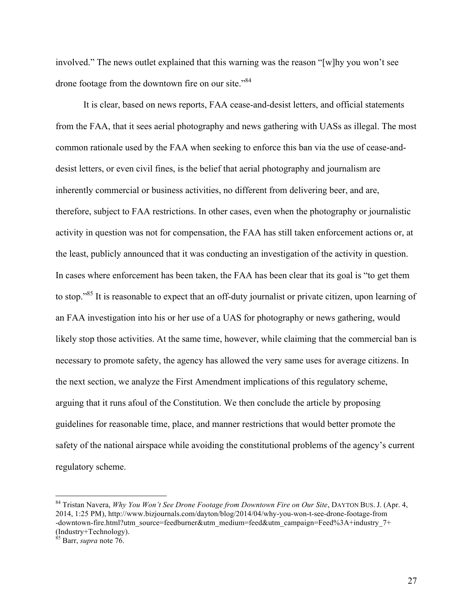involved." The news outlet explained that this warning was the reason "[w]hy you won't see drone footage from the downtown fire on our site."<sup>84</sup>

It is clear, based on news reports, FAA cease-and-desist letters, and official statements from the FAA, that it sees aerial photography and news gathering with UASs as illegal. The most common rationale used by the FAA when seeking to enforce this ban via the use of cease-anddesist letters, or even civil fines, is the belief that aerial photography and journalism are inherently commercial or business activities, no different from delivering beer, and are, therefore, subject to FAA restrictions. In other cases, even when the photography or journalistic activity in question was not for compensation, the FAA has still taken enforcement actions or, at the least, publicly announced that it was conducting an investigation of the activity in question. In cases where enforcement has been taken, the FAA has been clear that its goal is "to get them to stop."85 It is reasonable to expect that an off-duty journalist or private citizen, upon learning of an FAA investigation into his or her use of a UAS for photography or news gathering, would likely stop those activities. At the same time, however, while claiming that the commercial ban is necessary to promote safety, the agency has allowed the very same uses for average citizens. In the next section, we analyze the First Amendment implications of this regulatory scheme, arguing that it runs afoul of the Constitution. We then conclude the article by proposing guidelines for reasonable time, place, and manner restrictions that would better promote the safety of the national airspace while avoiding the constitutional problems of the agency's current regulatory scheme.

 <sup>84</sup> Tristan Navera, *Why You Won't See Drone Footage from Downtown Fire on Our Site*, DAYTON BUS. J. (Apr. 4, 2014, 1:25 PM),<http://www.bizjournals.com/dayton/blog/2014/04/why-you-won-t-see-drone-footage-from> [-downtown-fire.html?utm\\_source=feedburner&utm\\_medium=feed&utm\\_campaign=Feed%3A+industry\\_7+](http://www.bizjournals.com/dayton/blog/2014/04/why-you-won-t-see-drone-footage-from) [\(Industry+Technology\)](http://www.bizjournals.com/dayton/blog/2014/04/why-you-won-t-see-drone-footage-from).

<sup>85</sup> Barr, *supra* note 76.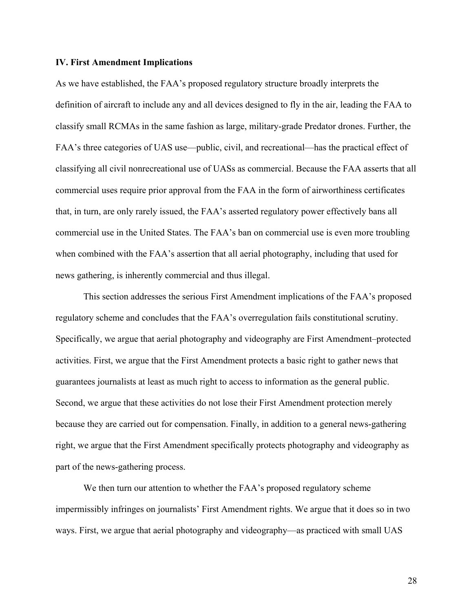#### **IV. First Amendment Implications**

As we have established, the FAA's proposed regulatory structure broadly interprets the definition of aircraft to include any and all devices designed to fly in the air, leading the FAA to classify small RCMAs in the same fashion as large, military-grade Predator drones. Further, the FAA's three categories of UAS use—public, civil, and recreational—has the practical effect of classifying all civil nonrecreational use of UASs as commercial. Because the FAA asserts that all commercial uses require prior approval from the FAA in the form of airworthiness certificates that, in turn, are only rarely issued, the FAA's asserted regulatory power effectively bans all commercial use in the United States. The FAA's ban on commercial use is even more troubling when combined with the FAA's assertion that all aerial photography, including that used for news gathering, is inherently commercial and thus illegal.

This section addresses the serious First Amendment implications of the FAA's proposed regulatory scheme and concludes that the FAA's overregulation fails constitutional scrutiny. Specifically, we argue that aerial photography and videography are First Amendment–protected activities. First, we argue that the First Amendment protects a basic right to gather news that guarantees journalists at least as much right to access to information as the general public. Second, we argue that these activities do not lose their First Amendment protection merely because they are carried out for compensation. Finally, in addition to a general news-gathering right, we argue that the First Amendment specifically protects photography and videography as part of the news-gathering process.

We then turn our attention to whether the FAA's proposed regulatory scheme impermissibly infringes on journalists' First Amendment rights. We argue that it does so in two ways. First, we argue that aerial photography and videography—as practiced with small UAS

28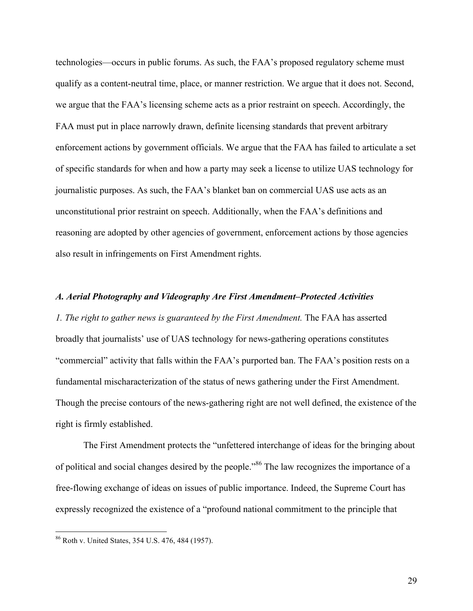technologies—occurs in public forums. As such, the FAA's proposed regulatory scheme must qualify as a content-neutral time, place, or manner restriction. We argue that it does not. Second, we argue that the FAA's licensing scheme acts as a prior restraint on speech. Accordingly, the FAA must put in place narrowly drawn, definite licensing standards that prevent arbitrary enforcement actions by government officials. We argue that the FAA has failed to articulate a set of specific standards for when and how a party may seek a license to utilize UAS technology for journalistic purposes. As such, the FAA's blanket ban on commercial UAS use acts as an unconstitutional prior restraint on speech. Additionally, when the FAA's definitions and reasoning are adopted by other agencies of government, enforcement actions by those agencies also result in infringements on First Amendment rights.

### *A. Aerial Photography and Videography Are First Amendment–Protected Activities*

*1. The right to gather news is guaranteed by the First Amendment.* The FAA has asserted broadly that journalists' use of UAS technology for news-gathering operations constitutes "commercial" activity that falls within the FAA's purported ban. The FAA's position rests on a fundamental mischaracterization of the status of news gathering under the First Amendment. Though the precise contours of the news-gathering right are not well defined, the existence of the right is firmly established.

The First Amendment protects the "unfettered interchange of ideas for the bringing about of political and social changes desired by the people."<sup>86</sup> The law recognizes the importance of a free-flowing exchange of ideas on issues of public importance. Indeed, the Supreme Court has expressly recognized the existence of a "profound national commitment to the principle that

 <sup>86</sup> Roth v. United States, 354 U.S. 476, 484 (1957).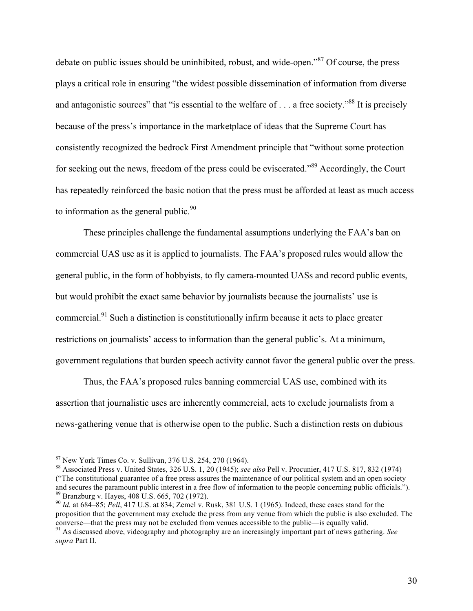debate on public issues should be uninhibited, robust, and wide-open."<sup>87</sup> Of course, the press plays a critical role in ensuring "the widest possible dissemination of information from diverse and antagonistic sources" that "is essential to the welfare of . . . a free society."<sup>88</sup> It is precisely because of the press's importance in the marketplace of ideas that the Supreme Court has consistently recognized the bedrock First Amendment principle that "without some protection for seeking out the news, freedom of the press could be eviscerated.<sup>89</sup> Accordingly, the Court has repeatedly reinforced the basic notion that the press must be afforded at least as much access to information as the general public. $90$ 

These principles challenge the fundamental assumptions underlying the FAA's ban on commercial UAS use as it is applied to journalists. The FAA's proposed rules would allow the general public, in the form of hobbyists, to fly camera-mounted UASs and record public events, but would prohibit the exact same behavior by journalists because the journalists' use is commercial.<sup>91</sup> Such a distinction is constitutionally infirm because it acts to place greater restrictions on journalists' access to information than the general public's. At a minimum, government regulations that burden speech activity cannot favor the general public over the press.

Thus, the FAA's proposed rules banning commercial UAS use, combined with its assertion that journalistic uses are inherently commercial, acts to exclude journalists from a news-gathering venue that is otherwise open to the public. Such a distinction rests on dubious

<sup>87</sup> New York Times Co. v. Sullivan, 376 U.S. 254, 270 (1964). <sup>88</sup> Associated Press v. United States, 326 U.S. 1, 20 (1945); *see also* Pell v. Procunier, 417 U.S. 817, 832 (1974) ("The constitutional guarantee of a free press assures the maintenance of our political system and an open society and secures the paramount public interest in a free flow of information to the people concerning public officials.").  $^{89}$  Branzburg v. Hayes, 408 U.S. 665, 702 (1972).<br> $^{90}$  *Id.* at 684–85; *Pell*, 417 U.S. at 834; Zemel v. Rusk, 381 U.S. 1 (1965). Indeed, these cases stand for the

proposition that the government may exclude the press from any venue from which the public is also excluded. The converse—that the press may not be excluded from venues accessible to the public—is equally valid. <sup>91</sup> As discussed above, videography and photography are an increasingly important part of news gathering. *See* 

*supra* Part II.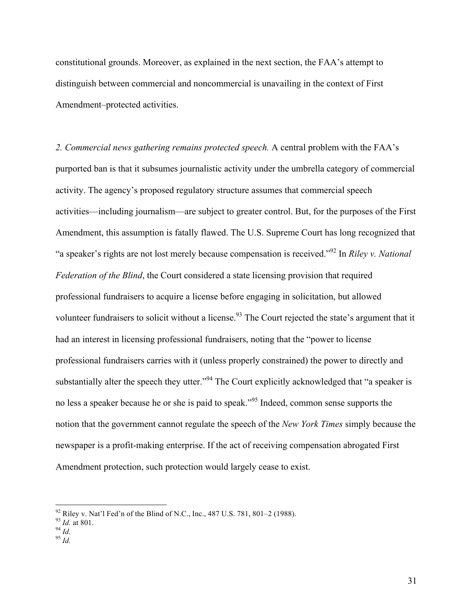constitutional grounds. Moreover, as explained in the next section, the FAA's attempt to distinguish between commercial and noncommercial is unavailing in the context of First Amendment–protected activities.

*2. Commercial news gathering remains protected speech.* A central problem with the FAA's purported ban is that it subsumes journalistic activity under the umbrella category of commercial activity. The agency's proposed regulatory structure assumes that commercial speech activities—including journalism—are subject to greater control. But, for the purposes of the First Amendment, this assumption is fatally flawed. The U.S. Supreme Court has long recognized that "a speaker's rights are not lost merely because compensation is received."92 In *Riley v. National Federation of the Blind*, the Court considered a state licensing provision that required professional fundraisers to acquire a license before engaging in solicitation, but allowed volunteer fundraisers to solicit without a license.<sup>93</sup> The Court rejected the state's argument that it had an interest in licensing professional fundraisers, noting that the "power to license professional fundraisers carries with it (unless properly constrained) the power to directly and substantially alter the speech they utter."<sup>94</sup> The Court explicitly acknowledged that "a speaker is no less a speaker because he or she is paid to speak."95 Indeed, common sense supports the notion that the government cannot regulate the speech of the *New York Times* simply because the newspaper is a profit-making enterprise. If the act of receiving compensation abrogated First Amendment protection, such protection would largely cease to exist.

<sup>92</sup> Riley v. Nat'l Fed'n of the Blind of N.C., Inc., 487 U.S. 781, 801–2 (1988).<br><sup>93</sup> *Id.* at 801.<br><sup>94</sup> *Id.* 95 *Id*.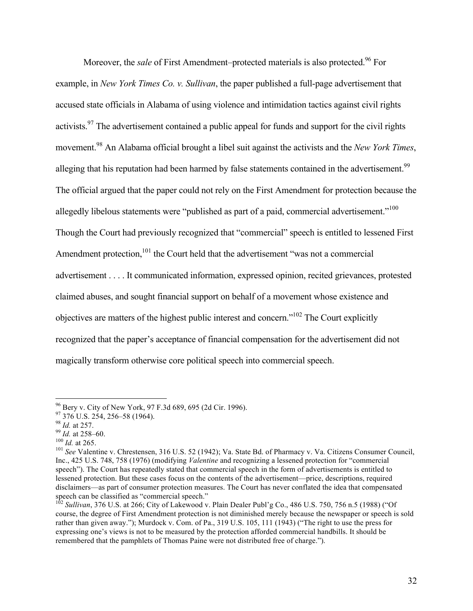Moreover, the *sale* of First Amendment–protected materials is also protected.<sup>96</sup> For example, in *New York Times Co. v. Sullivan*, the paper published a full-page advertisement that accused state officials in Alabama of using violence and intimidation tactics against civil rights activists.<sup>97</sup> The advertisement contained a public appeal for funds and support for the civil rights movement.98 An Alabama official brought a libel suit against the activists and the *New York Times*, alleging that his reputation had been harmed by false statements contained in the advertisement.<sup>99</sup> The official argued that the paper could not rely on the First Amendment for protection because the allegedly libelous statements were "published as part of a paid, commercial advertisement."<sup>100</sup> Though the Court had previously recognized that "commercial" speech is entitled to lessened First Amendment protection,<sup>101</sup> the Court held that the advertisement "was not a commercial advertisement . . . . It communicated information, expressed opinion, recited grievances, protested claimed abuses, and sought financial support on behalf of a movement whose existence and objectives are matters of the highest public interest and concern."102 The Court explicitly recognized that the paper's acceptance of financial compensation for the advertisement did not magically transform otherwise core political speech into commercial speech.

<sup>&</sup>lt;sup>96</sup> Bery v. City of New York, 97 F.3d 689, 695 (2d Cir. 1996).<br>
<sup>97</sup> 376 U.S. 254, 256–58 (1964).<br>
<sup>98</sup> *Id.* at 257.<br>
<sup>99</sup> *Id.* at 258–60.<br>
<sup>100</sup> *Id.* at 265.<br>
<sup>100</sup> *Id.* at 265.<br>
<sup>101</sup> *See* Valentine v. Chrestensen Inc., 425 U.S. 748, 758 (1976) (modifying *Valentine* and recognizing a lessened protection for "commercial speech"). The Court has repeatedly stated that commercial speech in the form of advertisements is entitled to lessened protection. But these cases focus on the contents of the advertisement—price, descriptions, required disclaimers—as part of consumer protection measures. The Court has never conflated the idea that compensated speech can be classified as "commercial speech."

<sup>&</sup>lt;sup>102</sup> Sullivan, 376 U.S. at 266; City of Lakewood v. Plain Dealer Publ'g Co., 486 U.S. 750, 756 n.5 (1988) ("Of course, the degree of First Amendment protection is not diminished merely because the newspaper or speech is sold rather than given away."); Murdock v. Com. of Pa., 319 U.S. 105, 111 (1943) ("The right to use the press for expressing one's views is not to be measured by the protection afforded commercial handbills. It should be remembered that the pamphlets of Thomas Paine were not distributed free of charge.").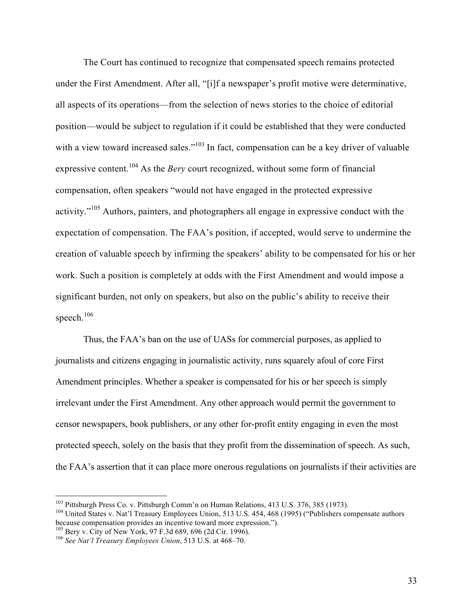The Court has continued to recognize that compensated speech remains protected under the First Amendment. After all, "[i]f a newspaper's profit motive were determinative, all aspects of its operations—from the selection of news stories to the choice of editorial position—would be subject to regulation if it could be established that they were conducted with a view toward increased sales."<sup>103</sup> In fact, compensation can be a key driver of valuable expressive content.<sup>104</sup> As the *Bery* court recognized, without some form of financial compensation, often speakers "would not have engaged in the protected expressive activity."<sup>105</sup> Authors, painters, and photographers all engage in expressive conduct with the expectation of compensation. The FAA's position, if accepted, would serve to undermine the creation of valuable speech by infirming the speakers' ability to be compensated for his or her work. Such a position is completely at odds with the First Amendment and would impose a significant burden, not only on speakers, but also on the public's ability to receive their speech. 106

Thus, the FAA's ban on the use of UASs for commercial purposes, as applied to journalists and citizens engaging in journalistic activity, runs squarely afoul of core First Amendment principles. Whether a speaker is compensated for his or her speech is simply irrelevant under the First Amendment. Any other approach would permit the government to censor newspapers, book publishers, or any other for-profit entity engaging in even the most protected speech, solely on the basis that they profit from the dissemination of speech. As such, the FAA's assertion that it can place more onerous regulations on journalists if their activities are

<sup>&</sup>lt;sup>103</sup> Pittsburgh Press Co. v. Pittsburgh Comm'n on Human Relations, 413 U.S. 376, 385 (1973).<br><sup>104</sup> United States v. Nat'l Treasury Employees Union, 513 U.S. 454, 468 (1995) ("Publishers compensate authors because compens

<sup>&</sup>lt;sup>105</sup> Bery v. City of New York, 97 F.3d 689, 696 (2d Cir. 1996). <sup>106</sup> See *Nat'l Treasury Employees Union*, 513 U.S. at 468–70.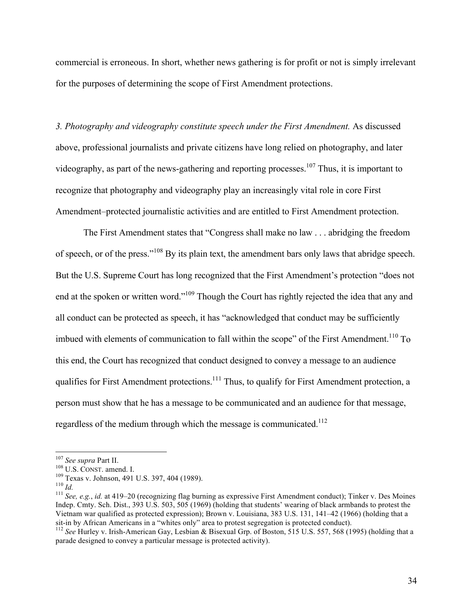commercial is erroneous. In short, whether news gathering is for profit or not is simply irrelevant for the purposes of determining the scope of First Amendment protections.

*3. Photography and videography constitute speech under the First Amendment.* As discussed above, professional journalists and private citizens have long relied on photography, and later videography, as part of the news-gathering and reporting processes.<sup>107</sup> Thus, it is important to recognize that photography and videography play an increasingly vital role in core First Amendment–protected journalistic activities and are entitled to First Amendment protection.

The First Amendment states that "Congress shall make no law . . . abridging the freedom of speech, or of the press."<sup>108</sup> By its plain text, the amendment bars only laws that abridge speech. But the U.S. Supreme Court has long recognized that the First Amendment's protection "does not end at the spoken or written word."<sup>109</sup> Though the Court has rightly rejected the idea that any and all conduct can be protected as speech, it has "acknowledged that conduct may be sufficiently imbued with elements of communication to fall within the scope" of the First Amendment.<sup>110</sup> To this end, the Court has recognized that conduct designed to convey a message to an audience qualifies for First Amendment protections.<sup>111</sup> Thus, to qualify for First Amendment protection, a person must show that he has a message to be communicated and an audience for that message, regardless of the medium through which the message is communicated.<sup>112</sup>

<sup>&</sup>lt;sup>107</sup> See supra Part II.<br><sup>108</sup> U.S. CONST. amend. I.<br><sup>109</sup> Texas v. Johnson, 491 U.S. 397, 404 (1989).<br><sup>110</sup> Id.<br><sup>111</sup> See, e.g., *id.* at 419–20 (recognizing flag burning as expressive First Amendment conduct); Tinker v. Indep. Cmty. Sch. Dist., 393 U.S. 503, 505 (1969) (holding that students' wearing of black armbands to protest the Vietnam war qualified as protected expression); Brown v. Louisiana, 383 U.S. 131, 141–42 (1966) (holding that a sit-in by African Americans in a "whites only" area to protest segregation is protected conduct).

<sup>&</sup>lt;sup>112</sup> See Hurley v. Irish-American Gay, Lesbian & Bisexual Grp. of Boston, 515 U.S. 557, 568 (1995) (holding that a parade designed to convey a particular message is protected activity).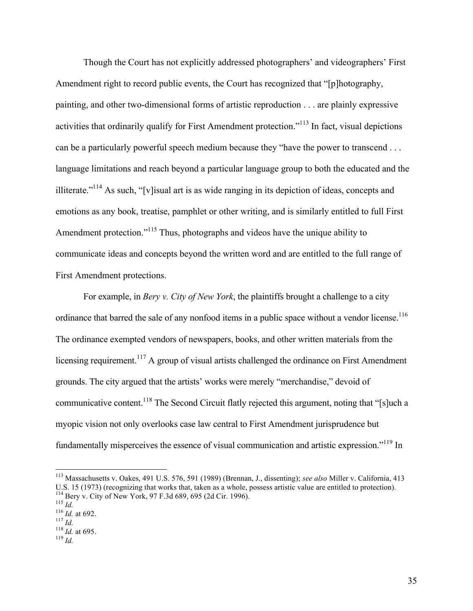Though the Court has not explicitly addressed photographers' and videographers' First Amendment right to record public events, the Court has recognized that "[p]hotography, painting, and other two-dimensional forms of artistic reproduction . . . are plainly expressive activities that ordinarily qualify for First Amendment protection."113 In fact, visual depictions can be a particularly powerful speech medium because they "have the power to transcend . . . language limitations and reach beyond a particular language group to both the educated and the illiterate."114 As such, "[v]isual art is as wide ranging in its depiction of ideas, concepts and emotions as any book, treatise, pamphlet or other writing, and is similarly entitled to full First Amendment protection."<sup>115</sup> Thus, photographs and videos have the unique ability to communicate ideas and concepts beyond the written word and are entitled to the full range of First Amendment protections.

For example, in *Bery v. City of New York*, the plaintiffs brought a challenge to a city ordinance that barred the sale of any nonfood items in a public space without a vendor license.<sup>116</sup> The ordinance exempted vendors of newspapers, books, and other written materials from the licensing requirement.<sup>117</sup> A group of visual artists challenged the ordinance on First Amendment grounds. The city argued that the artists' works were merely "merchandise," devoid of communicative content.118 The Second Circuit flatly rejected this argument, noting that "[s]uch a myopic vision not only overlooks case law central to First Amendment jurisprudence but fundamentally misperceives the essence of visual communication and artistic expression."119 In

 <sup>113</sup> Massachusetts v. Oakes, 491 U.S. 576, 591 (1989) (Brennan, J., dissenting); *see also* Miller v. California, 413 U.S. 15 (1973) (recognizing that works that, taken as a whole, possess artistic value are entitled to protection).<br><sup>114</sup> Bery v. City of New York, 97 F.3d 689, 695 (2d Cir. 1996).<br><sup>115</sup> *Id.*<br><sup>116</sup> *Id.* at 692.<br><sup>117</sup> *Id*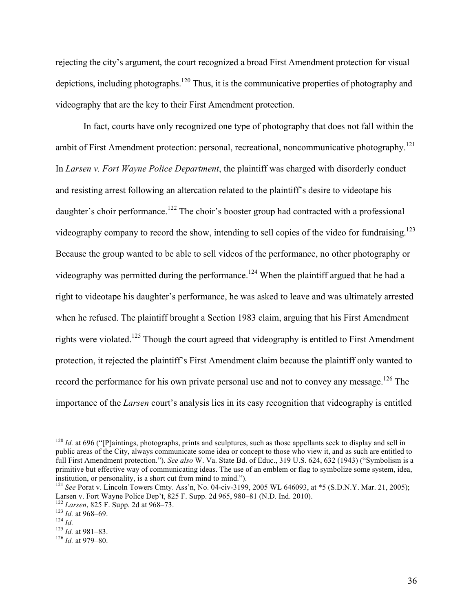rejecting the city's argument, the court recognized a broad First Amendment protection for visual depictions, including photographs.<sup>120</sup> Thus, it is the communicative properties of photography and videography that are the key to their First Amendment protection.

In fact, courts have only recognized one type of photography that does not fall within the ambit of First Amendment protection: personal, recreational, noncommunicative photography.<sup>121</sup> In *Larsen v. Fort Wayne Police Department*, the plaintiff was charged with disorderly conduct and resisting arrest following an altercation related to the plaintiff's desire to videotape his daughter's choir performance.<sup>122</sup> The choir's booster group had contracted with a professional videography company to record the show, intending to sell copies of the video for fundraising.<sup>123</sup> Because the group wanted to be able to sell videos of the performance, no other photography or videography was permitted during the performance.<sup>124</sup> When the plaintiff argued that he had a right to videotape his daughter's performance, he was asked to leave and was ultimately arrested when he refused. The plaintiff brought a Section 1983 claim, arguing that his First Amendment rights were violated.<sup>125</sup> Though the court agreed that videography is entitled to First Amendment protection, it rejected the plaintiff's First Amendment claim because the plaintiff only wanted to record the performance for his own private personal use and not to convey any message.<sup>126</sup> The importance of the *Larsen* court's analysis lies in its easy recognition that videography is entitled

 $120$  *Id.* at 696 ("[P]aintings, photographs, prints and sculptures, such as those appellants seek to display and sell in public areas of the City, always communicate some idea or concept to those who view it, and as such are entitled to full First Amendment protection."). *See also* W. Va. State Bd. of Educ., 319 U.S. 624, 632 (1943) ("Symbolism is a primitive but effective way of communicating ideas. The use of an emblem or flag to symbolize some system, idea, institution, or personality, is a short cut from mind to mind.").

<sup>121</sup> *See* Porat v. Lincoln Towers Cmty. Ass'n, No. 04-civ-3199, 2005 WL 646093, at \*5 (S.D.N.Y. Mar. 21, 2005); Larsen v. Fort Wayne Police Dep't, 825 F. Supp. 2d 965, 980–81 (N.D. Ind. 2010).<br>
<sup>122</sup> *Larsen*, 825 F. Supp. 2d at 968–73.<br>
<sup>123</sup> *Id.* at 968–69.<br>
<sup>124</sup> *Id.* 125 *Id.* at 981–83.<br>
<sup>126</sup> *Id.* at 979–80.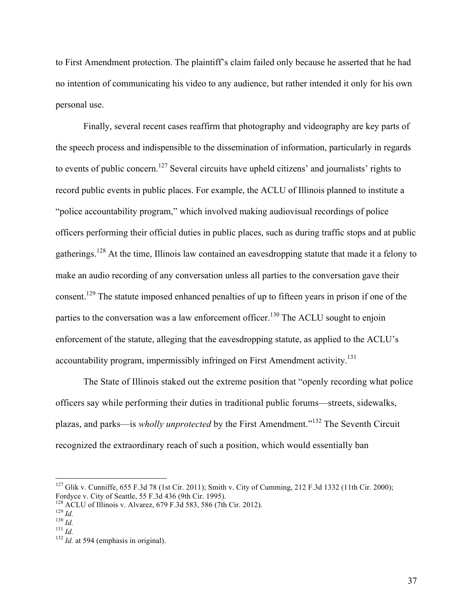to First Amendment protection. The plaintiff's claim failed only because he asserted that he had no intention of communicating his video to any audience, but rather intended it only for his own personal use.

Finally, several recent cases reaffirm that photography and videography are key parts of the speech process and indispensible to the dissemination of information, particularly in regards to events of public concern.<sup>127</sup> Several circuits have upheld citizens' and journalists' rights to record public events in public places. For example, the ACLU of Illinois planned to institute a "police accountability program," which involved making audiovisual recordings of police officers performing their official duties in public places, such as during traffic stops and at public gatherings.<sup>128</sup> At the time, Illinois law contained an eavesdropping statute that made it a felony to make an audio recording of any conversation unless all parties to the conversation gave their consent.<sup>129</sup> The statute imposed enhanced penalties of up to fifteen years in prison if one of the parties to the conversation was a law enforcement officer.<sup>130</sup> The ACLU sought to enjoin enforcement of the statute, alleging that the eavesdropping statute, as applied to the ACLU's accountability program, impermissibly infringed on First Amendment activity.<sup>131</sup>

The State of Illinois staked out the extreme position that "openly recording what police officers say while performing their duties in traditional public forums—streets, sidewalks, plazas, and parks—is *wholly unprotected* by the First Amendment."<sup>132</sup> The Seventh Circuit recognized the extraordinary reach of such a position, which would essentially ban

 <sup>127</sup> Glik v. Cunniffe, 655 F.3d 78 (1st Cir. 2011); Smith v. City of Cumming, 212 F.3d 1332 (11th Cir. 2000); Fordyce v. City of Seattle, 55 F.3d 436 (9th Cir. 1995).

<sup>&</sup>lt;sup>128</sup> ACLU of Illinois v. Alvarez, 679 F.3d 583, 586 (7th Cir. 2012).<br><sup>129</sup> *Id. Id.* <sup>130</sup> *Id.* <sup>131</sup> *Id.* <sup>131</sup> *Id.* at 594 (emphasis in original).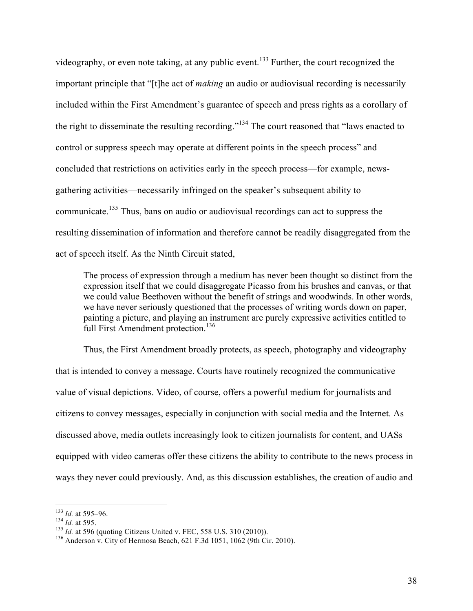videography, or even note taking, at any public event.<sup>133</sup> Further, the court recognized the important principle that "[t]he act of *making* an audio or audiovisual recording is necessarily included within the First Amendment's guarantee of speech and press rights as a corollary of the right to disseminate the resulting recording."<sup>134</sup> The court reasoned that "laws enacted to control or suppress speech may operate at different points in the speech process" and concluded that restrictions on activities early in the speech process—for example, newsgathering activities—necessarily infringed on the speaker's subsequent ability to communicate.<sup>135</sup> Thus, bans on audio or audiovisual recordings can act to suppress the resulting dissemination of information and therefore cannot be readily disaggregated from the act of speech itself. As the Ninth Circuit stated,

The process of expression through a medium has never been thought so distinct from the expression itself that we could disaggregate Picasso from his brushes and canvas, or that we could value Beethoven without the benefit of strings and woodwinds. In other words, we have never seriously questioned that the processes of writing words down on paper, painting a picture, and playing an instrument are purely expressive activities entitled to full First Amendment protection.<sup>136</sup>

Thus, the First Amendment broadly protects, as speech, photography and videography that is intended to convey a message. Courts have routinely recognized the communicative value of visual depictions. Video, of course, offers a powerful medium for journalists and citizens to convey messages, especially in conjunction with social media and the Internet. As discussed above, media outlets increasingly look to citizen journalists for content, and UASs equipped with video cameras offer these citizens the ability to contribute to the news process in ways they never could previously. And, as this discussion establishes, the creation of audio and

<sup>&</sup>lt;sup>133</sup> *Id.* at 595–96.<br><sup>134</sup> *Id.* at 595.<br><sup>135</sup> *Id.* at 596 (quoting Citizens United v. FEC, 558 U.S. 310 (2010)).<br><sup>136</sup> Anderson v. City of Hermosa Beach, 621 F.3d 1051, 1062 (9th Cir. 2010).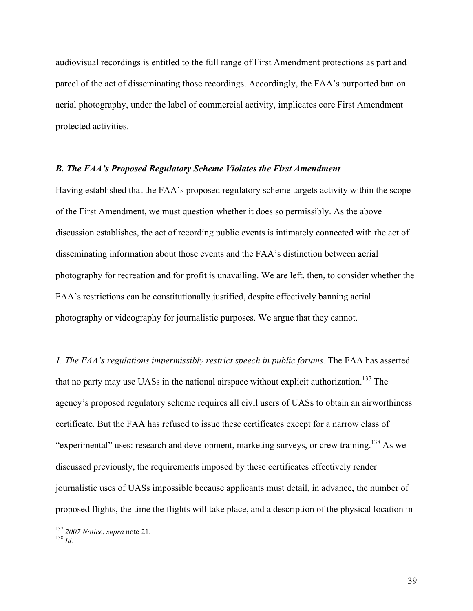audiovisual recordings is entitled to the full range of First Amendment protections as part and parcel of the act of disseminating those recordings. Accordingly, the FAA's purported ban on aerial photography, under the label of commercial activity, implicates core First Amendment– protected activities.

### *B. The FAA's Proposed Regulatory Scheme Violates the First Amendment*

Having established that the FAA's proposed regulatory scheme targets activity within the scope of the First Amendment, we must question whether it does so permissibly. As the above discussion establishes, the act of recording public events is intimately connected with the act of disseminating information about those events and the FAA's distinction between aerial photography for recreation and for profit is unavailing. We are left, then, to consider whether the FAA's restrictions can be constitutionally justified, despite effectively banning aerial photography or videography for journalistic purposes. We argue that they cannot.

*1. The FAA's regulations impermissibly restrict speech in public forums.* The FAA has asserted that no party may use UASs in the national airspace without explicit authorization.<sup>137</sup> The agency's proposed regulatory scheme requires all civil users of UASs to obtain an airworthiness certificate. But the FAA has refused to issue these certificates except for a narrow class of "experimental" uses: research and development, marketing surveys, or crew training.<sup>138</sup> As we discussed previously, the requirements imposed by these certificates effectively render journalistic uses of UASs impossible because applicants must detail, in advance, the number of proposed flights, the time the flights will take place, and a description of the physical location in

<sup>137</sup> *2007 Notice*, *supra* note 21. <sup>138</sup> *Id.*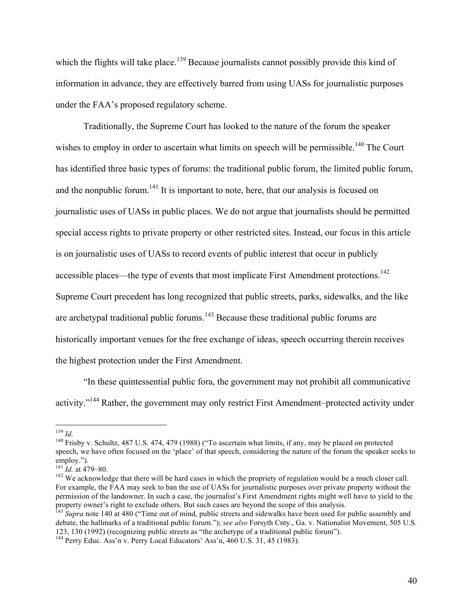which the flights will take place.<sup>139</sup> Because journalists cannot possibly provide this kind of information in advance, they are effectively barred from using UASs for journalistic purposes under the FAA's proposed regulatory scheme.

Traditionally, the Supreme Court has looked to the nature of the forum the speaker wishes to employ in order to ascertain what limits on speech will be permissible.<sup>140</sup> The Court has identified three basic types of forums: the traditional public forum, the limited public forum, and the nonpublic forum.<sup>141</sup> It is important to note, here, that our analysis is focused on journalistic uses of UASs in public places. We do not argue that journalists should be permitted special access rights to private property or other restricted sites. Instead, our focus in this article is on journalistic uses of UASs to record events of public interest that occur in publicly accessible places—the type of events that most implicate First Amendment protections.<sup>142</sup> Supreme Court precedent has long recognized that public streets, parks, sidewalks, and the like are archetypal traditional public forums.<sup>143</sup> Because these traditional public forums are historically important venues for the free exchange of ideas, speech occurring therein receives the highest protection under the First Amendment.

"In these quintessential public fora, the government may not prohibit all communicative activity."<sup>144</sup> Rather, the government may only restrict First Amendment–protected activity under

<sup>&</sup>lt;sup>139</sup> *Id.* 140 Frisby v. Schultz, 487 U.S. 474, 479 (1988) ("To ascertain what limits, if any, may be placed on protected speech, we have often focused on the 'place' of that speech, considering the nature of the forum the speaker seeks to employ.").<br> $^{141}$  *Id.* at 479–80.

<sup>&</sup>lt;sup>142</sup> We acknowledge that there will be hard cases in which the propriety of regulation would be a much closer call. For example, the FAA may seek to ban the use of UASs for journalistic purposes over private property without the permission of the landowner. In such a case, the journalist's First Amendment rights might well have to yield to the property owner's right to exclude others. But such cases are beyond the scope of this analysis.

<sup>&</sup>lt;sup>143</sup> *Supra* note 140 at 480 ("Time out of mind, public streets and sidewalks have been used for public assembly and debate, the hallmarks of a traditional public forum."); *see also* Forsyth Cnty., Ga. v. Nationalist Movement, 505 U.S. 123, 130 (1992) (recognizing public streets as "the archetype of a traditional public forum").

 $144$  Perry Educ. Ass'n v. Perry Local Educators' Ass'n,  $460$  U.S. 31, 45 (1983).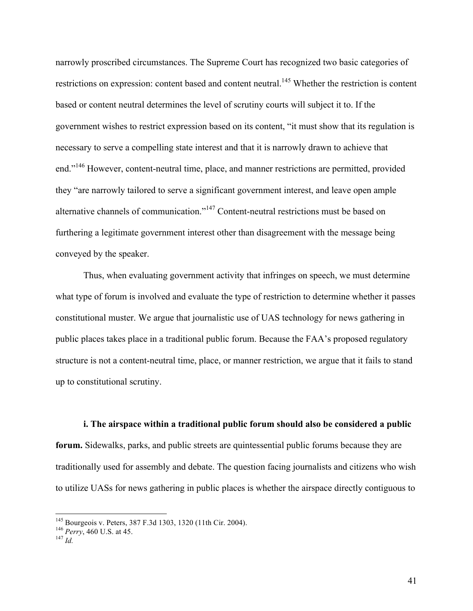narrowly proscribed circumstances. The Supreme Court has recognized two basic categories of restrictions on expression: content based and content neutral.<sup>145</sup> Whether the restriction is content based or content neutral determines the level of scrutiny courts will subject it to. If the government wishes to restrict expression based on its content, "it must show that its regulation is necessary to serve a compelling state interest and that it is narrowly drawn to achieve that end."<sup>146</sup> However, content-neutral time, place, and manner restrictions are permitted, provided they "are narrowly tailored to serve a significant government interest, and leave open ample alternative channels of communication."<sup>147</sup> Content-neutral restrictions must be based on furthering a legitimate government interest other than disagreement with the message being conveyed by the speaker.

Thus, when evaluating government activity that infringes on speech, we must determine what type of forum is involved and evaluate the type of restriction to determine whether it passes constitutional muster. We argue that journalistic use of UAS technology for news gathering in public places takes place in a traditional public forum. Because the FAA's proposed regulatory structure is not a content-neutral time, place, or manner restriction, we argue that it fails to stand up to constitutional scrutiny.

**i. The airspace within a traditional public forum should also be considered a public forum.** Sidewalks, parks, and public streets are quintessential public forums because they are traditionally used for assembly and debate. The question facing journalists and citizens who wish to utilize UASs for news gathering in public places is whether the airspace directly contiguous to

<sup>&</sup>lt;sup>145</sup> Bourgeois v. Peters, 387 F.3d 1303, 1320 (11th Cir. 2004).<br><sup>146</sup> *Perry*, 460 U.S. at 45.<br><sup>147</sup> *Id*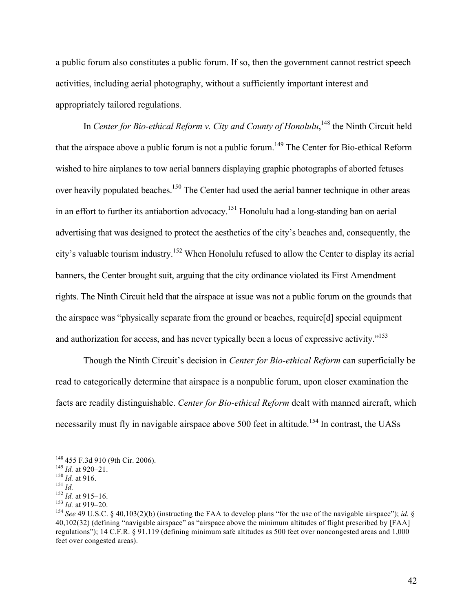a public forum also constitutes a public forum. If so, then the government cannot restrict speech activities, including aerial photography, without a sufficiently important interest and appropriately tailored regulations.

In *Center for Bio-ethical Reform v. City and County of Honolulu*,<sup>148</sup> the Ninth Circuit held that the airspace above a public forum is not a public forum.<sup>149</sup> The Center for Bio-ethical Reform wished to hire airplanes to tow aerial banners displaying graphic photographs of aborted fetuses over heavily populated beaches.<sup>150</sup> The Center had used the aerial banner technique in other areas in an effort to further its antiabortion advocacy.<sup>151</sup> Honolulu had a long-standing ban on aerial advertising that was designed to protect the aesthetics of the city's beaches and, consequently, the city's valuable tourism industry.152 When Honolulu refused to allow the Center to display its aerial banners, the Center brought suit, arguing that the city ordinance violated its First Amendment rights. The Ninth Circuit held that the airspace at issue was not a public forum on the grounds that the airspace was "physically separate from the ground or beaches, require[d] special equipment and authorization for access, and has never typically been a locus of expressive activity."<sup>153</sup>

Though the Ninth Circuit's decision in *Center for Bio-ethical Reform* can superficially be read to categorically determine that airspace is a nonpublic forum, upon closer examination the facts are readily distinguishable. *Center for Bio-ethical Reform* dealt with manned aircraft, which necessarily must fly in navigable airspace above 500 feet in altitude.<sup>154</sup> In contrast, the UASs

<sup>&</sup>lt;sup>148</sup> 455 F.3d 910 (9th Cir. 2006).<br>
<sup>149</sup> *Id.* at 920–21.<br>
<sup>150</sup> *Id.* at 916.<br>
<sup>151</sup> *Id.*<br>
<sup>151</sup> *Id.*<br>
<sup>152</sup> *Id.* at 915–16.<br>
<sup>152</sup> *Id.* at 919–20.<br>
<sup>154</sup> *See* 49 U.S.C. § 40,103(2)(b) (instructing the FAA to deve 40,102(32) (defining "navigable airspace" as "airspace above the minimum altitudes of flight prescribed by [FAA] regulations"); 14 C.F.R. § 91.119 (defining minimum safe altitudes as 500 feet over noncongested areas and 1,000 feet over congested areas).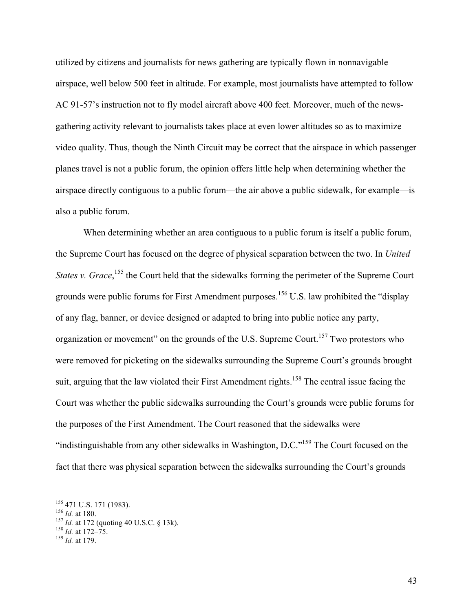utilized by citizens and journalists for news gathering are typically flown in nonnavigable airspace, well below 500 feet in altitude. For example, most journalists have attempted to follow AC 91-57's instruction not to fly model aircraft above 400 feet. Moreover, much of the newsgathering activity relevant to journalists takes place at even lower altitudes so as to maximize video quality. Thus, though the Ninth Circuit may be correct that the airspace in which passenger planes travel is not a public forum, the opinion offers little help when determining whether the airspace directly contiguous to a public forum—the air above a public sidewalk, for example—is also a public forum.

When determining whether an area contiguous to a public forum is itself a public forum, the Supreme Court has focused on the degree of physical separation between the two. In *United States v. Grace*,<sup>155</sup>, the Court held that the sidewalks forming the perimeter of the Supreme Court grounds were public forums for First Amendment purposes.<sup>156</sup> U.S. law prohibited the "display" of any flag, banner, or device designed or adapted to bring into public notice any party, organization or movement" on the grounds of the U.S. Supreme Court.<sup>157</sup> Two protestors who were removed for picketing on the sidewalks surrounding the Supreme Court's grounds brought suit, arguing that the law violated their First Amendment rights.<sup>158</sup> The central issue facing the Court was whether the public sidewalks surrounding the Court's grounds were public forums for the purposes of the First Amendment. The Court reasoned that the sidewalks were "indistinguishable from any other sidewalks in Washington, D.C."<sup>159</sup> The Court focused on the fact that there was physical separation between the sidewalks surrounding the Court's grounds

<sup>155 471</sup> U.S. 171 (1983).<br>
<sup>156</sup> *Id.* at 180.<br>
<sup>157</sup> *Id.* at 172 (quoting 40 U.S.C. § 13k).<br>
<sup>158</sup> *Id.* at 172–75.<br>
<sup>159</sup> *Id.* at 179.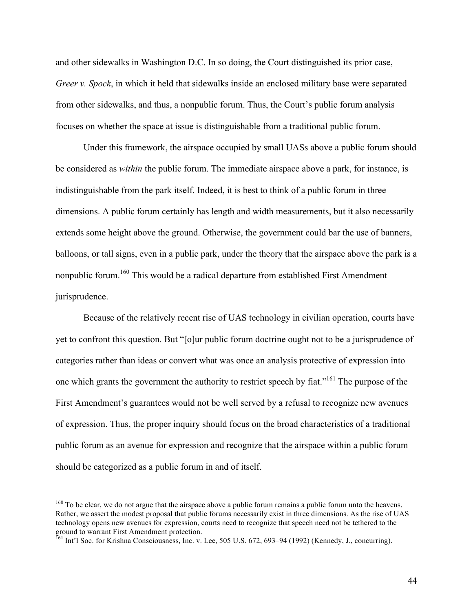and other sidewalks in Washington D.C. In so doing, the Court distinguished its prior case, *Greer v. Spock*, in which it held that sidewalks inside an enclosed military base were separated from other sidewalks, and thus, a nonpublic forum. Thus, the Court's public forum analysis focuses on whether the space at issue is distinguishable from a traditional public forum.

Under this framework, the airspace occupied by small UASs above a public forum should be considered as *within* the public forum. The immediate airspace above a park, for instance, is indistinguishable from the park itself. Indeed, it is best to think of a public forum in three dimensions. A public forum certainly has length and width measurements, but it also necessarily extends some height above the ground. Otherwise, the government could bar the use of banners, balloons, or tall signs, even in a public park, under the theory that the airspace above the park is a nonpublic forum.<sup>160</sup> This would be a radical departure from established First Amendment jurisprudence.

Because of the relatively recent rise of UAS technology in civilian operation, courts have yet to confront this question. But "[o]ur public forum doctrine ought not to be a jurisprudence of categories rather than ideas or convert what was once an analysis protective of expression into one which grants the government the authority to restrict speech by fiat."<sup>161</sup> The purpose of the First Amendment's guarantees would not be well served by a refusal to recognize new avenues of expression. Thus, the proper inquiry should focus on the broad characteristics of a traditional public forum as an avenue for expression and recognize that the airspace within a public forum should be categorized as a public forum in and of itself.

<sup>&</sup>lt;sup>160</sup> To be clear, we do not argue that the airspace above a public forum remains a public forum unto the heavens. Rather, we assert the modest proposal that public forums necessarily exist in three dimensions. As the rise of UAS technology opens new avenues for expression, courts need to recognize that speech need not be tethered to the ground to warrant First Amendment protection.

<sup>&</sup>lt;sup>161</sup> Int'l Soc. for Krishna Consciousness, Inc. v. Lee, 505 U.S. 672, 693–94 (1992) (Kennedy, J., concurring).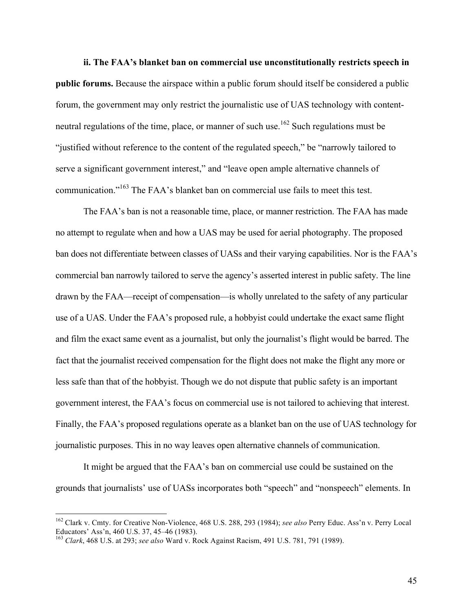**ii. The FAA's blanket ban on commercial use unconstitutionally restricts speech in public forums.** Because the airspace within a public forum should itself be considered a public forum, the government may only restrict the journalistic use of UAS technology with contentneutral regulations of the time, place, or manner of such use.<sup>162</sup> Such regulations must be "justified without reference to the content of the regulated speech," be "narrowly tailored to serve a significant government interest," and "leave open ample alternative channels of communication."<sup>163</sup> The FAA's blanket ban on commercial use fails to meet this test.

The FAA's ban is not a reasonable time, place, or manner restriction. The FAA has made no attempt to regulate when and how a UAS may be used for aerial photography. The proposed ban does not differentiate between classes of UASs and their varying capabilities. Nor is the FAA's commercial ban narrowly tailored to serve the agency's asserted interest in public safety. The line drawn by the FAA—receipt of compensation—is wholly unrelated to the safety of any particular use of a UAS. Under the FAA's proposed rule, a hobbyist could undertake the exact same flight and film the exact same event as a journalist, but only the journalist's flight would be barred. The fact that the journalist received compensation for the flight does not make the flight any more or less safe than that of the hobbyist. Though we do not dispute that public safety is an important government interest, the FAA's focus on commercial use is not tailored to achieving that interest. Finally, the FAA's proposed regulations operate as a blanket ban on the use of UAS technology for journalistic purposes. This in no way leaves open alternative channels of communication.

It might be argued that the FAA's ban on commercial use could be sustained on the grounds that journalists' use of UASs incorporates both "speech" and "nonspeech" elements. In

45

<sup>&</sup>lt;sup>162</sup> Clark v. Cmty. for Creative Non-Violence, 468 U.S. 288, 293 (1984); *see also* Perry Educ. Ass'n v. Perry Local Educators' Ass'n. 460 U.S. 37. 45–46 (1983).

<sup>163&</sup>lt;br><sup>163</sup> Clark, 468 U.S. at 293; *see also* Ward v. Rock Against Racism, 491 U.S. 781, 791 (1989).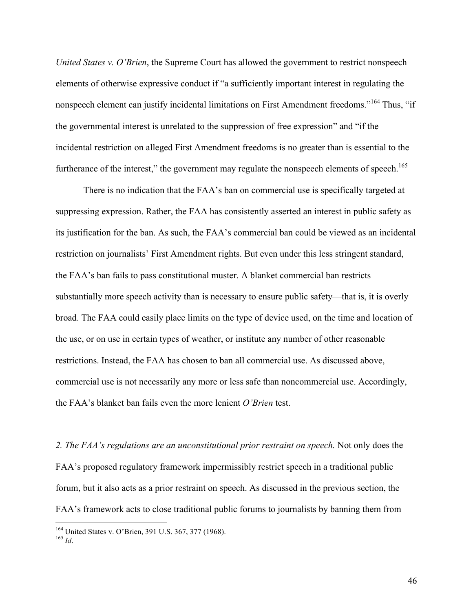*United States v. O'Brien*, the Supreme Court has allowed the government to restrict nonspeech elements of otherwise expressive conduct if "a sufficiently important interest in regulating the nonspeech element can justify incidental limitations on First Amendment freedoms."<sup>164</sup> Thus, "if the governmental interest is unrelated to the suppression of free expression" and "if the incidental restriction on alleged First Amendment freedoms is no greater than is essential to the furtherance of the interest," the government may regulate the nonspeech elements of speech.<sup>165</sup>

There is no indication that the FAA's ban on commercial use is specifically targeted at suppressing expression. Rather, the FAA has consistently asserted an interest in public safety as its justification for the ban. As such, the FAA's commercial ban could be viewed as an incidental restriction on journalists' First Amendment rights. But even under this less stringent standard, the FAA's ban fails to pass constitutional muster. A blanket commercial ban restricts substantially more speech activity than is necessary to ensure public safety—that is, it is overly broad. The FAA could easily place limits on the type of device used, on the time and location of the use, or on use in certain types of weather, or institute any number of other reasonable restrictions. Instead, the FAA has chosen to ban all commercial use. As discussed above, commercial use is not necessarily any more or less safe than noncommercial use. Accordingly, the FAA's blanket ban fails even the more lenient *O'Brien* test.

*2. The FAA's regulations are an unconstitutional prior restraint on speech.* Not only does the FAA's proposed regulatory framework impermissibly restrict speech in a traditional public forum, but it also acts as a prior restraint on speech. As discussed in the previous section, the FAA's framework acts to close traditional public forums to journalists by banning them from

<sup>164</sup> United States v. O'Brien, 391 U.S. 367, 377 (1968). <sup>165</sup> *Id*.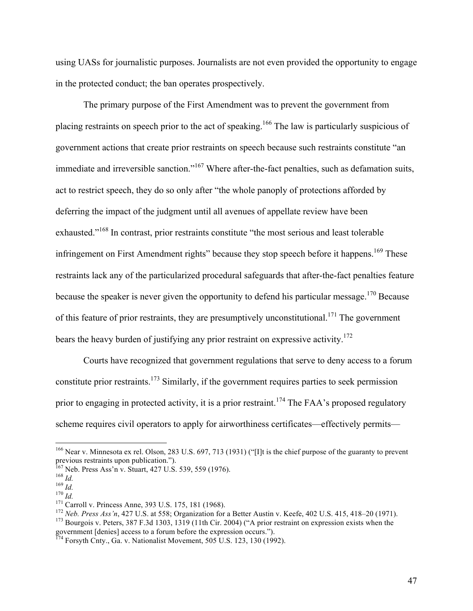using UASs for journalistic purposes. Journalists are not even provided the opportunity to engage in the protected conduct; the ban operates prospectively.

The primary purpose of the First Amendment was to prevent the government from placing restraints on speech prior to the act of speaking.<sup>166</sup> The law is particularly suspicious of government actions that create prior restraints on speech because such restraints constitute "an immediate and irreversible sanction."<sup>167</sup> Where after-the-fact penalties, such as defamation suits, act to restrict speech, they do so only after "the whole panoply of protections afforded by deferring the impact of the judgment until all avenues of appellate review have been exhausted."<sup>168</sup> In contrast, prior restraints constitute "the most serious and least tolerable infringement on First Amendment rights" because they stop speech before it happens.<sup>169</sup> These restraints lack any of the particularized procedural safeguards that after-the-fact penalties feature because the speaker is never given the opportunity to defend his particular message.<sup>170</sup> Because of this feature of prior restraints, they are presumptively unconstitutional.<sup>171</sup> The government bears the heavy burden of justifying any prior restraint on expressive activity.<sup>172</sup>

Courts have recognized that government regulations that serve to deny access to a forum constitute prior restraints.<sup>173</sup> Similarly, if the government requires parties to seek permission prior to engaging in protected activity, it is a prior restraint.<sup>174</sup> The FAA's proposed regulatory scheme requires civil operators to apply for airworthiness certificates—effectively permits—

<sup>&</sup>lt;sup>166</sup> Near v. Minnesota ex rel. Olson, 283 U.S. 697, 713 (1931) ("[I]t is the chief purpose of the guaranty to prevent previous restraints upon publication.").<br><sup>167</sup> Neb. Press Ass'n v. Stuart, 427 U.S. 539, 559 (1976).

<sup>&</sup>lt;sup>168</sup> *Id.*<br><sup>170</sup> *Id.*<br><sup>170</sup> *Id.*<br><sup>171</sup> Carroll v. Princess Anne, 393 U.S. 175, 181 (1968).<br><sup>172</sup> *Neb. Press Ass'n*, 427 U.S. at 558; Organization for a Better Austin v. Keefe, 402 U.S. 415, 418–20 (1971).<br><sup>173</sup> Bourgo

government [denies] access to a forum before the expression occurs.").

 $^{174}$  Forsyth Cnty., Ga. v. Nationalist Movement, 505 U.S. 123, 130 (1992).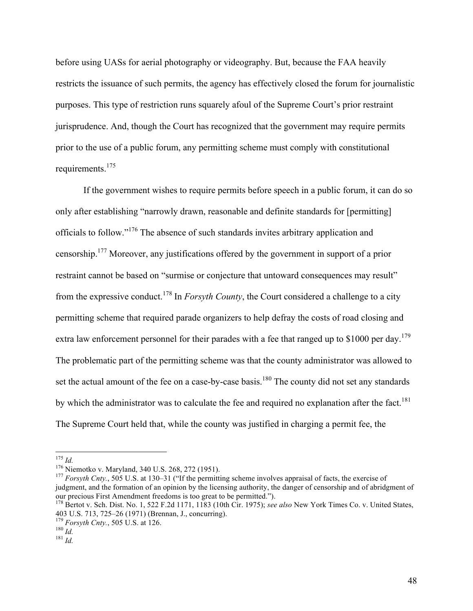before using UASs for aerial photography or videography. But, because the FAA heavily restricts the issuance of such permits, the agency has effectively closed the forum for journalistic purposes. This type of restriction runs squarely afoul of the Supreme Court's prior restraint jurisprudence. And, though the Court has recognized that the government may require permits prior to the use of a public forum, any permitting scheme must comply with constitutional requirements.<sup>175</sup>

If the government wishes to require permits before speech in a public forum, it can do so only after establishing "narrowly drawn, reasonable and definite standards for [permitting] officials to follow."176 The absence of such standards invites arbitrary application and censorship.177 Moreover, any justifications offered by the government in support of a prior restraint cannot be based on "surmise or conjecture that untoward consequences may result" from the expressive conduct.<sup>178</sup> In *Forsyth County*, the Court considered a challenge to a city permitting scheme that required parade organizers to help defray the costs of road closing and extra law enforcement personnel for their parades with a fee that ranged up to \$1000 per day.<sup>179</sup> The problematic part of the permitting scheme was that the county administrator was allowed to set the actual amount of the fee on a case-by-case basis.<sup>180</sup> The county did not set any standards by which the administrator was to calculate the fee and required no explanation after the fact.<sup>181</sup> The Supreme Court held that, while the county was justified in charging a permit fee, the

<sup>&</sup>lt;sup>175</sup> *Id.* 176 *Id.* 176 Miemotko v. Maryland, 340 U.S. 268, 272 (1951). 176 *Niemotko v. Maryland, 340 U.S. 268, 272 (1951).* 177 *Forsyth Cnty.*, 505 U.S. at 130–31 ("If the permitting scheme involves appraisal of facts judgment, and the formation of an opinion by the licensing authority, the danger of censorship and of abridgment of our precious First Amendment freedoms is too great to be permitted."). <sup>178</sup> Bertot v. Sch. Dist. No. 1, 522 F.2d 1171, 1183 (10th Cir. 1975); *see also* New York Times Co. v. United States,

<sup>403</sup> U.S. 713, 725–26 (1971) (Brennan, J., concurring). <sup>179</sup> *Forsyth Cnty.*, 505 U.S. at 126. <sup>180</sup> *Id.* <sup>181</sup> *Id.*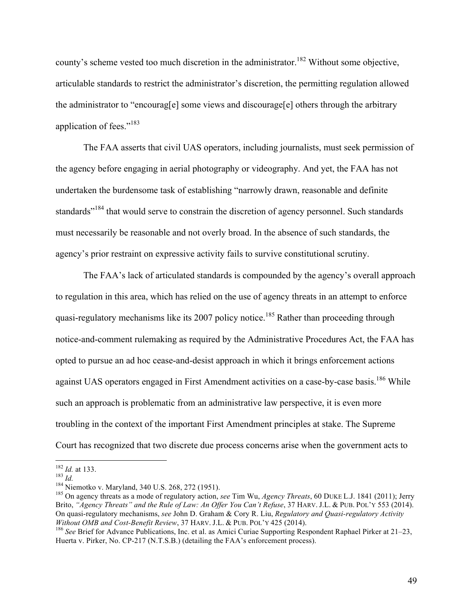county's scheme vested too much discretion in the administrator.<sup>182</sup> Without some objective, articulable standards to restrict the administrator's discretion, the permitting regulation allowed the administrator to "encourag[e] some views and discourage[e] others through the arbitrary application of fees."<sup>183</sup>

The FAA asserts that civil UAS operators, including journalists, must seek permission of the agency before engaging in aerial photography or videography. And yet, the FAA has not undertaken the burdensome task of establishing "narrowly drawn, reasonable and definite standards"<sup>184</sup> that would serve to constrain the discretion of agency personnel. Such standards must necessarily be reasonable and not overly broad. In the absence of such standards, the agency's prior restraint on expressive activity fails to survive constitutional scrutiny.

The FAA's lack of articulated standards is compounded by the agency's overall approach to regulation in this area, which has relied on the use of agency threats in an attempt to enforce quasi-regulatory mechanisms like its 2007 policy notice.<sup>185</sup> Rather than proceeding through notice-and-comment rulemaking as required by the Administrative Procedures Act, the FAA has opted to pursue an ad hoc cease-and-desist approach in which it brings enforcement actions against UAS operators engaged in First Amendment activities on a case-by-case basis.<sup>186</sup> While such an approach is problematic from an administrative law perspective, it is even more troubling in the context of the important First Amendment principles at stake. The Supreme Court has recognized that two discrete due process concerns arise when the government acts to

<sup>&</sup>lt;sup>182</sup> *Id.* at 133.<br><sup>183</sup> *Id.*<br><sup>184</sup> Niemotko v. Maryland, 340 U.S. 268, 272 (1951).<br><sup>185</sup> On agency threats as a mode of regulatory action, *see Tim Wu, Agency Threats*, 60 DUKE L.J. 1841 (2011); Jerry Brito, *"Agency Threats" and the Rule of Law: An Offer You Can't Refuse*, 37 HARV. J.L. & PUB. POL'Y 553 (2014). On quasi-regulatory mechanisms, *see* John D. Graham & Cory R. Liu, *Regulatory and Quasi-regulatory Activity* 

<sup>&</sup>lt;sup>186</sup> See Brief for Advance Publications, Inc. et al. as Amici Curiae Supporting Respondent Raphael Pirker at 21–23, Huerta v. Pirker, No. CP-217 (N.T.S.B.) (detailing the FAA's enforcement process).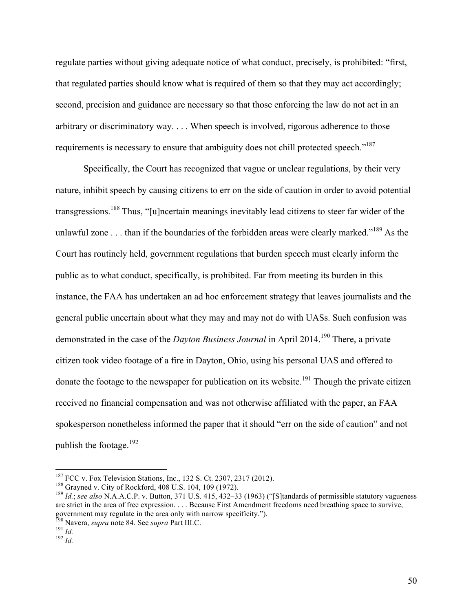regulate parties without giving adequate notice of what conduct, precisely, is prohibited: "first, that regulated parties should know what is required of them so that they may act accordingly; second, precision and guidance are necessary so that those enforcing the law do not act in an arbitrary or discriminatory way. . . . When speech is involved, rigorous adherence to those requirements is necessary to ensure that ambiguity does not chill protected speech."<sup>187</sup>

Specifically, the Court has recognized that vague or unclear regulations, by their very nature, inhibit speech by causing citizens to err on the side of caution in order to avoid potential transgressions.<sup>188</sup> Thus, "[u]ncertain meanings inevitably lead citizens to steer far wider of the unlawful zone . . . than if the boundaries of the forbidden areas were clearly marked."<sup>189</sup> As the Court has routinely held, government regulations that burden speech must clearly inform the public as to what conduct, specifically, is prohibited. Far from meeting its burden in this instance, the FAA has undertaken an ad hoc enforcement strategy that leaves journalists and the general public uncertain about what they may and may not do with UASs. Such confusion was demonstrated in the case of the *Dayton Business Journal* in April 2014.<sup>190</sup> There, a private citizen took video footage of a fire in Dayton, Ohio, using his personal UAS and offered to donate the footage to the newspaper for publication on its website.<sup>191</sup> Though the private citizen received no financial compensation and was not otherwise affiliated with the paper, an FAA spokesperson nonetheless informed the paper that it should "err on the side of caution" and not publish the footage. $^{192}$ 

<sup>&</sup>lt;sup>187</sup> FCC v. Fox Television Stations, Inc., 132 S. Ct. 2307, 2317 (2012).<br><sup>188</sup> Grayned v. City of Rockford, 408 U.S. 104, 109 (1972).<br><sup>189</sup> Id.; see also N.A.A.C.P. v. Button, 371 U.S. 415, 432–33 (1963) ("[S]tandards of are strict in the area of free expression. . . . Because First Amendment freedoms need breathing space to survive, government may regulate in the area only with narrow specificity.").

<sup>190</sup> Navera, *supra* note 84. See *supra* Part III.C. <sup>191</sup> *Id.* <sup>192</sup> *Id.*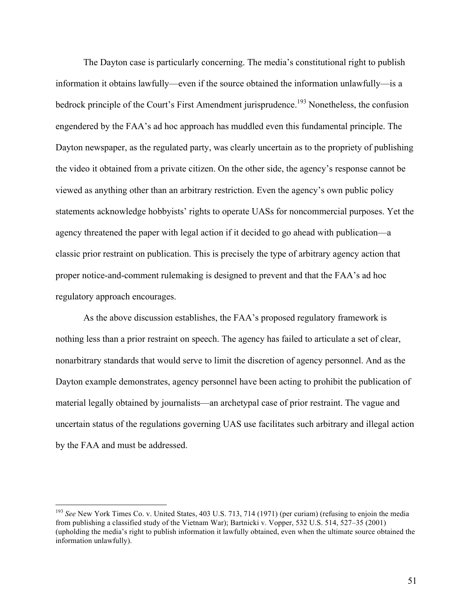The Dayton case is particularly concerning. The media's constitutional right to publish information it obtains lawfully—even if the source obtained the information unlawfully—is a bedrock principle of the Court's First Amendment jurisprudence.<sup>193</sup> Nonetheless, the confusion engendered by the FAA's ad hoc approach has muddled even this fundamental principle. The Dayton newspaper, as the regulated party, was clearly uncertain as to the propriety of publishing the video it obtained from a private citizen. On the other side, the agency's response cannot be viewed as anything other than an arbitrary restriction. Even the agency's own public policy statements acknowledge hobbyists' rights to operate UASs for noncommercial purposes. Yet the agency threatened the paper with legal action if it decided to go ahead with publication—a classic prior restraint on publication. This is precisely the type of arbitrary agency action that proper notice-and-comment rulemaking is designed to prevent and that the FAA's ad hoc regulatory approach encourages.

As the above discussion establishes, the FAA's proposed regulatory framework is nothing less than a prior restraint on speech. The agency has failed to articulate a set of clear, nonarbitrary standards that would serve to limit the discretion of agency personnel. And as the Dayton example demonstrates, agency personnel have been acting to prohibit the publication of material legally obtained by journalists—an archetypal case of prior restraint. The vague and uncertain status of the regulations governing UAS use facilitates such arbitrary and illegal action by the FAA and must be addressed.

<sup>&</sup>lt;sup>193</sup> See New York Times Co. v. United States, 403 U.S. 713, 714 (1971) (per curiam) (refusing to enjoin the media from publishing a classified study of the Vietnam War); Bartnicki v. Vopper, 532 U.S. 514, 527–35 (2001) (upholding the media's right to publish information it lawfully obtained, even when the ultimate source obtained the information unlawfully).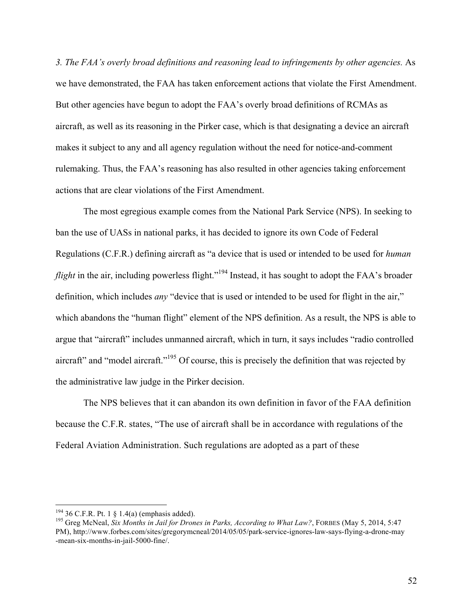*3. The FAA's overly broad definitions and reasoning lead to infringements by other agencies.* As we have demonstrated, the FAA has taken enforcement actions that violate the First Amendment. But other agencies have begun to adopt the FAA's overly broad definitions of RCMAs as aircraft, as well as its reasoning in the Pirker case, which is that designating a device an aircraft makes it subject to any and all agency regulation without the need for notice-and-comment rulemaking. Thus, the FAA's reasoning has also resulted in other agencies taking enforcement actions that are clear violations of the First Amendment.

The most egregious example comes from the National Park Service (NPS). In seeking to ban the use of UASs in national parks, it has decided to ignore its own Code of Federal Regulations (C.F.R.) defining aircraft as "a device that is used or intended to be used for *human*  flight in the air, including powerless flight."<sup>194</sup> Instead, it has sought to adopt the FAA's broader definition, which includes *any* "device that is used or intended to be used for flight in the air," which abandons the "human flight" element of the NPS definition. As a result, the NPS is able to argue that "aircraft" includes unmanned aircraft, which in turn, it says includes "radio controlled aircraft" and "model aircraft."<sup>195</sup> Of course, this is precisely the definition that was rejected by the administrative law judge in the Pirker decision.

The NPS believes that it can abandon its own definition in favor of the FAA definition because the C.F.R. states, "The use of aircraft shall be in accordance with regulations of the Federal Aviation Administration. Such regulations are adopted as a part of these

<sup>&</sup>lt;sup>194</sup> 36 C.F.R. Pt. 1 § 1.4(a) (emphasis added).<br><sup>195</sup> Greg McNeal, *Six Months in Jail for Drones in Parks, According to What Law?*, FORBES (May 5, 2014, 5:47 PM), [http://www.forbes.com/sites/gregorymcneal/2014/05/05/park-service-ignores-law-says-flying-a-drone-may](http://www.forbes.com/sites/gregorymcneal/2014/05/05/park-service-ignores-law-says-flying-a-drone-may-mean-six-months-in-jail-5000-fine/) [-mean-six-months-in-jail-5000-fine/.](http://www.forbes.com/sites/gregorymcneal/2014/05/05/park-service-ignores-law-says-flying-a-drone-may-mean-six-months-in-jail-5000-fine/)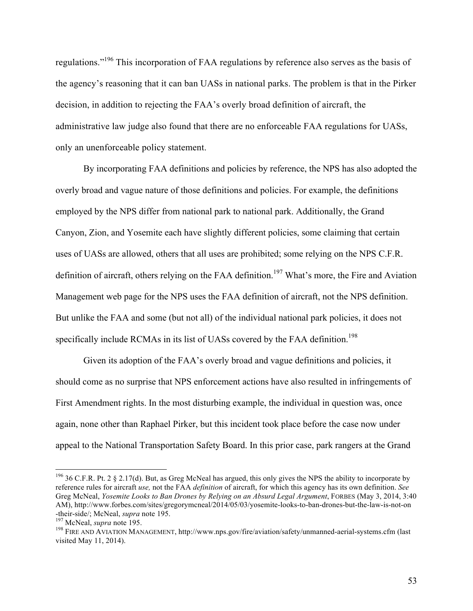regulations."<sup>196</sup> This incorporation of FAA regulations by reference also serves as the basis of the agency's reasoning that it can ban UASs in national parks. The problem is that in the Pirker decision, in addition to rejecting the FAA's overly broad definition of aircraft, the administrative law judge also found that there are no enforceable FAA regulations for UASs, only an unenforceable policy statement.

By incorporating FAA definitions and policies by reference, the NPS has also adopted the overly broad and vague nature of those definitions and policies. For example, the definitions employed by the NPS differ from national park to national park. Additionally, the Grand Canyon, Zion, and Yosemite each have slightly different policies, some claiming that certain uses of UASs are allowed, others that all uses are prohibited; some relying on the NPS C.F.R. definition of aircraft, others relying on the FAA definition.<sup>197</sup> What's more, the Fire and Aviation Management web page for the NPS uses the FAA definition of aircraft, not the NPS definition. But unlike the FAA and some (but not all) of the individual national park policies, it does not specifically include RCMAs in its list of UASs covered by the FAA definition.<sup>198</sup>

Given its adoption of the FAA's overly broad and vague definitions and policies, it should come as no surprise that NPS enforcement actions have also resulted in infringements of First Amendment rights. In the most disturbing example, the individual in question was, once again, none other than Raphael Pirker, but this incident took place before the case now under appeal to the National Transportation Safety Board. In this prior case, park rangers at the Grand

<sup>&</sup>lt;sup>196</sup> 36 C.F.R. Pt. 2 § 2.17(d). But, as Greg McNeal has argued, this only gives the NPS the ability to incorporate by reference rules for aircraft *use,* not the FAA *definition* of aircraft, for which this agency has its own definition. *See* Greg McNeal, *Yosemite Looks to Ban Drones by Relying on an Absurd Legal Argument*, FORBES (May 3, 2014, 3:40 AM), [http://www.forbes.com/sites/gregorymcneal/2014/05/03/yosemite-looks-to-ban-drones-but-the-law-is-not-on](http://www.forbes.com/sites/gregorymcneal/2014/05/03/yosemite-looks-to-ban-drones-but-the-law-is-not-on-their-side/) [-their-side/;](http://www.forbes.com/sites/gregorymcneal/2014/05/03/yosemite-looks-to-ban-drones-but-the-law-is-not-on-their-side/) McNeal, *supra* note 195.<br><sup>197</sup> McNeal, *supra* note 195.<br><sup>198</sup> FIRE AND AVIATION MANAGEMENT,<http://www.nps.gov/fire/aviation/safety/unmanned-aerial-systems.cfm>(last

visited May 11, 2014).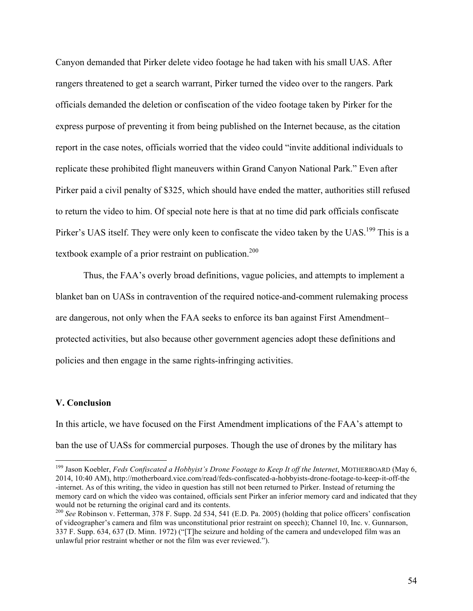Canyon demanded that Pirker delete video footage he had taken with his small UAS. After rangers threatened to get a search warrant, Pirker turned the video over to the rangers. Park officials demanded the deletion or confiscation of the video footage taken by Pirker for the express purpose of preventing it from being published on the Internet because, as the citation report in the case notes, officials worried that the video could "invite additional individuals to replicate these prohibited flight maneuvers within Grand Canyon National Park." Even after Pirker paid a civil penalty of \$325, which should have ended the matter, authorities still refused to return the video to him. Of special note here is that at no time did park officials confiscate Pirker's UAS itself. They were only keen to confiscate the video taken by the UAS.<sup>199</sup> This is a textbook example of a prior restraint on publication.<sup>200</sup>

Thus, the FAA's overly broad definitions, vague policies, and attempts to implement a blanket ban on UASs in contravention of the required notice-and-comment rulemaking process are dangerous, not only when the FAA seeks to enforce its ban against First Amendment– protected activities, but also because other government agencies adopt these definitions and policies and then engage in the same rights-infringing activities.

### **V. Conclusion**

In this article, we have focused on the First Amendment implications of the FAA's attempt to ban the use of UASs for commercial purposes. Though the use of drones by the military has

<sup>&</sup>lt;sup>199</sup> Jason Koebler, *Feds Confiscated a Hobbyist's Drone Footage to Keep It off the Internet*, MOTHERBOARD (May 6, 2014, 10:40 AM), [http://motherboard.vice.com/read/feds-confiscated-a-hobbyists-drone-footage-to-keep-it-off-the](http://motherboard.vice.com/read/feds-confiscated-a-hobbyists-drone-footage-to-keep-it-off-the-internet) [-internet.](http://motherboard.vice.com/read/feds-confiscated-a-hobbyists-drone-footage-to-keep-it-off-the-internet) As of this writing, the video in question has still not been returned to Pirker. Instead of returning the memory card on which the video was contained, officials sent Pirker an inferior memory card and indicated that they would not be returning the original card and its contents.

<sup>200</sup> *See* Robinson v. Fetterman, 378 F. Supp. 2d 534, 541 (E.D. Pa. 2005) (holding that police officers' confiscation of videographer's camera and film was unconstitutional prior restraint on speech); Channel 10, Inc. v. Gunnarson, 337 F. Supp. 634, 637 (D. Minn. 1972) ("[T]he seizure and holding of the camera and undeveloped film was an unlawful prior restraint whether or not the film was ever reviewed.").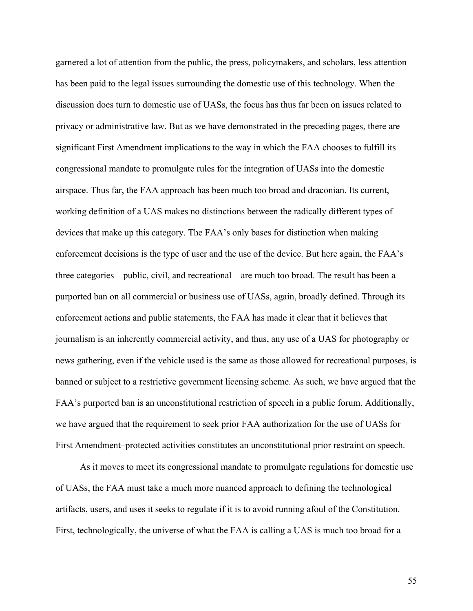garnered a lot of attention from the public, the press, policymakers, and scholars, less attention has been paid to the legal issues surrounding the domestic use of this technology. When the discussion does turn to domestic use of UASs, the focus has thus far been on issues related to privacy or administrative law. But as we have demonstrated in the preceding pages, there are significant First Amendment implications to the way in which the FAA chooses to fulfill its congressional mandate to promulgate rules for the integration of UASs into the domestic airspace. Thus far, the FAA approach has been much too broad and draconian. Its current, working definition of a UAS makes no distinctions between the radically different types of devices that make up this category. The FAA's only bases for distinction when making enforcement decisions is the type of user and the use of the device. But here again, the FAA's three categories—public, civil, and recreational—are much too broad. The result has been a purported ban on all commercial or business use of UASs, again, broadly defined. Through its enforcement actions and public statements, the FAA has made it clear that it believes that journalism is an inherently commercial activity, and thus, any use of a UAS for photography or news gathering, even if the vehicle used is the same as those allowed for recreational purposes, is banned or subject to a restrictive government licensing scheme. As such, we have argued that the FAA's purported ban is an unconstitutional restriction of speech in a public forum. Additionally, we have argued that the requirement to seek prior FAA authorization for the use of UASs for First Amendment–protected activities constitutes an unconstitutional prior restraint on speech.

As it moves to meet its congressional mandate to promulgate regulations for domestic use of UASs, the FAA must take a much more nuanced approach to defining the technological artifacts, users, and uses it seeks to regulate if it is to avoid running afoul of the Constitution. First, technologically, the universe of what the FAA is calling a UAS is much too broad for a

55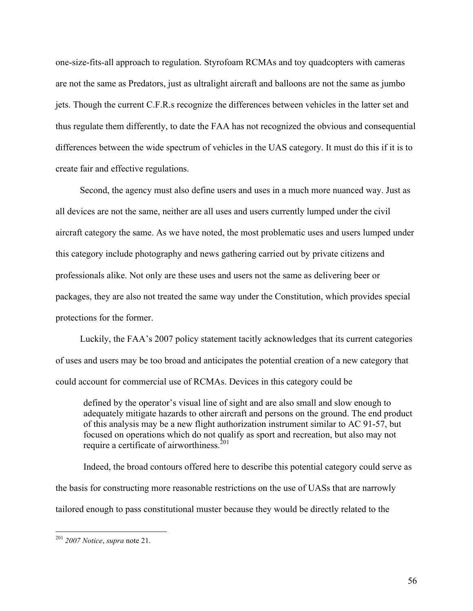one-size-fits-all approach to regulation. Styrofoam RCMAs and toy quadcopters with cameras are not the same as Predators, just as ultralight aircraft and balloons are not the same as jumbo jets. Though the current C.F.R.s recognize the differences between vehicles in the latter set and thus regulate them differently, to date the FAA has not recognized the obvious and consequential differences between the wide spectrum of vehicles in the UAS category. It must do this if it is to create fair and effective regulations.

Second, the agency must also define users and uses in a much more nuanced way. Just as all devices are not the same, neither are all uses and users currently lumped under the civil aircraft category the same. As we have noted, the most problematic uses and users lumped under this category include photography and news gathering carried out by private citizens and professionals alike. Not only are these uses and users not the same as delivering beer or packages, they are also not treated the same way under the Constitution, which provides special protections for the former.

Luckily, the FAA's 2007 policy statement tacitly acknowledges that its current categories of uses and users may be too broad and anticipates the potential creation of a new category that could account for commercial use of RCMAs. Devices in this category could be

defined by the operator's visual line of sight and are also small and slow enough to adequately mitigate hazards to other aircraft and persons on the ground. The end product of this analysis may be a new flight authorization instrument similar to AC 91-57, but focused on operations which do not qualify as sport and recreation, but also may not require a certificate of airworthiness.<sup>201</sup>

Indeed, the broad contours offered here to describe this potential category could serve as the basis for constructing more reasonable restrictions on the use of UASs that are narrowly tailored enough to pass constitutional muster because they would be directly related to the

 <sup>201</sup> *2007 Notice*, *supra* note 21.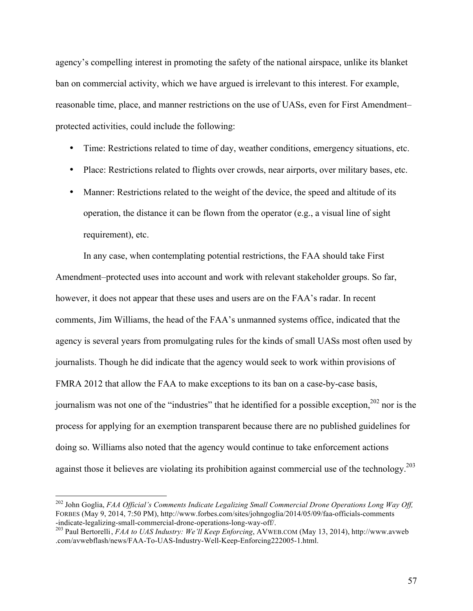agency's compelling interest in promoting the safety of the national airspace, unlike its blanket ban on commercial activity, which we have argued is irrelevant to this interest. For example, reasonable time, place, and manner restrictions on the use of UASs, even for First Amendment– protected activities, could include the following:

- Time: Restrictions related to time of day, weather conditions, emergency situations, etc.
- Place: Restrictions related to flights over crowds, near airports, over military bases, etc.
- Manner: Restrictions related to the weight of the device, the speed and altitude of its operation, the distance it can be flown from the operator  $(e.g., a visual line of sight)$ requirement), etc.

In any case, when contemplating potential restrictions, the FAA should take First Amendment–protected uses into account and work with relevant stakeholder groups. So far, however, it does not appear that these uses and users are on the FAA's radar. In recent comments, Jim Williams, the head of the FAA's unmanned systems office, indicated that the agency is several years from promulgating rules for the kinds of small UASs most often used by journalists. Though he did indicate that the agency would seek to work within provisions of FMRA 2012 that allow the FAA to make exceptions to its ban on a case-by-case basis, journalism was not one of the "industries" that he identified for a possible exception, <sup>202</sup> nor is the process for applying for an exemption transparent because there are no published guidelines for doing so. Williams also noted that the agency would continue to take enforcement actions against those it believes are violating its prohibition against commercial use of the technology.<sup>203</sup>

 <sup>202</sup> John Goglia, *FAA Official's Comments Indicate Legalizing Small Commercial Drone Operations Long Way Off,* FORBES (May 9, 2014, 7:50 PM),<http://www.forbes.com/sites/johngoglia/2014/05/09/faa-officials-comments><br>-indicate-legalizing-small-commercial-drone-operations-long-way-off/.

<sup>&</sup>lt;sup>203</sup> Paul Bertorelli, *FAA to UAS Industry: We'll Keep Enforcing*, AVWEB.COM (May 13, 2014), [http://www.avweb](http://www.avweb.com/avwebflash/news/FAA-To-UAS-Industry-Well-Keep-Enforcing222005-1.html) [.com/avwebflash/news/FAA-To-UAS-Industry-Well-Keep-Enforcing222005-1.html.](http://www.avweb.com/avwebflash/news/FAA-To-UAS-Industry-Well-Keep-Enforcing222005-1.html)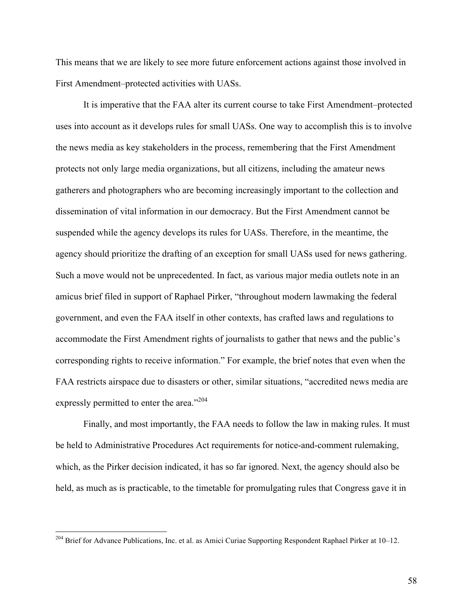This means that we are likely to see more future enforcement actions against those involved in First Amendment–protected activities with UASs.

It is imperative that the FAA alter its current course to take First Amendment–protected uses into account as it develops rules for small UASs. One way to accomplish this is to involve the news media as key stakeholders in the process, remembering that the First Amendment protects not only large media organizations, but all citizens, including the amateur news gatherers and photographers who are becoming increasingly important to the collection and dissemination of vital information in our democracy. But the First Amendment cannot be suspended while the agency develops its rules for UASs. Therefore, in the meantime, the agency should prioritize the drafting of an exception for small UASs used for news gathering. Such a move would not be unprecedented. In fact, as various major media outlets note in an amicus brief filed in support of Raphael Pirker, "throughout modern lawmaking the federal government, and even the FAA itself in other contexts, has crafted laws and regulations to accommodate the First Amendment rights of journalists to gather that news and the public's corresponding rights to receive information." For example, the brief notes that even when the FAA restricts airspace due to disasters or other, similar situations, "accredited news media are expressly permitted to enter the area."<sup>204</sup>

Finally, and most importantly, the FAA needs to follow the law in making rules. It must be held to Administrative Procedures Act requirements for notice-and-comment rulemaking, which, as the Pirker decision indicated, it has so far ignored. Next, the agency should also be held, as much as is practicable, to the timetable for promulgating rules that Congress gave it in

 <sup>204</sup> Brief for Advance Publications, Inc. et al. as Amici Curiae Supporting Respondent Raphael Pirker at 10–12.